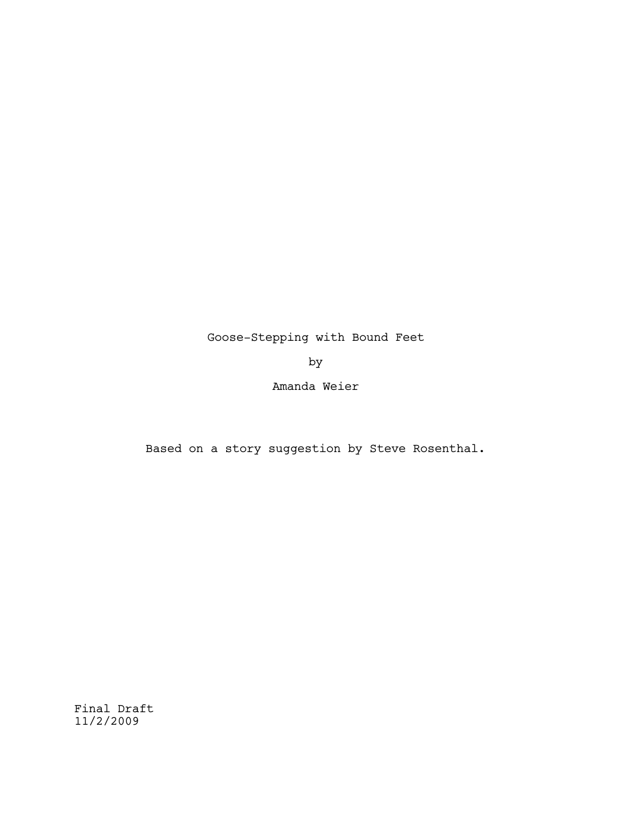# Goose-Stepping with Bound Feet

by

Amanda Weier

Based on a story suggestion by Steve Rosenthal.

Final Draft 11/2/2009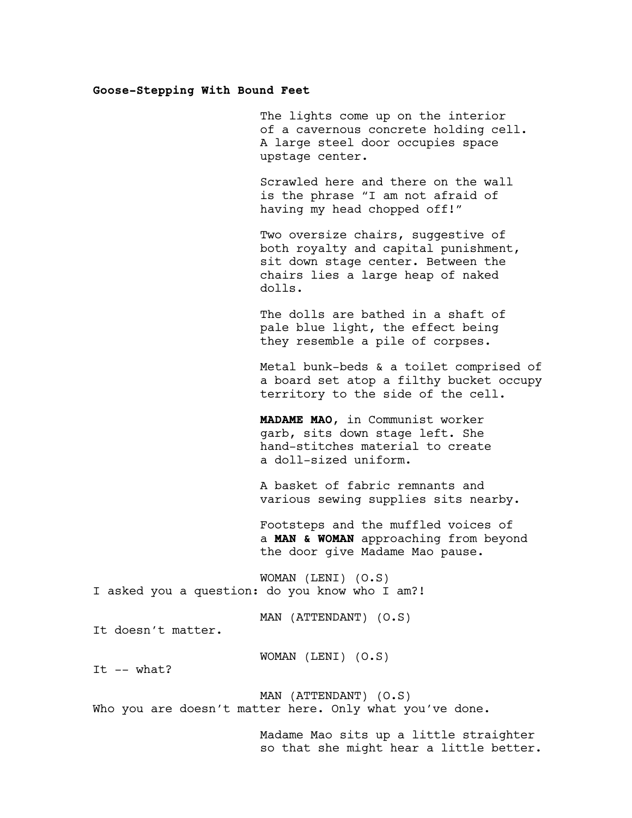### **Goose-Stepping With Bound Feet**

The lights come up on the interior of a cavernous concrete holding cell. A large steel door occupies space upstage center.

Scrawled here and there on the wall is the phrase "I am not afraid of having my head chopped off!"

Two oversize chairs, suggestive of both royalty and capital punishment, sit down stage center. Between the chairs lies a large heap of naked dolls.

The dolls are bathed in a shaft of pale blue light, the effect being they resemble a pile of corpses.

Metal bunk-beds & a toilet comprised of a board set atop a filthy bucket occupy territory to the side of the cell.

**MADAME MAO**, in Communist worker garb, sits down stage left. She hand-stitches material to create a doll-sized uniform.

A basket of fabric remnants and various sewing supplies sits nearby.

Footsteps and the muffled voices of a **MAN & WOMAN** approaching from beyond the door give Madame Mao pause.

WOMAN (LENI) (O.S) I asked you a question: do you know who I am?!

MAN (ATTENDANT) (O.S)

It doesn't matter.

WOMAN (LENI) (O.S)

It  $--$  what?

MAN (ATTENDANT) (O.S) Who you are doesn't matter here. Only what you've done.

> Madame Mao sits up a little straighter so that she might hear a little better.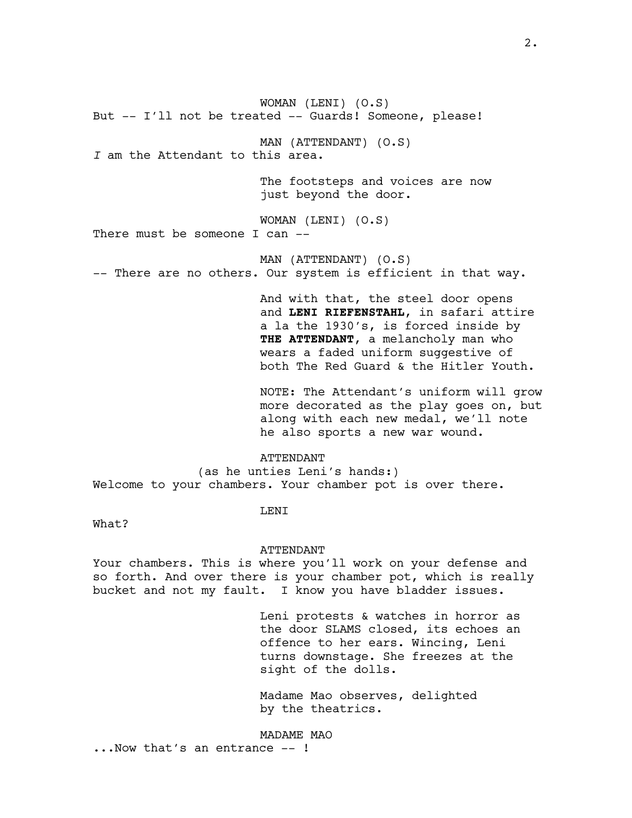WOMAN (LENI) (O.S) But -- I'll not be treated -- Guards! Someone, please! MAN (ATTENDANT) (O.S) *I* am the Attendant to this area. The footsteps and voices are now just beyond the door. WOMAN (LENI) (O.S) There must be someone I can -- MAN (ATTENDANT) (O.S) -- There are no others. Our system is efficient in that way. And with that, the steel door opens and **LENI RIEFENSTAHL**, in safari attire a la the 1930's, is forced inside by **THE ATTENDANT**, a melancholy man who wears a faded uniform suggestive of both The Red Guard & the Hitler Youth. NOTE: The Attendant's uniform will grow

more decorated as the play goes on, but along with each new medal, we'll note he also sports a new war wound.

ATTENDANT (as he unties Leni's hands:) Welcome to your chambers. Your chamber pot is over there.

### LENI

What?

#### ATTENDANT

Your chambers. This is where you'll work on your defense and so forth. And over there is your chamber pot, which is really bucket and not my fault. I know you have bladder issues.

> Leni protests & watches in horror as the door SLAMS closed, its echoes an offence to her ears. Wincing, Leni turns downstage. She freezes at the sight of the dolls.

Madame Mao observes, delighted by the theatrics.

MADAME MAO

...Now that's an entrance -- !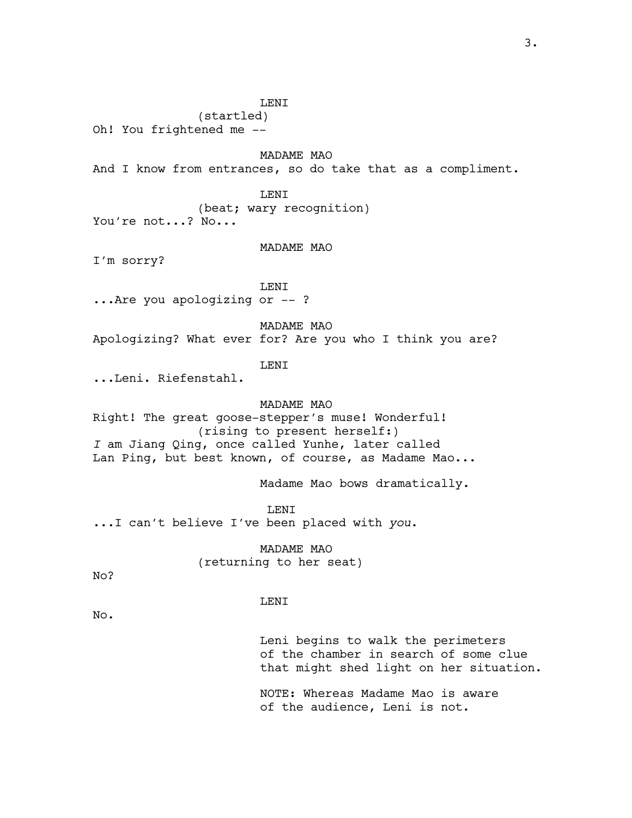LENI (startled) Oh! You frightened me -- MADAME MAO And I know from entrances, so do take that as a compliment. LENI (beat; wary recognition) You're not...? No... MADAME MAO I'm sorry? LENI ...Are you apologizing or -- ? MADAME MAO Apologizing? What ever for? Are you who I think you are? LENI ...Leni. Riefenstahl. MADAME MAO Right! The great goose-stepper's muse! Wonderful! (rising to present herself:) *I* am Jiang Qing, once called Yunhe, later called Lan Ping, but best known, of course, as Madame Mao... Madame Mao bows dramatically. LENI ...I can't believe I've been placed with *you*. MADAME MAO (returning to her seat) No? LENI No.

> Leni begins to walk the perimeters of the chamber in search of some clue that might shed light on her situation.

NOTE: Whereas Madame Mao is aware of the audience, Leni is not*.*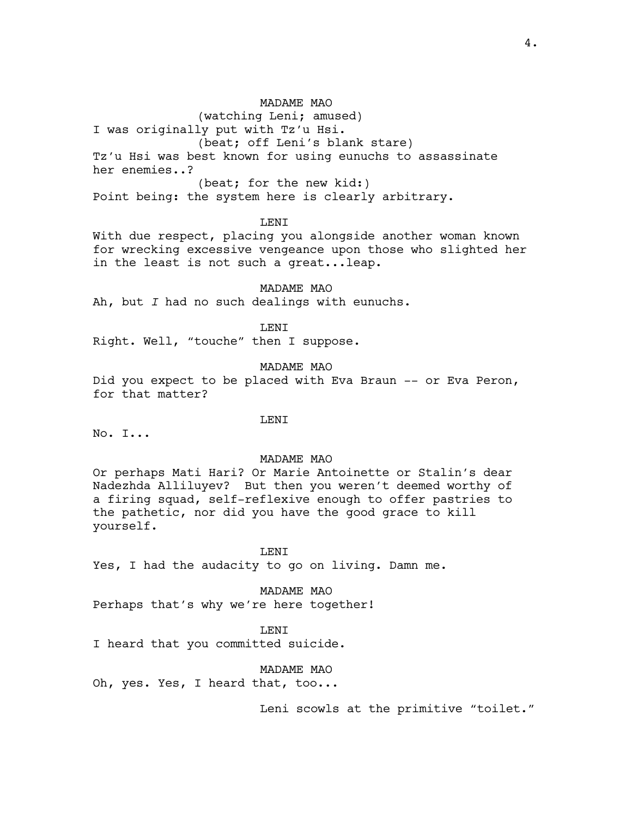(watching Leni; amused) I was originally put with Tz'u Hsi. (beat; off Leni's blank stare) Tz'u Hsi was best known for using eunuchs to assassinate her enemies..? (beat; for the new kid:) Point being: the system here is clearly arbitrary.

LENI

With due respect, placing you alongside another woman known for wrecking excessive vengeance upon those who slighted her in the least is not such a great...leap.

MADAME MAO Ah, but *I* had no such dealings with eunuchs.

LENI

Right. Well, "touche" then I suppose.

MADAME MAO

Did you expect to be placed with Eva Braun -- or Eva Peron, for that matter?

LENI

No. I...

#### MADAME MAO

Or perhaps Mati Hari? Or Marie Antoinette or Stalin's dear Nadezhda Alliluyev? But then you weren't deemed worthy of a firing squad, self-reflexive enough to offer pastries to the pathetic, nor did you have the good grace to kill yourself.

**LENT** 

Yes, I had the audacity to go on living. Damn me.

MADAME MAO Perhaps that's why we're here together!

T.F.NT I heard that you committed suicide.

MADAME MAO

Oh, yes. Yes, I heard that, too...

Leni scowls at the primitive "toilet."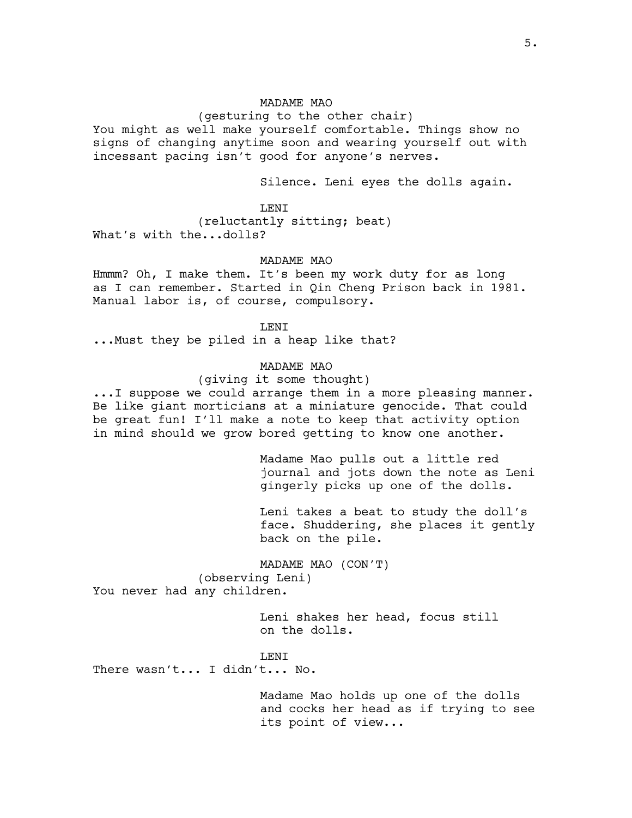(gesturing to the other chair)

You might as well make yourself comfortable. Things show no signs of changing anytime soon and wearing yourself out with incessant pacing isn't good for anyone's nerves.

Silence. Leni eyes the dolls again.

**LENT** (reluctantly sitting; beat) What's with the...dolls?

#### MADAME MAO

Hmmm? Oh, I make them. It's been my work duty for as long as I can remember. Started in Qin Cheng Prison back in 1981. Manual labor is, of course, compulsory.

LENI

...Must they be piled in a heap like that?

### MADAME MAO

(giving it some thought)

...I suppose we could arrange them in a more pleasing manner. Be like giant morticians at a miniature genocide. That could be great fun! I'll make a note to keep that activity option in mind should we grow bored getting to know one another.

> Madame Mao pulls out a little red journal and jots down the note as Leni gingerly picks up one of the dolls.

> Leni takes a beat to study the doll's face. Shuddering, she places it gently back on the pile.

MADAME MAO (CON'T) (observing Leni) You never had any children.

> Leni shakes her head, focus still on the dolls.

#### T.F.NT

There wasn't... I didn't... No.

Madame Mao holds up one of the dolls and cocks her head as if trying to see its point of view...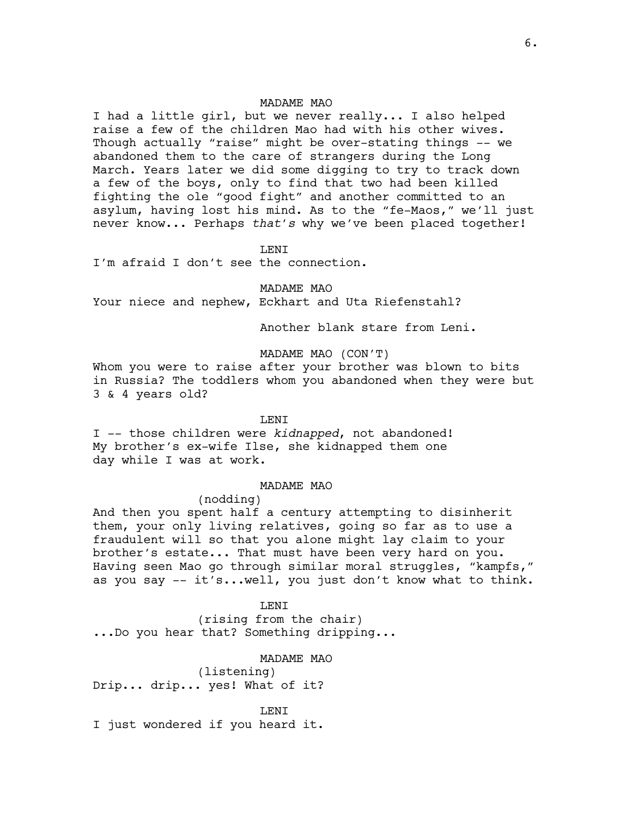I had a little girl, but we never really... I also helped raise a few of the children Mao had with his other wives. Though actually "raise" might be over-stating things -- we abandoned them to the care of strangers during the Long March. Years later we did some digging to try to track down a few of the boys, only to find that two had been killed fighting the ole "good fight" and another committed to an asylum, having lost his mind. As to the "fe-Maos," we'll just never know... Perhaps *that's* why we've been placed together!

LENI

I'm afraid I don't see the connection.

MADAME MAO

Your niece and nephew, Eckhart and Uta Riefenstahl?

Another blank stare from Leni.

### MADAME MAO (CON'T)

Whom you were to raise after your brother was blown to bits in Russia? The toddlers whom you abandoned when they were but 3 & 4 years old?

#### LENI

I -- those children were *kidnapped*, not abandoned! My brother's ex-wife Ilse, she kidnapped them one day while I was at work.

### MADAME MAO

### (nodding)

And then you spent half a century attempting to disinherit them, your only living relatives, going so far as to use a fraudulent will so that you alone might lay claim to your brother's estate... That must have been very hard on you. Having seen Mao go through similar moral struggles, "kampfs," as you say -- it's...well, you just don't know what to think.

#### LENI

(rising from the chair) ...Do you hear that? Something dripping...

### MADAME MAO

(listening) Drip... drip... yes! What of it?

LENI

I just wondered if you heard it.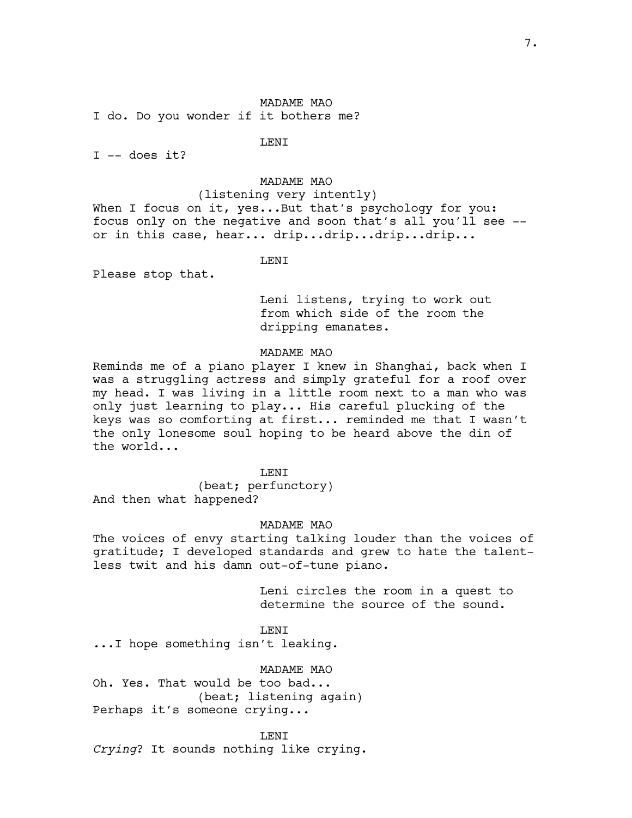I do. Do you wonder if it bothers me?

LENI

 $I$  -- does it?

MADAME MAO

(listening very intently) When I focus on it, yes...But that's psychology for you: focus only on the negative and soon that's all you'll see - or in this case, hear... drip...drip...drip...drip...

#### LENI

Please stop that.

Leni listens, trying to work out from which side of the room the dripping emanates.

### MADAME MAO

Reminds me of a piano player I knew in Shanghai, back when I was a struggling actress and simply grateful for a roof over my head. I was living in a little room next to a man who was only just learning to play... His careful plucking of the keys was so comforting at first... reminded me that I wasn't the only lonesome soul hoping to be heard above the din of the world...

LENI

(beat; perfunctory) And then what happened?

### MADAME MAO

The voices of envy starting talking louder than the voices of gratitude; I developed standards and grew to hate the talentless twit and his damn out-of-tune piano.

> Leni circles the room in a quest to determine the source of the sound.

LENI ...I hope something isn't leaking.

MADAME MAO

Oh. Yes. That would be too bad... (beat; listening again) Perhaps it's someone crying...

LENI *Crying*? It sounds nothing like crying.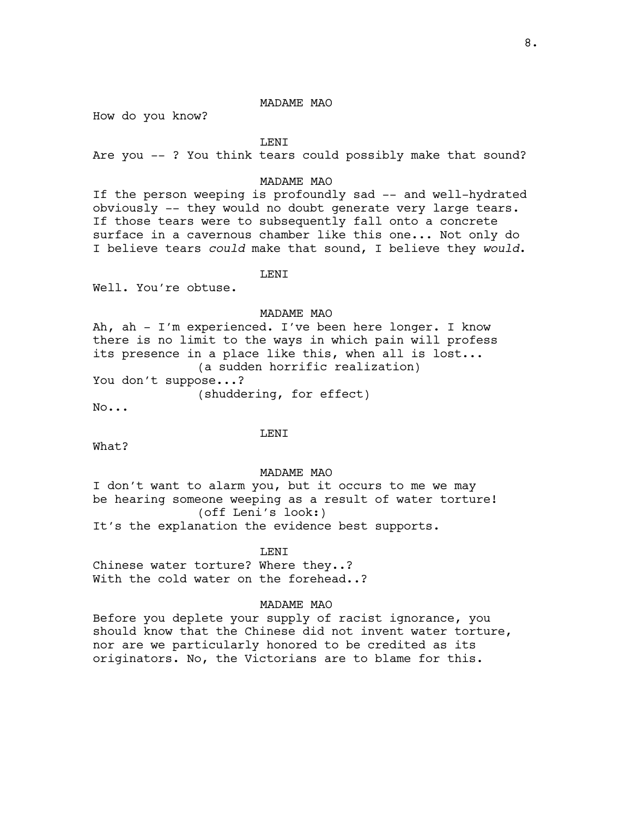How do you know?

LENI

Are you -- ? You think tears could possibly make that sound?

# MADAME MAO

If the person weeping is profoundly sad -- and well-hydrated obviously -- they would no doubt generate very large tears. If those tears were to subsequently fall onto a concrete surface in a cavernous chamber like this one... Not only do I believe tears *could* make that sound, I believe they *would*.

LENI

Well. You're obtuse.

### MADAME MAO

Ah, ah - I'm experienced. I've been here longer. I know there is no limit to the ways in which pain will profess its presence in a place like this, when all is lost... (a sudden horrific realization) You don't suppose...? (shuddering, for effect)

No...

#### LENI

What?

#### MADAME MAO

I don't want to alarm you, but it occurs to me we may be hearing someone weeping as a result of water torture! (off Leni's look:) It's the explanation the evidence best supports.

# **LENT**

Chinese water torture? Where they..? With the cold water on the forehead..?

### MADAME MAO

Before you deplete your supply of racist ignorance, you should know that the Chinese did not invent water torture, nor are we particularly honored to be credited as its originators. No, the Victorians are to blame for this.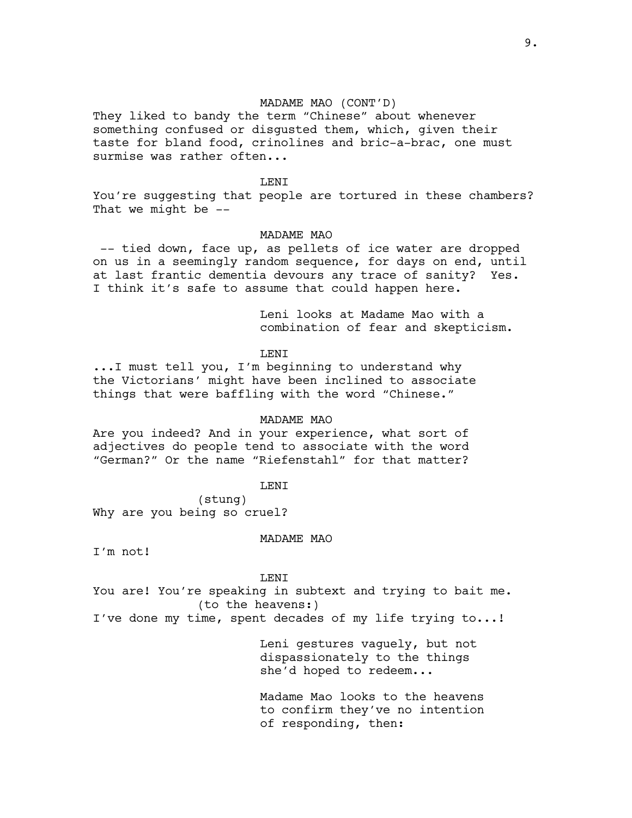### MADAME MAO (CONT'D)

They liked to bandy the term "Chinese" about whenever something confused or disgusted them, which, given their taste for bland food, crinolines and bric-a-brac, one must surmise was rather often...

### **LENT**

You're suggesting that people are tortured in these chambers? That we might be --

### MADAME MAO

 -- tied down, face up, as pellets of ice water are dropped on us in a seemingly random sequence, for days on end, until at last frantic dementia devours any trace of sanity? Yes. I think it's safe to assume that could happen here.

> Leni looks at Madame Mao with a combination of fear and skepticism.

LENI

...I must tell you, I'm beginning to understand why the Victorians' might have been inclined to associate things that were baffling with the word "Chinese."

#### MADAME MAO

Are you indeed? And in your experience, what sort of adjectives do people tend to associate with the word "German?" Or the name "Riefenstahl" for that matter?

### **LENT**

(stung) Why are you being so cruel?

#### MADAME MAO

I'm not!

LENI

You are! You're speaking in subtext and trying to bait me. (to the heavens:)

I've done my time, spent decades of my life trying to...!

Leni gestures vaguely, but not dispassionately to the things she'd hoped to redeem...

Madame Mao looks to the heavens to confirm they've no intention of responding, then: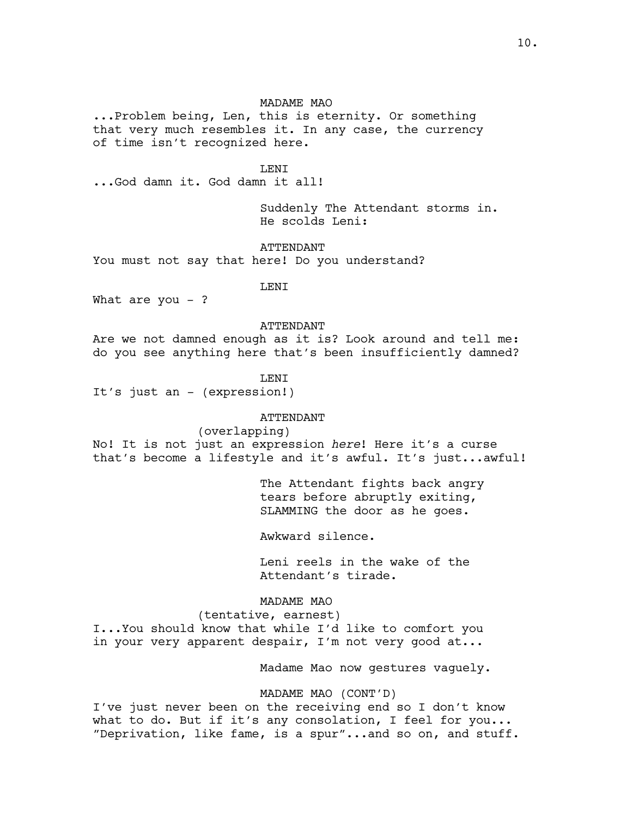...Problem being, Len, this is eternity. Or something that very much resembles it. In any case, the currency of time isn't recognized here.

LENI

...God damn it. God damn it all!

Suddenly The Attendant storms in. He scolds Leni:

ATTENDANT

You must not say that here! Do you understand?

LENI

What are you  $-$  ?

#### ATTENDANT

Are we not damned enough as it is? Look around and tell me: do you see anything here that's been insufficiently damned?

### LENI

It's just an - (expression!)

### ATTENDANT

### (overlapping)

No! It is not just an expression *here*! Here it's a curse that's become a lifestyle and it's awful. It's just...awful!

> The Attendant fights back angry tears before abruptly exiting, SLAMMING the door as he goes.

Awkward silence.

Leni reels in the wake of the Attendant's tirade.

MADAME MAO

(tentative, earnest)

I...You should know that while I'd like to comfort you in your very apparent despair, I'm not very good at...

Madame Mao now gestures vaguely.

MADAME MAO (CONT'D)

I've just never been on the receiving end so I don't know what to do. But if it's any consolation, I feel for you... "Deprivation, like fame, is a spur"...and so on, and stuff.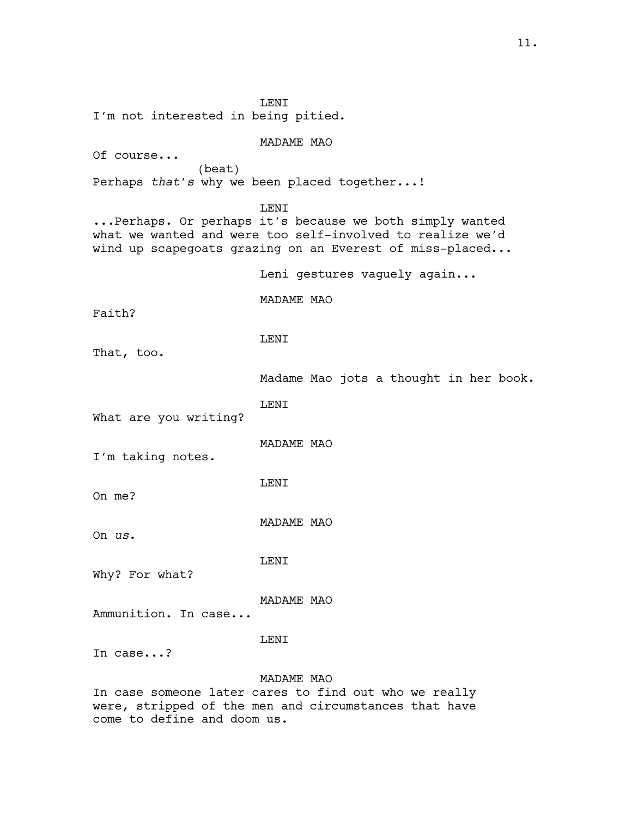LENI I'm not interested in being pitied. MADAME MAO Of course... (beat) Perhaps *that's* why we been placed together...! LENI ...Perhaps. Or perhaps it's because we both simply wanted what we wanted and were too self-involved to realize we'd wind up scapegoats grazing on an Everest of miss-placed... Leni gestures vaguely again... MADAME MAO Faith? LENI That, too. Madame Mao jots a thought in her book. LENI What are you writing? MADAME MAO I'm taking notes*.* LENI On me? MADAME MAO On *us*. LENI Why? For what? MADAME MAO Ammunition. In case... LENI In case...? MADAME MAO In case someone later cares to find out who we really

were, stripped of the men and circumstances that have come to define and doom us.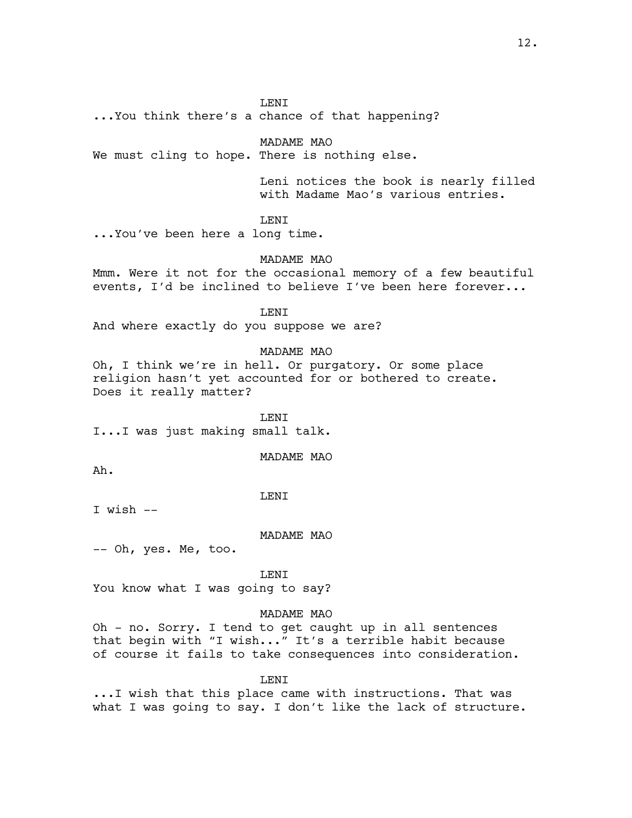...You think there's a chance of that happening?

MADAME MAO

We must cling to hope. There is nothing else.

Leni notices the book is nearly filled with Madame Mao's various entries.

LENI

...You've been here a long time.

MADAME MAO

Mmm. Were it not for the occasional memory of a few beautiful events, I'd be inclined to believe I've been here forever...

LENI

And where exactly do you suppose we are?

MADAME MAO

Oh, I think we're in hell. Or purgatory. Or some place religion hasn't yet accounted for or bothered to create. Does it really matter?

**LENT** I...I was just making small talk.

MADAME MAO

Ah.

LENI

I wish --

MADAME MAO

-- Oh, yes. Me, too.

LENI

You know what I was going to say?

### MADAME MAO

Oh - no. Sorry. I tend to get caught up in all sentences that begin with "I wish..." It's a terrible habit because of course it fails to take consequences into consideration.

LENI

...I wish that this place came with instructions. That was what I was going to say. I don't like the lack of structure.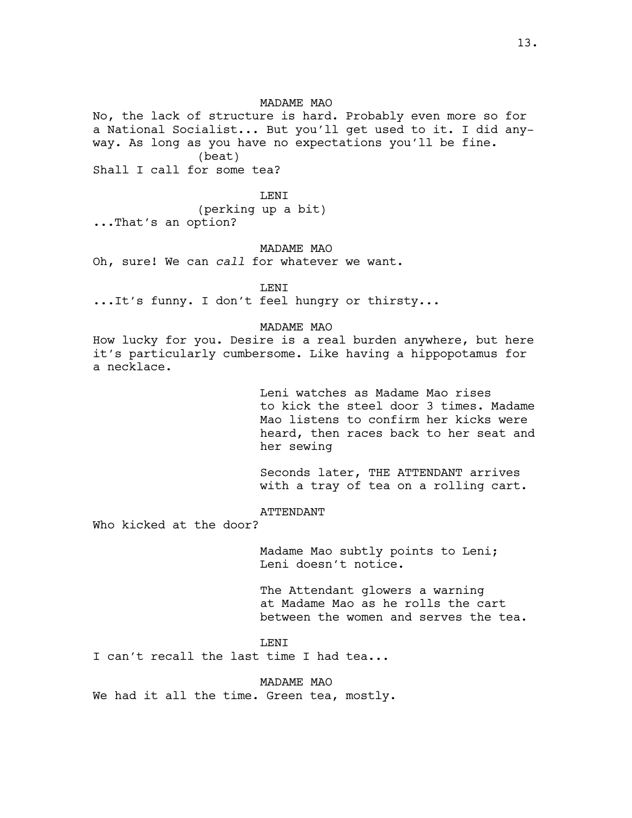No, the lack of structure is hard. Probably even more so for a National Socialist... But you'll get used to it. I did anyway. As long as you have no expectations you'll be fine. (beat)

Shall I call for some tea?

#### LENI

(perking up a bit)

...That's an option?

#### MADAME MAO

Oh, sure! We can *call* for whatever we want.

**LENT** 

...It's funny. I don't feel hungry or thirsty...

#### MADAME MAO

How lucky for you. Desire is a real burden anywhere, but here it's particularly cumbersome. Like having a hippopotamus for a necklace.

> Leni watches as Madame Mao rises to kick the steel door 3 times. Madame Mao listens to confirm her kicks were heard, then races back to her seat and her sewing

Seconds later, THE ATTENDANT arrives with a tray of tea on a rolling cart.

# ATTENDANT

Who kicked at the door?

Madame Mao subtly points to Leni; Leni doesn't notice.

The Attendant glowers a warning at Madame Mao as he rolls the cart between the women and serves the tea.

LENI

I can't recall the last time I had tea...

MADAME MAO

We had it all the time. Green tea, mostly.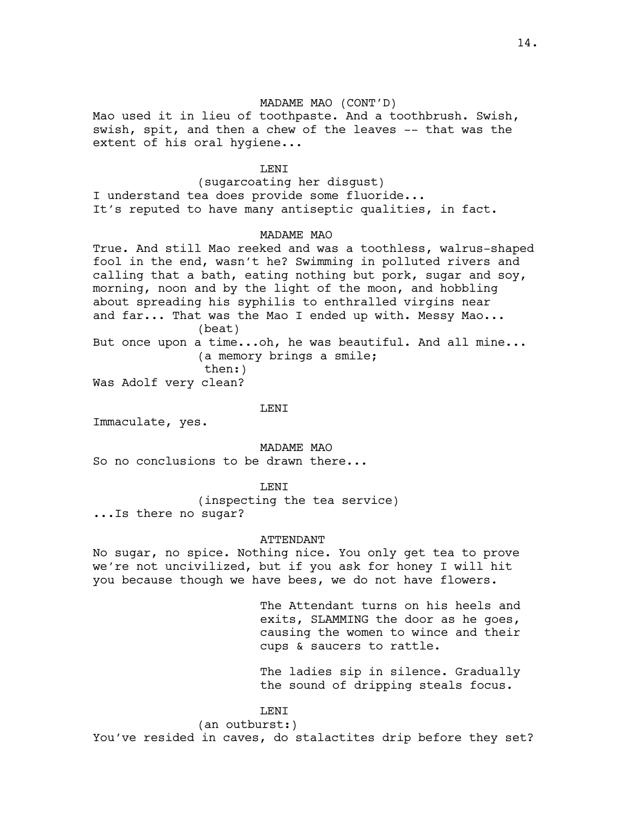### MADAME MAO (CONT'D)

Mao used it in lieu of toothpaste. And a toothbrush. Swish, swish, spit, and then a chew of the leaves -- that was the extent of his oral hygiene...

### LENI

(sugarcoating her disgust) I understand tea does provide some fluoride... It's reputed to have many antiseptic qualities, in fact.

#### MADAME MAO

True. And still Mao reeked and was a toothless, walrus-shaped fool in the end, wasn't he? Swimming in polluted rivers and calling that a bath, eating nothing but pork, sugar and soy, morning, noon and by the light of the moon, and hobbling about spreading his syphilis to enthralled virgins near and far... That was the Mao I ended up with. Messy Mao... (beat) But once upon a time...oh, he was beautiful. And all mine... (a memory brings a smile; then:)

Was Adolf very clean?

LENI

Immaculate, yes.

MADAME MAO

So no conclusions to be drawn there...

**LENT** 

(inspecting the tea service)

...Is there no sugar?

#### ATTENDANT

No sugar, no spice. Nothing nice. You only get tea to prove we're not uncivilized, but if you ask for honey I will hit you because though we have bees, we do not have flowers.

> The Attendant turns on his heels and exits, SLAMMING the door as he goes, causing the women to wince and their cups & saucers to rattle.

> The ladies sip in silence. Gradually the sound of dripping steals focus.

#### LENI

(an outburst:) You've resided in caves, do stalactites drip before they set?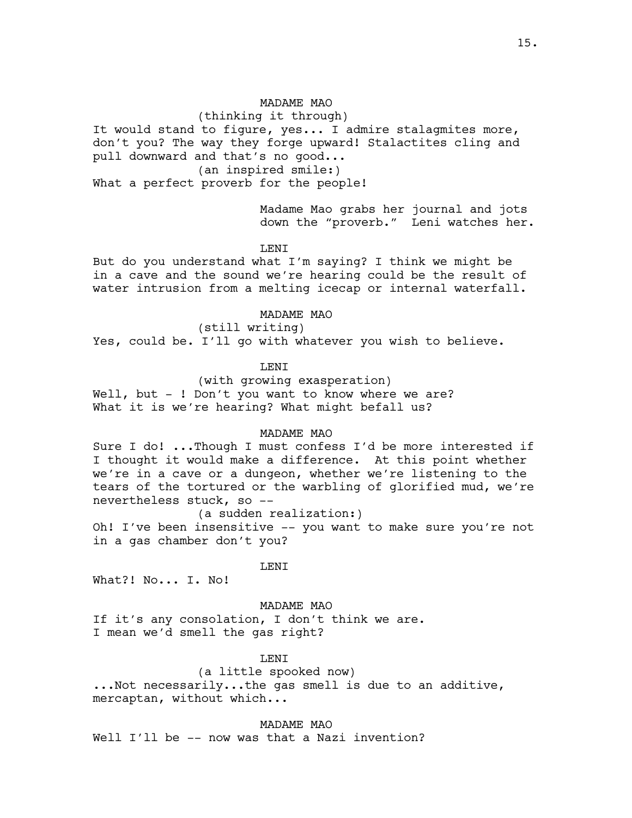(thinking it through) It would stand to figure, yes... I admire stalagmites more, don't you? The way they forge upward! Stalactites cling and pull downward and that's no good... (an inspired smile:)

What a perfect proverb for the people!

Madame Mao grabs her journal and jots down the "proverb." Leni watches her.

#### **LENT**

But do you understand what I'm saying? I think we might be in a cave and the sound we're hearing could be the result of water intrusion from a melting icecap or internal waterfall.

#### MADAME MAO

(still writing) Yes, could be. I'll go with whatever you wish to believe.

### LENI

(with growing exasperation) Well, but - ! Don't you want to know where we are? What it is we're hearing? What might befall us?

### MADAME MAO

Sure I do! ...Though I must confess I'd be more interested if I thought it would make a difference. At this point whether we're in a cave or a dungeon, whether we're listening to the tears of the tortured or the warbling of glorified mud, we're nevertheless stuck, so --

### (a sudden realization:)

Oh! I've been insensitive -- you want to make sure you're not in a gas chamber don't you?

#### LENI

What?! No... I. No!

MADAME MAO

If it's any consolation, I don't think we are. I mean we'd smell the gas right?

# LENI

### (a little spooked now)

...Not necessarily...the gas smell is due to an additive, mercaptan, without which...

### MADAME MAO

Well I'll be -- now was that a Nazi invention?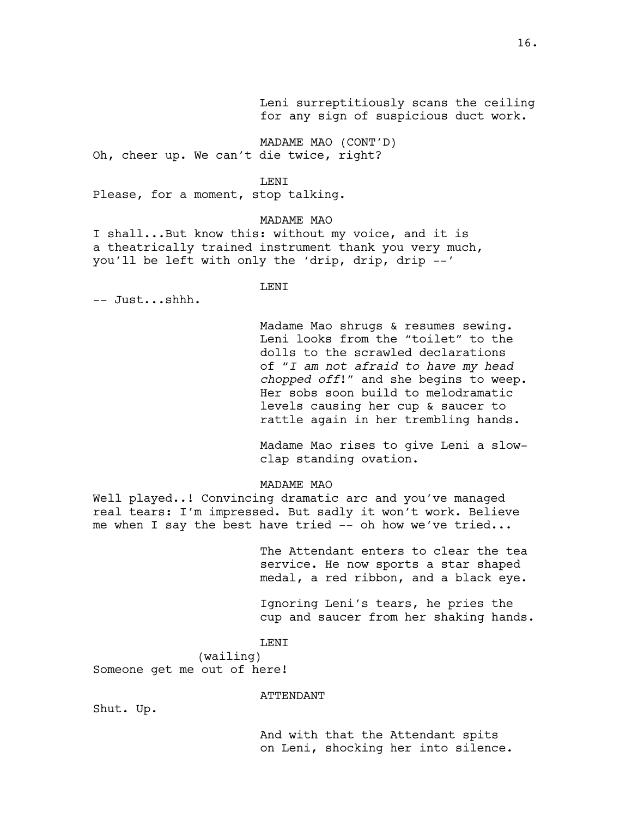Leni surreptitiously scans the ceiling for any sign of suspicious duct work.

MADAME MAO (CONT'D) Oh, cheer up. We can't die twice, right?

#### LENI

Please, for a moment, stop talking.

### MADAME MAO

I shall...But know this: without my voice, and it is a theatrically trained instrument thank you very much, you'll be left with only the 'drip, drip, drip --'

# LENI

-- Just...shhh.

Madame Mao shrugs & resumes sewing. Leni looks from the "toilet" to the dolls to the scrawled declarations of "*I am not afraid to have my head chopped off*!" and she begins to weep. Her sobs soon build to melodramatic levels causing her cup & saucer to rattle again in her trembling hands.

Madame Mao rises to give Leni a slowclap standing ovation.

MADAME MAO

Well played..! Convincing dramatic arc and you've managed real tears: I'm impressed. But sadly it won't work. Believe me when I say the best have tried -- oh how we've tried...

> The Attendant enters to clear the tea service. He now sports a star shaped medal, a red ribbon, and a black eye.

Ignoring Leni's tears, he pries the cup and saucer from her shaking hands.

LENI

(wailing) Someone get me out of here!

ATTENDANT

Shut. Up.

And with that the Attendant spits on Leni, shocking her into silence.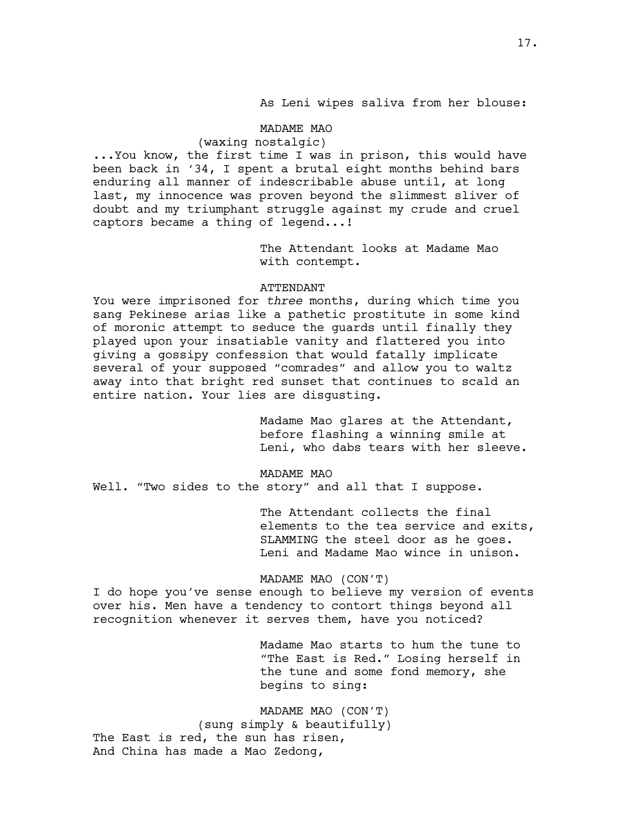As Leni wipes saliva from her blouse:

### MADAME MAO

# (waxing nostalgic)

...You know, the first time I was in prison, this would have been back in '34, I spent a brutal eight months behind bars enduring all manner of indescribable abuse until, at long last, my innocence was proven beyond the slimmest sliver of doubt and my triumphant struggle against my crude and cruel captors became a thing of legend...!

> The Attendant looks at Madame Mao with contempt.

### ATTENDANT

You were imprisoned for *three* months, during which time you sang Pekinese arias like a pathetic prostitute in some kind of moronic attempt to seduce the guards until finally they played upon your insatiable vanity and flattered you into giving a gossipy confession that would fatally implicate several of your supposed "comrades" and allow you to waltz away into that bright red sunset that continues to scald an entire nation. Your lies are disgusting.

> Madame Mao glares at the Attendant, before flashing a winning smile at Leni, who dabs tears with her sleeve.

#### MADAME MAO

Well. "Two sides to the story" and all that I suppose.

The Attendant collects the final elements to the tea service and exits, SLAMMING the steel door as he goes. Leni and Madame Mao wince in unison.

MADAME MAO (CON'T)

I do hope you've sense enough to believe my version of events over his. Men have a tendency to contort things beyond all recognition whenever it serves them, have you noticed?

> Madame Mao starts to hum the tune to "The East is Red." Losing herself in the tune and some fond memory, she begins to sing:

MADAME MAO (CON'T) (sung simply & beautifully) The East is red, the sun has risen, And China has made a Mao Zedong,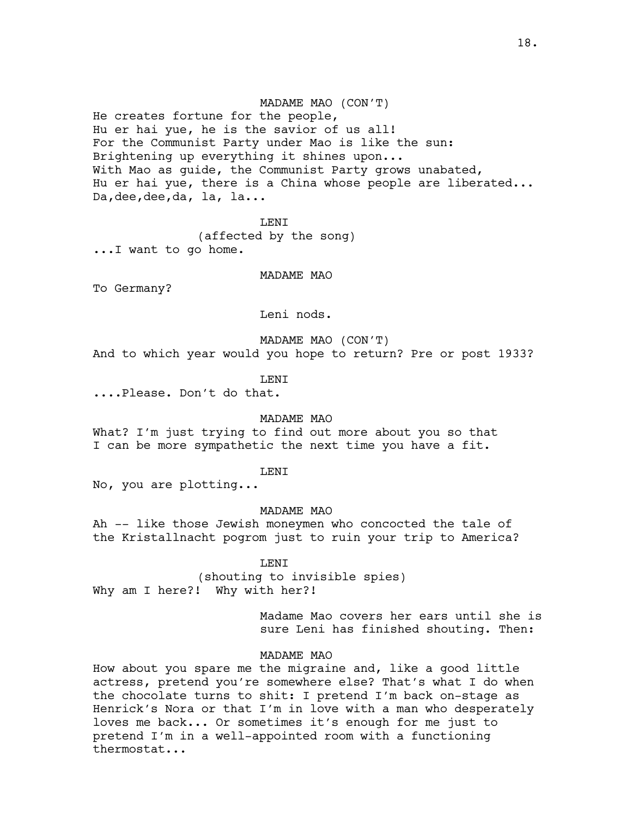#### MADAME MAO (CON'T)

He creates fortune for the people, Hu er hai yue, he is the savior of us all! For the Communist Party under Mao is like the sun: Brightening up everything it shines upon... With Mao as guide, the Communist Party grows unabated, Hu er hai yue, there is a China whose people are liberated... Da,dee,dee,da, la, la...

LENI (affected by the song) ...I want to go home.

MADAME MAO

To Germany?

Leni nods.

MADAME MAO (CON'T)

And to which year would you hope to return? Pre or post 1933?

LENI

....Please. Don't do that.

#### MADAME MAO

What? I'm just trying to find out more about you so that I can be more sympathetic the next time you have a fit.

#### LENI

No, you are plotting...

MADAME MAO

Ah -- like those Jewish moneymen who concocted the tale of the Kristallnacht pogrom just to ruin your trip to America?

#### LENI

(shouting to invisible spies) Why am I here?! Why with her?!

> Madame Mao covers her ears until she is sure Leni has finished shouting. Then:

### MADAME MAO

How about you spare me the migraine and, like a good little actress, pretend you're somewhere else? That's what I do when the chocolate turns to shit: I pretend I'm back on-stage as Henrick's Nora or that I'm in love with a man who desperately loves me back... Or sometimes it's enough for me just to pretend I'm in a well-appointed room with a functioning thermostat...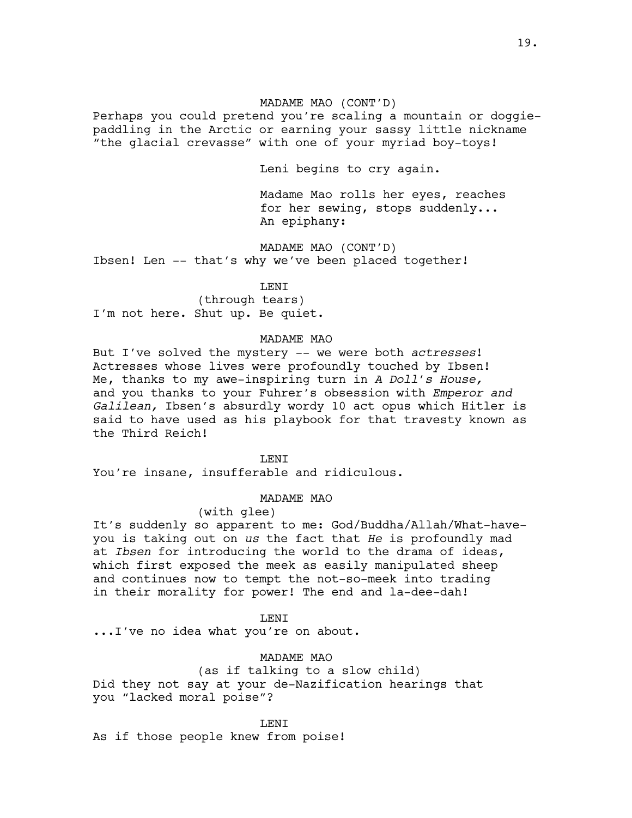# MADAME MAO (CONT'D)

Perhaps you could pretend you're scaling a mountain or doggiepaddling in the Arctic or earning your sassy little nickname "the glacial crevasse" with one of your myriad boy-toys!

Leni begins to cry again.

Madame Mao rolls her eyes, reaches for her sewing, stops suddenly... An epiphany:

MADAME MAO (CONT'D) Ibsen! Len -- that's why we've been placed together!

LENI

(through tears) I'm not here. Shut up. Be quiet.

#### MADAME MAO

But I've solved the mystery -- we were both *actresses*! Actresses whose lives were profoundly touched by Ibsen! Me, thanks to my awe-inspiring turn in *A Doll's House,*  and you thanks to your Fuhrer's obsession with *Emperor and Galilean,* Ibsen's absurdly wordy 10 act opus which Hitler is said to have used as his playbook for that travesty known as the Third Reich!

**LENT** 

You're insane, insufferable and ridiculous.

MADAME MAO

# (with glee)

It's suddenly so apparent to me: God/Buddha/Allah/What-haveyou is taking out on *us* the fact that *He* is profoundly mad at *Ibsen* for introducing the world to the drama of ideas, which first exposed the meek as easily manipulated sheep and continues now to tempt the not-so-meek into trading in their morality for power! The end and la-dee-dah!

#### LENI

...I've no idea what you're on about.

#### MADAME MAO

(as if talking to a slow child) Did they not say at your de-Nazification hearings that you "lacked moral poise"?

LENI

As if those people knew from poise!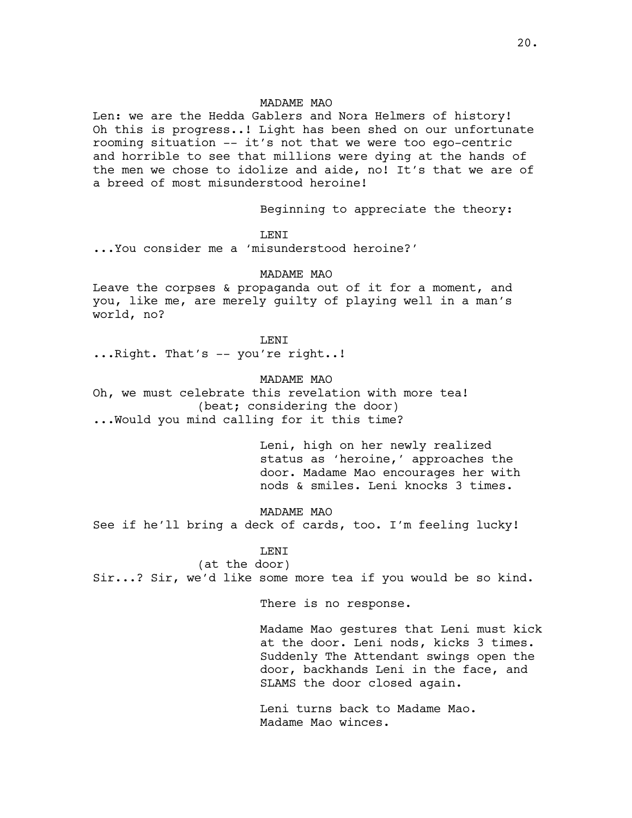Len: we are the Hedda Gablers and Nora Helmers of history! Oh this is progress..! Light has been shed on our unfortunate rooming situation -- it's not that we were too ego-centric and horrible to see that millions were dying at the hands of the men we chose to idolize and aide, no! It's that we are of a breed of most misunderstood heroine!

Beginning to appreciate the theory:

LENI

...You consider me a 'misunderstood heroine?'

#### MADAME MAO

Leave the corpses & propaganda out of it for a moment, and you, like me, are merely guilty of playing well in a man's world, no?

LENI ...Right. That's -- you're right..!

# MADAME MAO

Oh, we must celebrate this revelation with more tea! (beat; considering the door) ...Would you mind calling for it this time?

> Leni, high on her newly realized status as 'heroine,' approaches the door. Madame Mao encourages her with nods & smiles. Leni knocks 3 times.

### MADAME MAO

See if he'll bring a deck of cards, too. I'm feeling lucky!

# LENI

(at the door) Sir...? Sir, we'd like some more tea if you would be so kind.

There is no response.

Madame Mao gestures that Leni must kick at the door. Leni nods, kicks 3 times. Suddenly The Attendant swings open the door, backhands Leni in the face, and SLAMS the door closed again.

Leni turns back to Madame Mao. Madame Mao winces.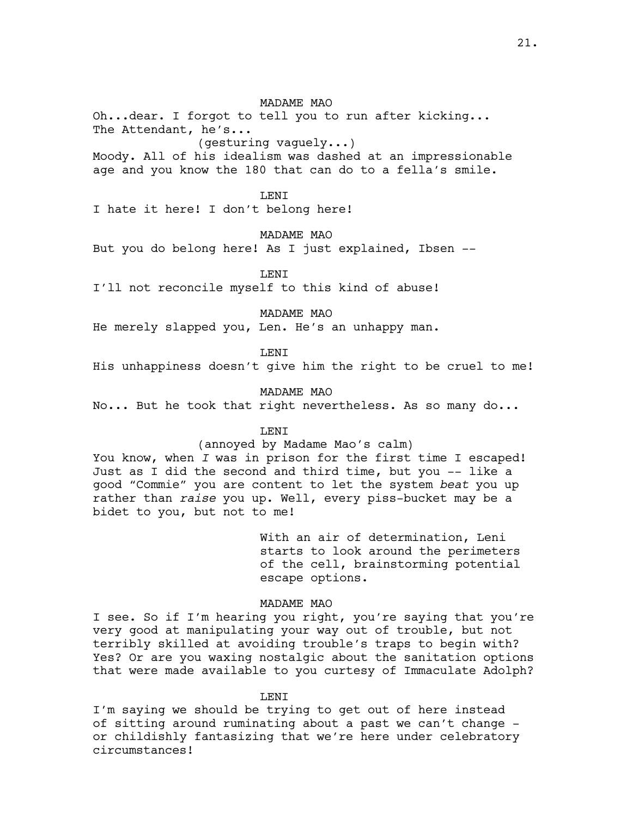Oh...dear. I forgot to tell you to run after kicking... The Attendant, he's... (gesturing vaguely...)

Moody. All of his idealism was dashed at an impressionable age and you know the 180 that can do to a fella's smile.

#### **LENT**

I hate it here! I don't belong here!

MADAME MAO

But you do belong here! As I just explained, Ibsen --

LENI

I'll not reconcile myself to this kind of abuse!

MADAME MAO

He merely slapped you, Len. He's an unhappy man.

**LENT** 

His unhappiness doesn't give him the right to be cruel to me!

MADAME MAO

No... But he took that right nevertheless. As so many do...

LENI

#### (annoyed by Madame Mao's calm)

You know, when *I* was in prison for the first time I escaped! Just as I did the second and third time, but you -- like a good "Commie" you are content to let the system *beat* you up rather than *raise* you up. Well, every piss-bucket may be a bidet to you, but not to me!

> With an air of determination, Leni starts to look around the perimeters of the cell, brainstorming potential escape options.

# MADAME MAO

I see. So if I'm hearing you right, you're saying that you're very good at manipulating your way out of trouble, but not terribly skilled at avoiding trouble's traps to begin with? Yes? Or are you waxing nostalgic about the sanitation options that were made available to you curtesy of Immaculate Adolph?

#### T.F.NT

I'm saying we should be trying to get out of here instead of sitting around ruminating about a past we can't change or childishly fantasizing that we're here under celebratory circumstances!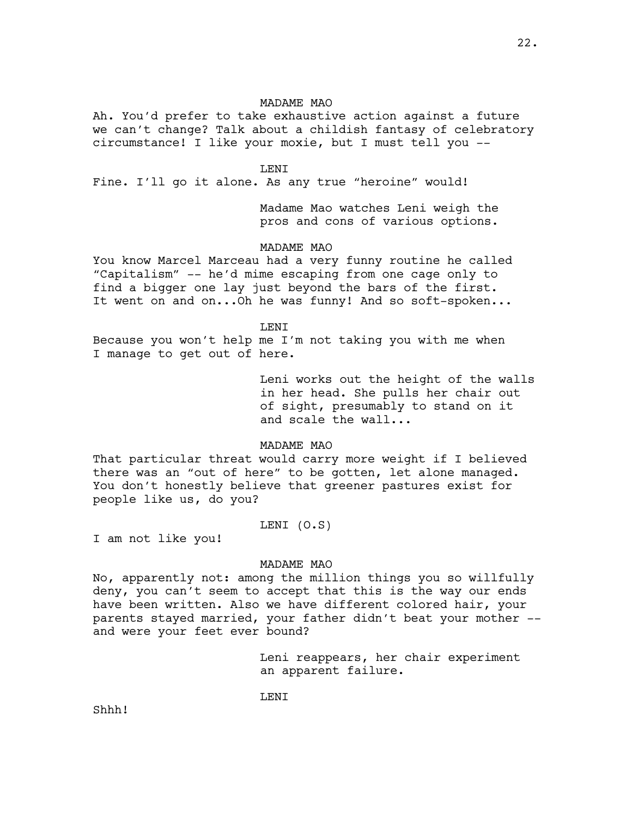Ah. You'd prefer to take exhaustive action against a future we can't change? Talk about a childish fantasy of celebratory circumstance! I like your moxie, but I must tell you --

#### LENI

Fine. I'll go it alone. As any true "heroine" would!

Madame Mao watches Leni weigh the pros and cons of various options.

### MADAME MAO

You know Marcel Marceau had a very funny routine he called "Capitalism" -- he'd mime escaping from one cage only to find a bigger one lay just beyond the bars of the first. It went on and on...Oh he was funny! And so soft-spoken...

LENI

Because you won't help me I'm not taking you with me when I manage to get out of here.

> Leni works out the height of the walls in her head. She pulls her chair out of sight, presumably to stand on it and scale the wall...

#### MADAME MAO

That particular threat would carry more weight if I believed there was an "out of here" to be gotten, let alone managed. You don't honestly believe that greener pastures exist for people like us, do you?

### LENI (O.S)

I am not like you!

#### MADAME MAO

No, apparently not: among the million things you so willfully deny, you can't seem to accept that this is the way our ends have been written. Also we have different colored hair, your parents stayed married, your father didn't beat your mother - and were your feet ever bound?

> Leni reappears, her chair experiment an apparent failure.

LENI

Shhh!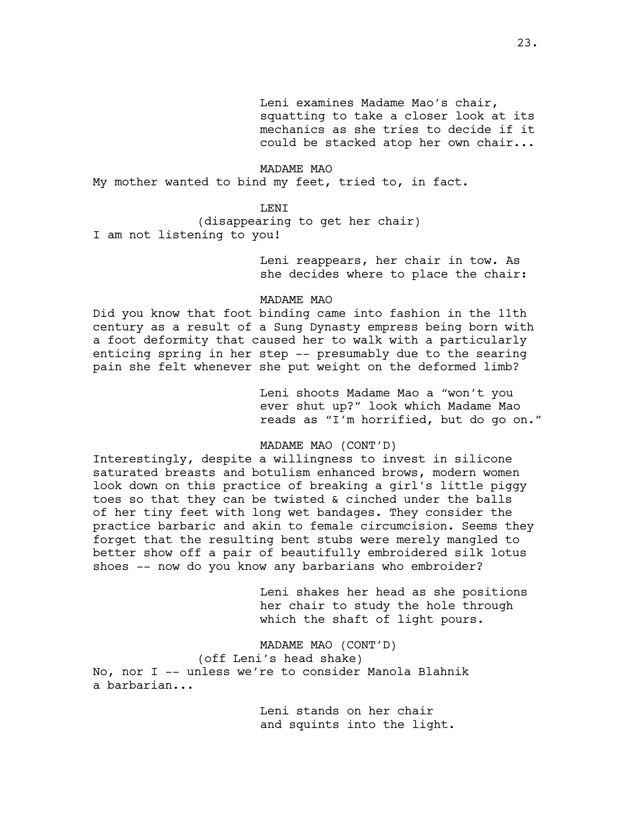Leni examines Madame Mao's chair, squatting to take a closer look at its mechanics as she tries to decide if it could be stacked atop her own chair...

MADAME MAO My mother wanted to bind my feet, tried to, in fact.

# **LENT**

(disappearing to get her chair) I am not listening to you!

> Leni reappears, her chair in tow. As she decides where to place the chair:

#### MADAME MAO

Did you know that foot binding came into fashion in the 11th century as a result of a Sung Dynasty empress being born with a foot deformity that caused her to walk with a particularly enticing spring in her step -- presumably due to the searing pain she felt whenever she put weight on the deformed limb?

> Leni shoots Madame Mao a "won't you ever shut up?" look which Madame Mao reads as "I'm horrified, but do go on."

### MADAME MAO (CONT'D)

Interestingly, despite a willingness to invest in silicone saturated breasts and botulism enhanced brows, modern women look down on this practice of breaking a girl's little piggy toes so that they can be twisted & cinched under the balls of her tiny feet with long wet bandages. They consider the practice barbaric and akin to female circumcision. Seems they forget that the resulting bent stubs were merely mangled to better show off a pair of beautifully embroidered silk lotus shoes -- now do you know any barbarians who embroider?

> Leni shakes her head as she positions her chair to study the hole through which the shaft of light pours.

MADAME MAO (CONT'D) (off Leni's head shake) No, nor I -- unless we're to consider Manola Blahnik a barbarian...

> Leni stands on her chair and squints into the light.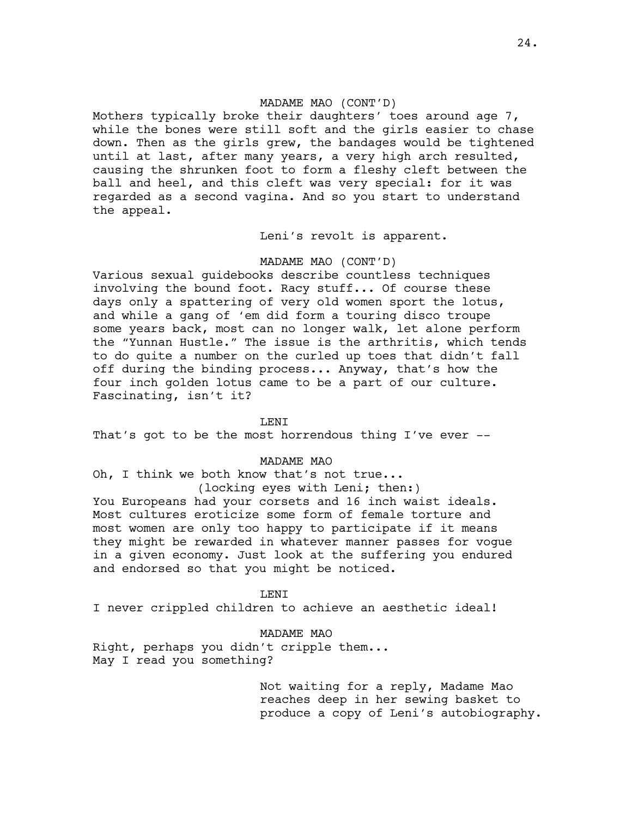# MADAME MAO (CONT'D)

Mothers typically broke their daughters' toes around age 7, while the bones were still soft and the girls easier to chase down. Then as the girls grew, the bandages would be tightened until at last, after many years, a very high arch resulted, causing the shrunken foot to form a fleshy cleft between the ball and heel, and this cleft was very special: for it was regarded as a second vagina. And so you start to understand the appeal.

Leni's revolt is apparent.

### MADAME MAO (CONT'D)

Various sexual guidebooks describe countless techniques involving the bound foot. Racy stuff... Of course these days only a spattering of very old women sport the lotus, and while a gang of 'em did form a touring disco troupe some years back, most can no longer walk, let alone perform the "Yunnan Hustle." The issue is the arthritis, which tends to do quite a number on the curled up toes that didn't fall off during the binding process... Anyway, that's how the four inch golden lotus came to be a part of our culture. Fascinating, isn't it?

#### LENI

That's got to be the most horrendous thing I've ever --

MADAME MAO

Oh, I think we both know that's not true... (locking eyes with Leni; then:)

You Europeans had your corsets and 16 inch waist ideals. Most cultures eroticize some form of female torture and most women are only too happy to participate if it means they might be rewarded in whatever manner passes for vogue in a given economy. Just look at the suffering you endured and endorsed so that you might be noticed.

**LENT** I never crippled children to achieve an aesthetic ideal!

MADAME MAO Right, perhaps you didn't cripple them... May I read you something?

> Not waiting for a reply, Madame Mao reaches deep in her sewing basket to produce a copy of Leni's autobiography.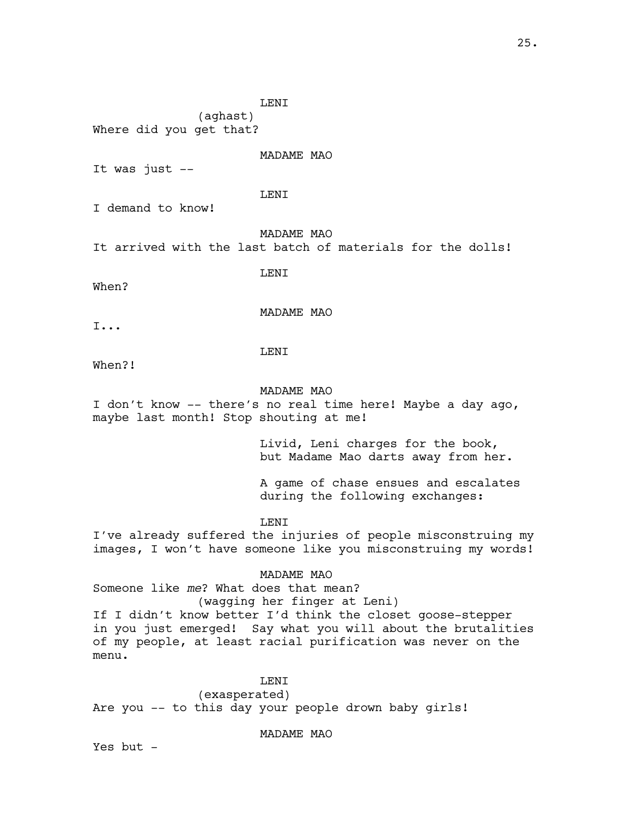LENI

(aghast) Where did you get that?

MADAME MAO

It was just --

LENI

I demand to know!

MADAME MAO

It arrived with the last batch of materials for the dolls!

LENI

When?

MADAME MAO

I...

LENI

When?!

#### MADAME MAO

I don't know -- there's no real time here! Maybe a day ago, maybe last month! Stop shouting at me!

> Livid, Leni charges for the book, but Madame Mao darts away from her.

A game of chase ensues and escalates during the following exchanges:

#### LENI

I've already suffered the injuries of people misconstruing my images, I won't have someone like you misconstruing my words!

### MADAME MAO

Someone like *me*? What does that mean? (wagging her finger at Leni) If I didn't know better I'd think the closet goose-stepper in you just emerged! Say what you will about the brutalities of my people, at least racial purification was never on the

# LENI

(exasperated) Are you -- to this day your people drown baby girls!

MADAME MAO

Yes but  $-$ 

menu.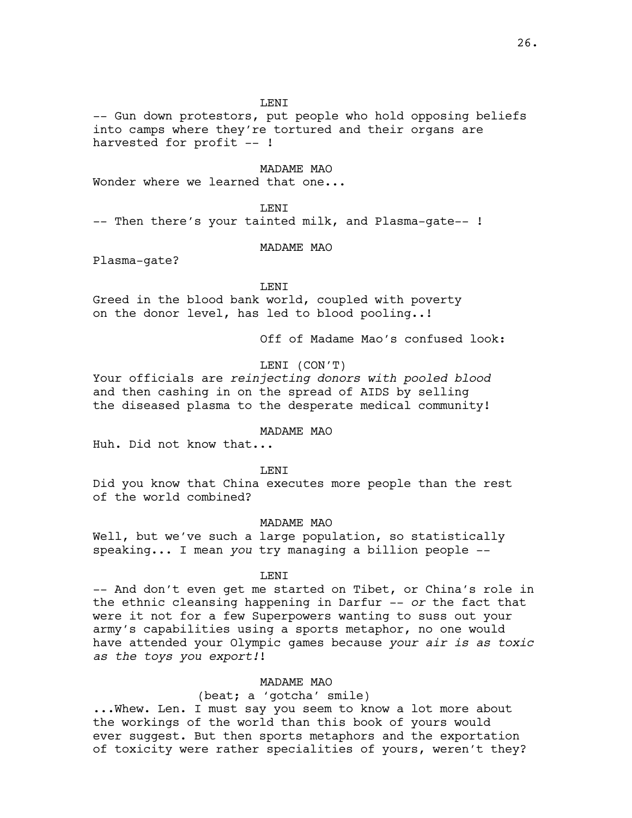**LENT** 

-- Gun down protestors, put people who hold opposing beliefs into camps where they're tortured and their organs are harvested for profit -- !

MADAME MAO

Wonder where we learned that one...

**LENT** 

-- Then there's your tainted milk, and Plasma-gate-- !

MADAME MAO

Plasma-gate?

LENI

Greed in the blood bank world, coupled with poverty on the donor level, has led to blood pooling..!

Off of Madame Mao's confused look:

LENI (CON'T)

Your officials are *reinjecting donors with pooled blood*  and then cashing in on the spread of AIDS by selling the diseased plasma to the desperate medical community!

MADAME MAO

Huh. Did not know that...

LENI

Did you know that China executes more people than the rest of the world combined?

MADAME MAO

Well, but we've such a large population, so statistically speaking... I mean *you* try managing a billion people --

LENI

-- And don't even get me started on Tibet, or China's role in the ethnic cleansing happening in Darfur -- *or* the fact that were it not for a few Superpowers wanting to suss out your army's capabilities using a sports metaphor, no one would have attended your Olympic games because *your air is as toxic as the toys you export!*!

MADAME MAO

(beat; a 'gotcha' smile) ...Whew. Len. I must say you seem to know a lot more about the workings of the world than this book of yours would ever suggest. But then sports metaphors and the exportation of toxicity were rather specialities of yours, weren't they?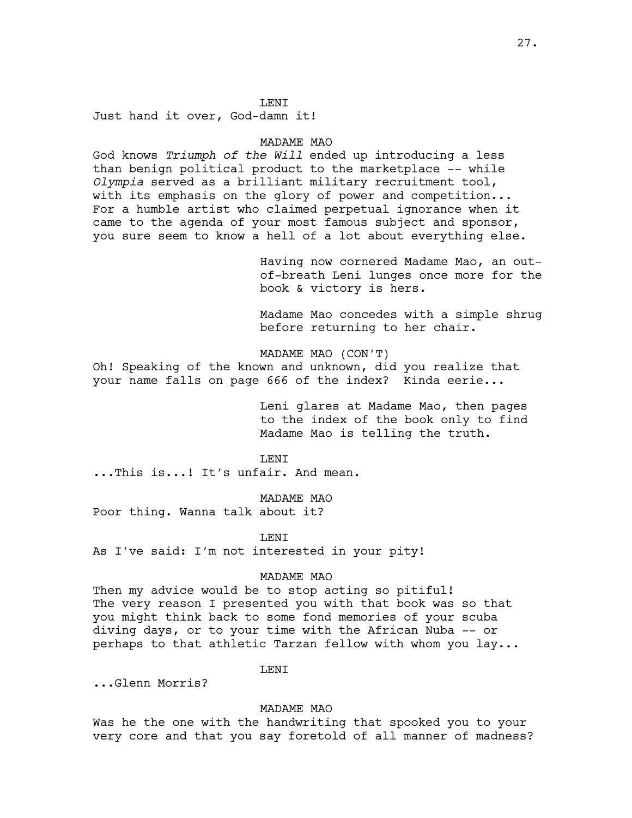### LENI

Just hand it over, God-damn it!

# MADAME MAO

God knows *Triumph of the Will* ended up introducing a less than benign political product to the marketplace -- while *Olympia* served as a brilliant military recruitment tool, with its emphasis on the glory of power and competition... For a humble artist who claimed perpetual ignorance when it came to the agenda of your most famous subject and sponsor, you sure seem to know a hell of a lot about everything else.

> Having now cornered Madame Mao, an outof-breath Leni lunges once more for the book & victory is hers.

> Madame Mao concedes with a simple shrug before returning to her chair.

MADAME MAO (CON'T)

Oh! Speaking of the known and unknown, did you realize that your name falls on page 666 of the index? Kinda eerie...

> Leni glares at Madame Mao, then pages to the index of the book only to find Madame Mao is telling the truth.

**LENT** 

...This is...! It's unfair. And mean.

MADAME MAO

Poor thing. Wanna talk about it?

LENI

As I've said: I'm not interested in your pity!

### MADAME MAO

Then my advice would be to stop acting so pitiful! The very reason I presented you with that book was so that you might think back to some fond memories of your scuba diving days, or to your time with the African Nuba -- or perhaps to that athletic Tarzan fellow with whom you lay...

LENI

...Glenn Morris?

#### MADAME MAO

Was he the one with the handwriting that spooked you to your very core and that you say foretold of all manner of madness?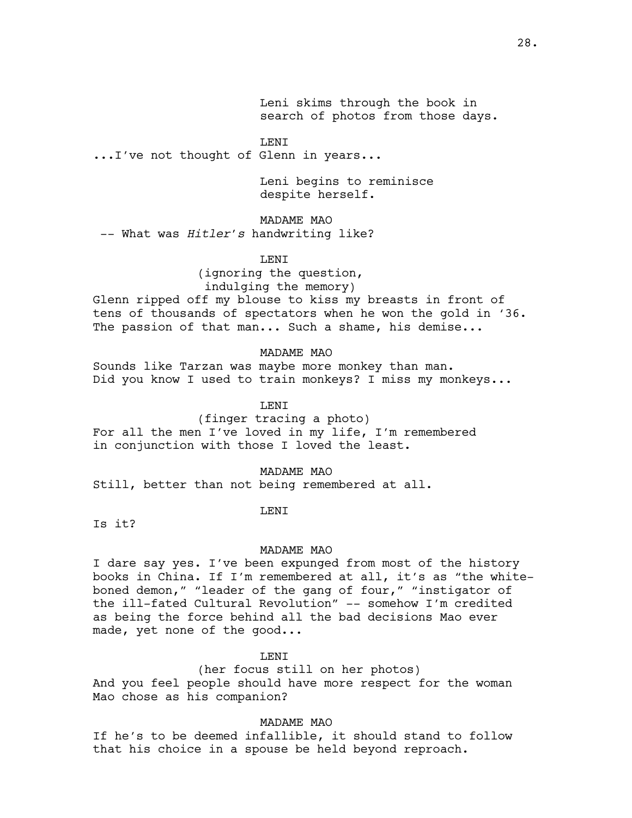Leni skims through the book in search of photos from those days.

LENI

...I've not thought of Glenn in years...

Leni begins to reminisce despite herself.

### MADAME MAO

-- What was *Hitler's* handwriting like?

LENI

(ignoring the question, indulging the memory)

Glenn ripped off my blouse to kiss my breasts in front of tens of thousands of spectators when he won the gold in '36. The passion of that man... Such a shame, his demise...

MADAME MAO

Sounds like Tarzan was maybe more monkey than man. Did you know I used to train monkeys? I miss my monkeys...

T.F.NT

(finger tracing a photo) For all the men I've loved in my life, I'm remembered in conjunction with those I loved the least.

MADAME MAO

Still, better than not being remembered at all.

LENI

Is it?

#### MADAME MAO

I dare say yes. I've been expunged from most of the history books in China. If I'm remembered at all, it's as "the whiteboned demon," "leader of the gang of four," "instigator of the ill-fated Cultural Revolution" -- somehow I'm credited as being the force behind all the bad decisions Mao ever made, yet none of the good...

#### T.F.NT

(her focus still on her photos) And you feel people should have more respect for the woman Mao chose as his companion?

MADAME MAO

If he's to be deemed infallible, it should stand to follow that his choice in a spouse be held beyond reproach.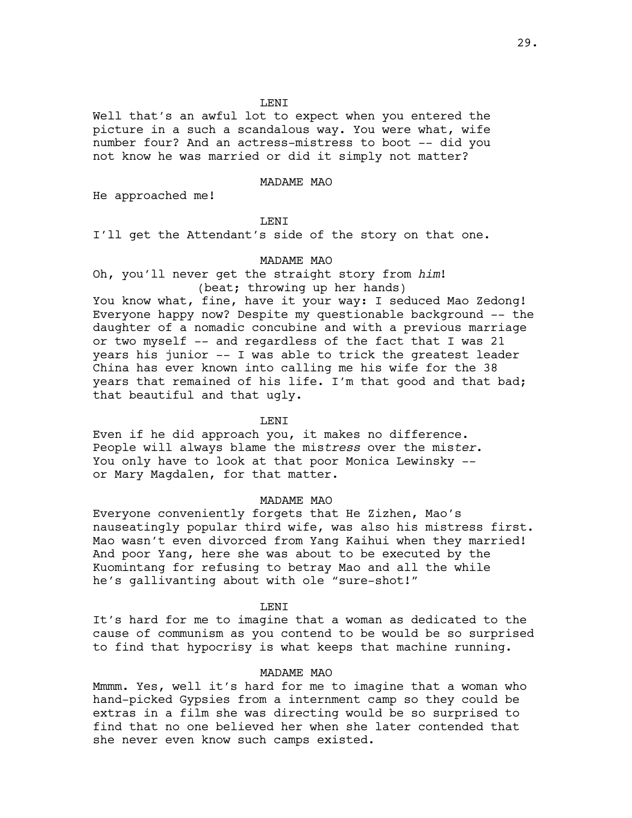### LENI

Well that's an awful lot to expect when you entered the picture in a such a scandalous way. You were what, wife number four? And an actress-mistress to boot -- did you not know he was married or did it simply not matter?

#### MADAME MAO

He approached me!

### LENI

I'll get the Attendant's side of the story on that one.

# MADAME MAO

Oh, you'll never get the straight story from *him*! (beat; throwing up her hands)

You know what, fine, have it your way: I seduced Mao Zedong! Everyone happy now? Despite my questionable background -- the daughter of a nomadic concubine and with a previous marriage or two myself -- and regardless of the fact that I was 21 years his junior -- I was able to trick the greatest leader China has ever known into calling me his wife for the 38 years that remained of his life. I'm that good and that bad; that beautiful and that ugly.

### **LENT**

Even if he did approach you, it makes no difference. People will always blame the mis*tress* over the mis*ter*. You only have to look at that poor Monica Lewinsky - or Mary Magdalen, for that matter.

#### MADAME MAO

Everyone conveniently forgets that He Zizhen, Mao's nauseatingly popular third wife, was also his mistress first. Mao wasn't even divorced from Yang Kaihui when they married! And poor Yang, here she was about to be executed by the Kuomintang for refusing to betray Mao and all the while he's gallivanting about with ole "sure-shot!"

#### **LENT**

It's hard for me to imagine that a woman as dedicated to the cause of communism as you contend to be would be so surprised to find that hypocrisy is what keeps that machine running.

#### MADAME MAO

Mmmm. Yes, well it's hard for me to imagine that a woman who hand-picked Gypsies from a internment camp so they could be extras in a film she was directing would be so surprised to find that no one believed her when she later contended that she never even know such camps existed.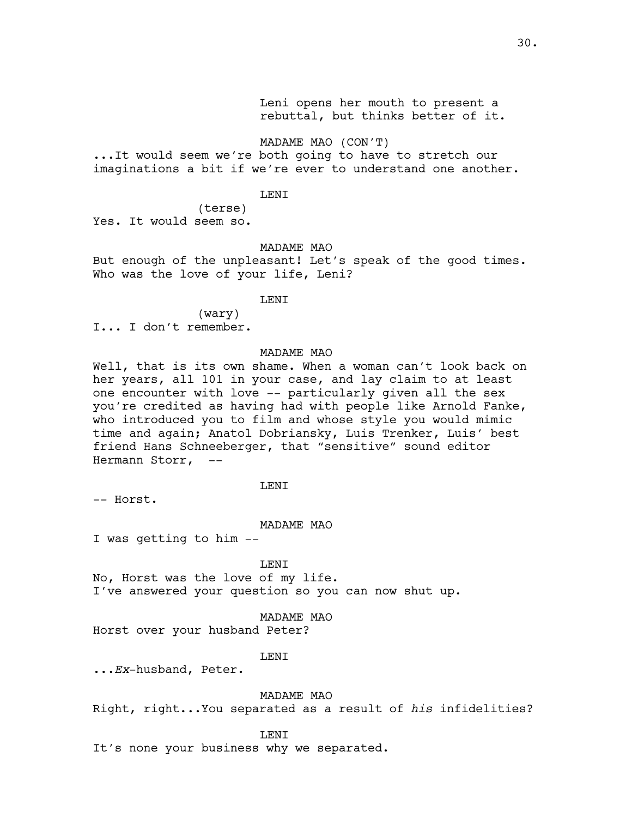Leni opens her mouth to present a rebuttal, but thinks better of it.

MADAME MAO (CON'T)

...It would seem we're both going to have to stretch our imaginations a bit if we're ever to understand one another.

### LENI

(terse) Yes. It would seem so.

### MADAME MAO

But enough of the unpleasant! Let's speak of the good times. Who was the love of your life, Leni?

#### **LENT**

(wary)

I... I don't remember.

### MADAME MAO

Well, that is its own shame. When a woman can't look back on her years, all 101 in your case, and lay claim to at least one encounter with love -- particularly given all the sex you're credited as having had with people like Arnold Fanke, who introduced you to film and whose style you would mimic time and again; Anatol Dobriansky, Luis Trenker, Luis' best friend Hans Schneeberger, that "sensitive" sound editor Hermann Storr, --

### **LENT**

-- Horst.

#### MADAME MAO

I was getting to him --

LENI

No, Horst was the love of my life. I've answered your question so you can now shut up.

#### MADAME MAO

Horst over your husband Peter?

#### LENI

...*Ex*-husband, Peter.

#### MADAME MAO

Right, right...You separated as a result of *his* infidelities?

#### LENI

It's none your business why we separated.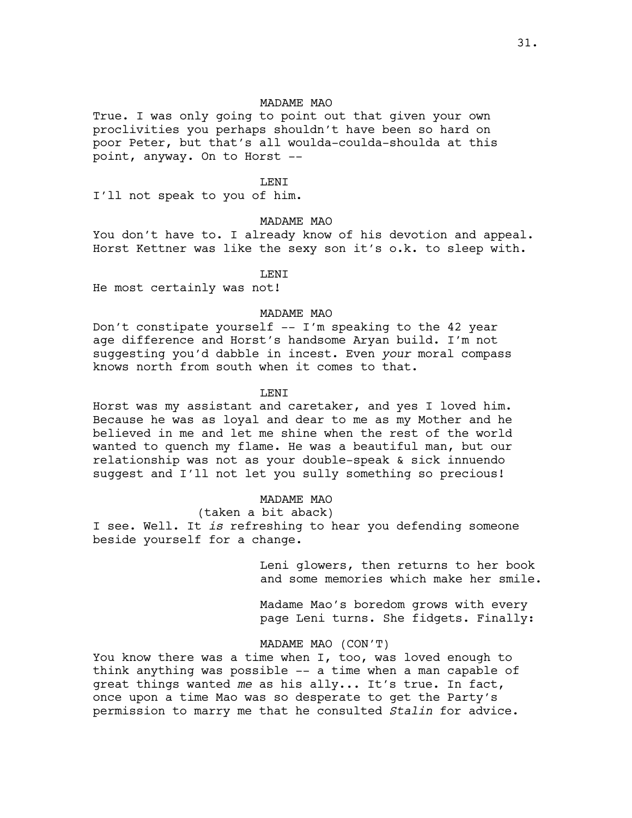True. I was only going to point out that given your own proclivities you perhaps shouldn't have been so hard on poor Peter, but that's all woulda-coulda-shoulda at this point, anyway. On to Horst --

### LENI

I'll not speak to you of him.

# MADAME MAO

You don't have to. I already know of his devotion and appeal. Horst Kettner was like the sexy son it's o.k. to sleep with.

LENI

He most certainly was not!

### MADAME MAO

Don't constipate yourself -- I'm speaking to the 42 year age difference and Horst's handsome Aryan build. I'm not suggesting you'd dabble in incest. Even *your* moral compass knows north from south when it comes to that.

#### LENI

Horst was my assistant and caretaker, and yes I loved him. Because he was as loyal and dear to me as my Mother and he believed in me and let me shine when the rest of the world wanted to quench my flame. He was a beautiful man, but our relationship was not as your double-speak & sick innuendo suggest and I'll not let you sully something so precious!

#### MADAME MAO

(taken a bit aback)

I see. Well. It *is* refreshing to hear you defending someone beside yourself for a change.

> Leni glowers, then returns to her book and some memories which make her smile.

Madame Mao's boredom grows with every page Leni turns. She fidgets. Finally:

#### MADAME MAO (CON'T)

You know there was a time when I, too, was loved enough to think anything was possible -- a time when a man capable of great things wanted *me* as his ally... It's true. In fact, once upon a time Mao was so desperate to get the Party's permission to marry me that he consulted *Stalin* for advice.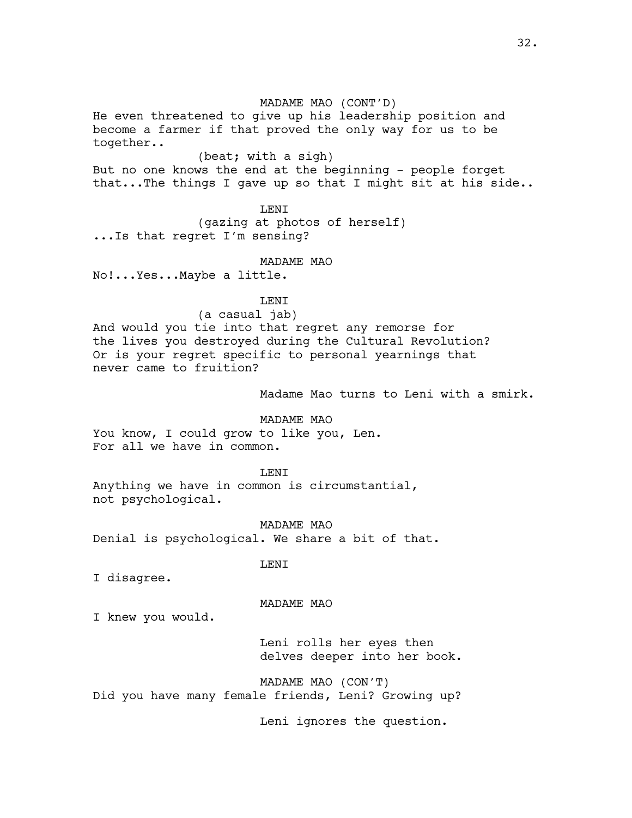MADAME MAO (CONT'D) He even threatened to give up his leadership position and become a farmer if that proved the only way for us to be together.. (beat; with a sigh) But no one knows the end at the beginning - people forget that...The things I gave up so that I might sit at his side.. LENI (gazing at photos of herself) ...Is that regret I'm sensing? MADAME MAO No!...Yes...Maybe a little. LENI (a casual jab) And would you tie into that regret any remorse for the lives you destroyed during the Cultural Revolution? Or is your regret specific to personal yearnings that never came to fruition? Madame Mao turns to Leni with a smirk. MADAME MAO You know, I could grow to like you, Len. For all we have in common. LENI Anything we have in common is circumstantial, not psychological. MADAME MAO Denial is psychological. We share a bit of that. LENI I disagree. MADAME MAO I knew you would. Leni rolls her eyes then

MADAME MAO (CON'T) Did you have many female friends, Leni? Growing up?

Leni ignores the question.

delves deeper into her book.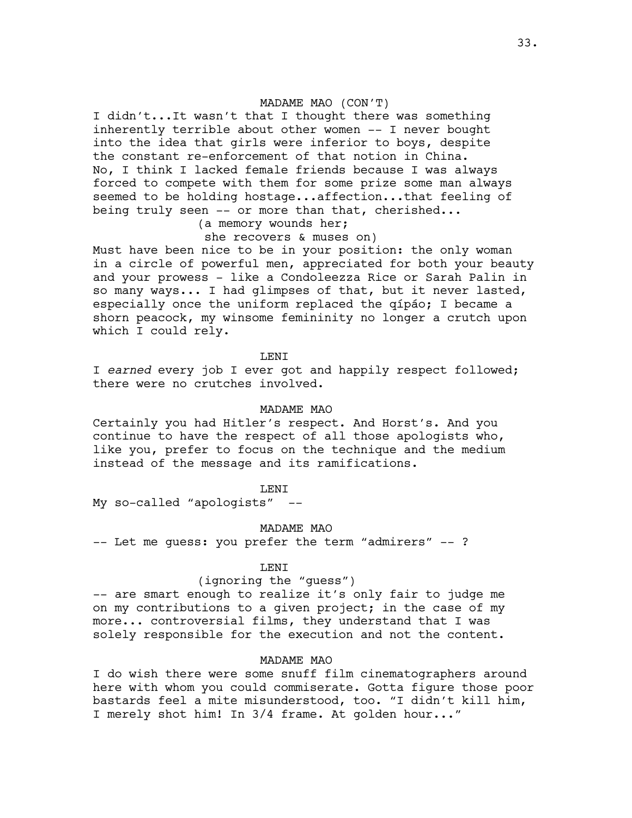# MADAME MAO (CON'T)

I didn't...It wasn't that I thought there was something inherently terrible about other women -- I never bought into the idea that girls were inferior to boys, despite the constant re-enforcement of that notion in China. No, I think I lacked female friends because I was always forced to compete with them for some prize some man always seemed to be holding hostage...affection...that feeling of being truly seen -- or more than that, cherished...

# (a memory wounds her;

# she recovers & muses on)

Must have been nice to be in your position: the only woman in a circle of powerful men, appreciated for both your beauty and your prowess - like a Condoleezza Rice or Sarah Palin in so many ways... I had glimpses of that, but it never lasted, especially once the uniform replaced the qípáo; I became a shorn peacock, my winsome femininity no longer a crutch upon which I could rely.

**LENT** 

I *earned* every job I ever got and happily respect followed; there were no crutches involved.

### MADAME MAO

Certainly you had Hitler's respect. And Horst's. And you continue to have the respect of all those apologists who, like you, prefer to focus on the technique and the medium instead of the message and its ramifications.

#### LENI

My so-called "apologists" --

MADAME MAO

-- Let me quess: you prefer the term "admirers" -- ?

#### LENI

#### (ignoring the "guess")

-- are smart enough to realize it's only fair to judge me on my contributions to a given project; in the case of my more... controversial films, they understand that I was solely responsible for the execution and not the content.

### MADAME MAO

I do wish there were some snuff film cinematographers around here with whom you could commiserate. Gotta figure those poor bastards feel a mite misunderstood, too. "I didn't kill him, I merely shot him! In 3/4 frame. At golden hour..."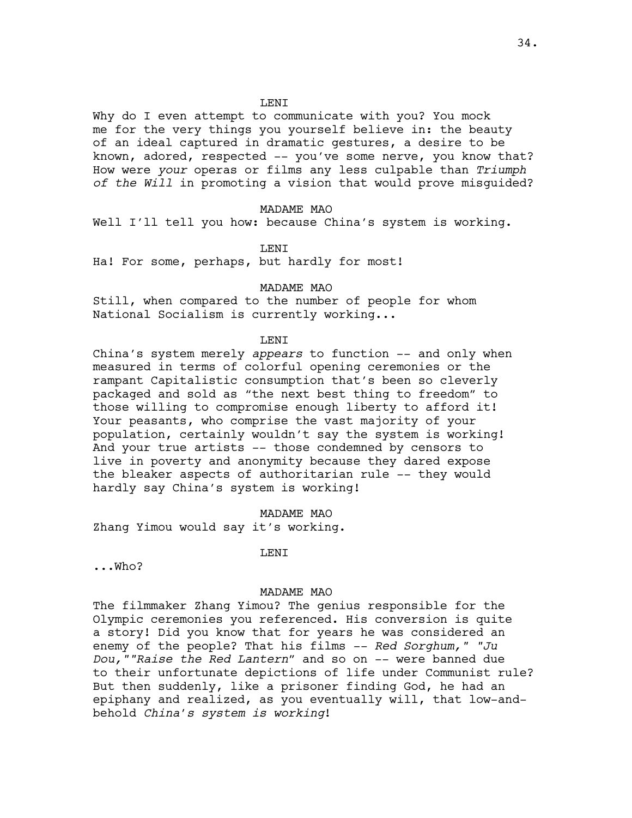### LENI

Why do I even attempt to communicate with you? You mock me for the very things you yourself believe in: the beauty of an ideal captured in dramatic gestures, a desire to be known, adored, respected -- you've some nerve, you know that? How were *your* operas or films any less culpable than *Triumph of the Will* in promoting a vision that would prove misguided?

#### MADAME MAO

Well I'll tell you how: because China's system is working.

#### **LENT**

Ha! For some, perhaps, but hardly for most!

### MADAME MAO

Still, when compared to the number of people for whom National Socialism is currently working...

#### **LENT**

China's system merely *appears* to function -- and only when measured in terms of colorful opening ceremonies or the rampant Capitalistic consumption that's been so cleverly packaged and sold as "the next best thing to freedom" to those willing to compromise enough liberty to afford it! Your peasants, who comprise the vast majority of your population, certainly wouldn't say the system is working! And your true artists -- those condemned by censors to live in poverty and anonymity because they dared expose the bleaker aspects of authoritarian rule -- they would hardly say China's system is working!

### MADAME MAO

Zhang Yimou would say it's working.

# LENI

...Who?

#### MADAME MAO

The filmmaker Zhang Yimou? The genius responsible for the Olympic ceremonies you referenced. His conversion is quite a story! Did you know that for years he was considered an enemy of the people? That his films -- *Red Sorghum," "Ju Dou,""Raise the Red Lantern"* and so on -- were banned due to their unfortunate depictions of life under Communist rule? But then suddenly, like a prisoner finding God, he had an epiphany and realized, as you eventually will, that low-andbehold *China's system is working*!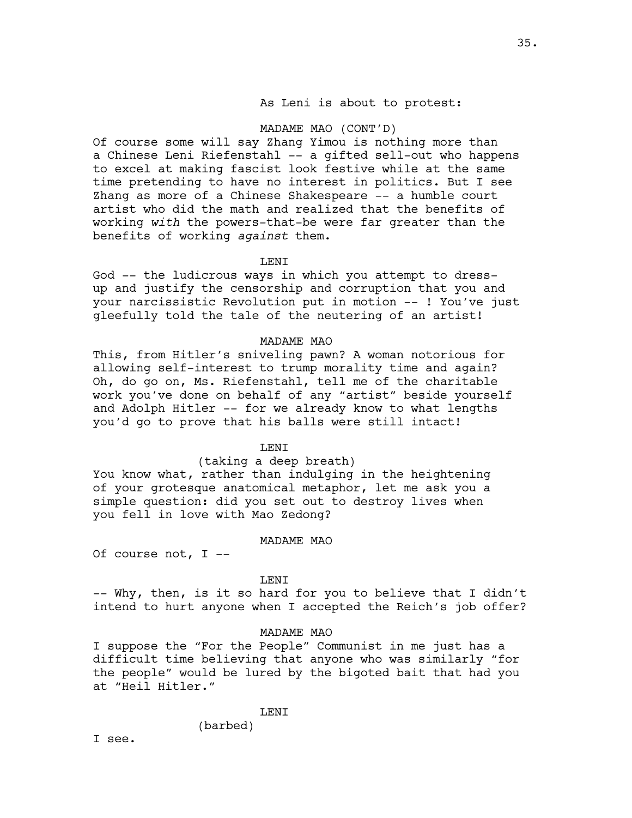# As Leni is about to protest:

### MADAME MAO (CONT'D)

Of course some will say Zhang Yimou is nothing more than a Chinese Leni Riefenstahl -- a gifted sell-out who happens to excel at making fascist look festive while at the same time pretending to have no interest in politics. But I see Zhang as more of a Chinese Shakespeare -- a humble court artist who did the math and realized that the benefits of working *with* the powers-that-be were far greater than the benefits of working *against* them.

#### LENI

God -- the ludicrous ways in which you attempt to dressup and justify the censorship and corruption that you and your narcissistic Revolution put in motion -- ! You've just gleefully told the tale of the neutering of an artist!

#### MADAME MAO

This, from Hitler's sniveling pawn? A woman notorious for allowing self-interest to trump morality time and again? Oh, do go on, Ms. Riefenstahl, tell me of the charitable work you've done on behalf of any "artist" beside yourself and Adolph Hitler -- for we already know to what lengths you'd go to prove that his balls were still intact!

### LENI

### (taking a deep breath)

You know what, rather than indulging in the heightening of your grotesque anatomical metaphor, let me ask you a simple question: did you set out to destroy lives when you fell in love with Mao Zedong?

#### MADAME MAO

Of course not, I --

### LENI

-- Why, then, is it so hard for you to believe that I didn't intend to hurt anyone when I accepted the Reich's job offer?

#### MADAME MAO

I suppose the "For the People" Communist in me just has a difficult time believing that anyone who was similarly "for the people" would be lured by the bigoted bait that had you at "Heil Hitler."

LENI

(barbed)

I see.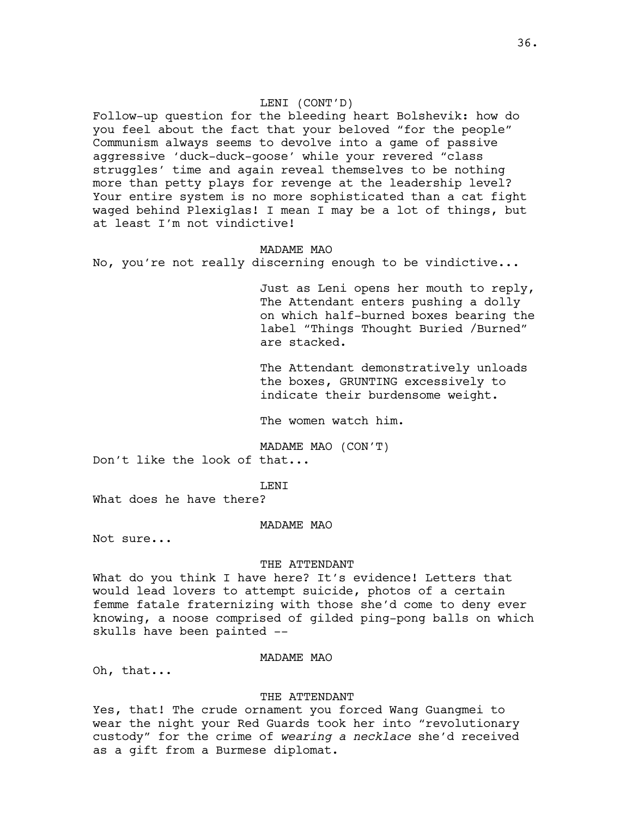## LENI (CONT'D)

Follow-up question for the bleeding heart Bolshevik: how do you feel about the fact that your beloved "for the people" Communism always seems to devolve into a game of passive aggressive 'duck-duck-goose' while your revered "class struggles' time and again reveal themselves to be nothing more than petty plays for revenge at the leadership level? Your entire system is no more sophisticated than a cat fight waged behind Plexiglas! I mean I may be a lot of things, but at least I'm not vindictive!

# MADAME MAO

No, you're not really discerning enough to be vindictive...

Just as Leni opens her mouth to reply, The Attendant enters pushing a dolly on which half-burned boxes bearing the label "Things Thought Buried /Burned" are stacked.

The Attendant demonstratively unloads the boxes, GRUNTING excessively to indicate their burdensome weight.

The women watch him.

MADAME MAO (CON'T)

Don't like the look of that...

T.F.NT

What does he have there?

### MADAME MAO

Not sure...

### THE ATTENDANT

What do you think I have here? It's evidence! Letters that would lead lovers to attempt suicide, photos of a certain femme fatale fraternizing with those she'd come to deny ever knowing, a noose comprised of gilded ping-pong balls on which skulls have been painted --

### MADAME MAO

Oh, that...

## THE ATTENDANT

Yes, that! The crude ornament you forced Wang Guangmei to wear the night your Red Guards took her into "revolutionary custody" for the crime of *wearing a necklace* she'd received as a gift from a Burmese diplomat.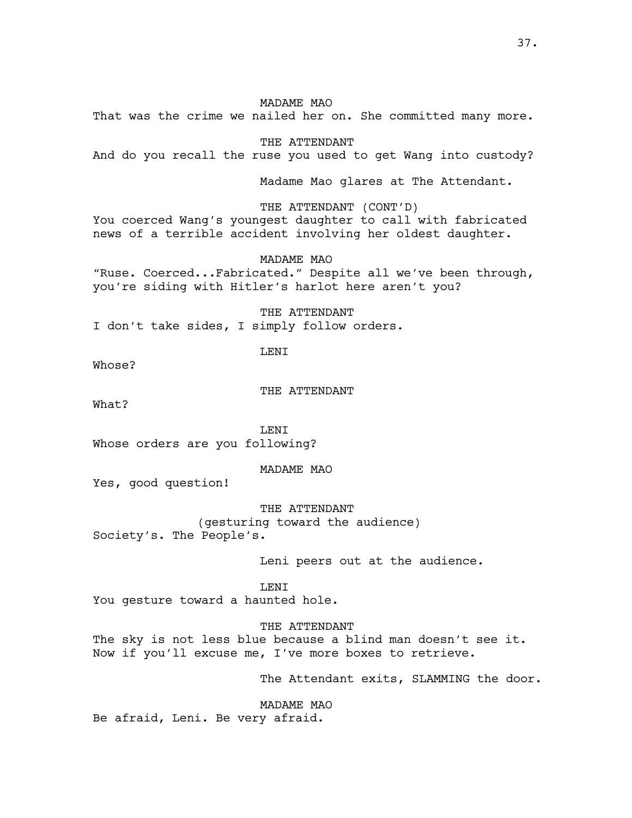That was the crime we nailed her on. She committed many more.

THE ATTENDANT

And do you recall the ruse you used to get Wang into custody?

Madame Mao glares at The Attendant.

THE ATTENDANT (CONT'D)

You coerced Wang's youngest daughter to call with fabricated news of a terrible accident involving her oldest daughter.

MADAME MAO

"Ruse. Coerced...Fabricated." Despite all we've been through, you're siding with Hitler's harlot here aren't you?

THE ATTENDANT I don't take sides, I simply follow orders.

LENI

Whose?

THE ATTENDANT

What?

T.F.NT Whose orders are you following?

MADAME MAO

Yes, good question!

THE ATTENDANT

(gesturing toward the audience) Society's. The People's.

Leni peers out at the audience.

LENI

You gesture toward a haunted hole.

THE ATTENDANT

The sky is not less blue because a blind man doesn't see it. Now if you'll excuse me, I've more boxes to retrieve.

The Attendant exits, SLAMMING the door.

MADAME MAO

Be afraid, Leni. Be very afraid.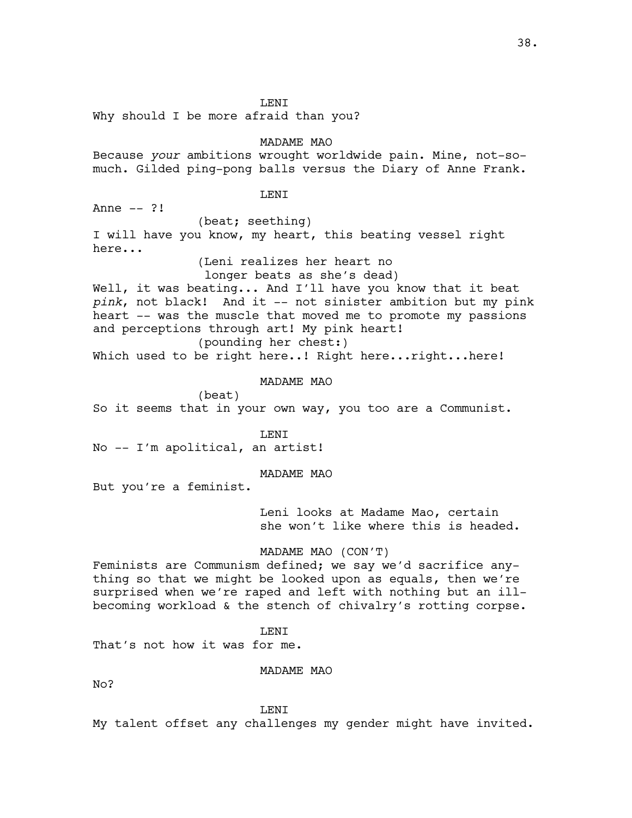LENI

Why should I be more afraid than you?

MADAME MAO

Because *your* ambitions wrought worldwide pain. Mine, not-somuch. Gilded ping-pong balls versus the Diary of Anne Frank.

# LENI

 $anne = 2!$ (beat; seething) I will have you know, my heart, this beating vessel right here...

(Leni realizes her heart no

longer beats as she's dead)

Well, it was beating... And I'll have you know that it beat *pink*, not black! And it -- not sinister ambition but my pink heart -- was the muscle that moved me to promote my passions and perceptions through art! My pink heart!

(pounding her chest:) Which used to be right here..! Right here...right...here!

MADAME MAO

(beat) So it seems that in your own way, you too are a Communist.

**LENT** 

No -- I'm apolitical, an artist!

MADAME MAO

But you're a feminist.

Leni looks at Madame Mao, certain she won't like where this is headed.

## MADAME MAO (CON'T)

Feminists are Communism defined; we say we'd sacrifice anything so that we might be looked upon as equals, then we're surprised when we're raped and left with nothing but an illbecoming workload & the stench of chivalry's rotting corpse.

LENI

That's not how it was for me.

# MADAME MAO

No?

**LENT** 

My talent offset any challenges my gender might have invited.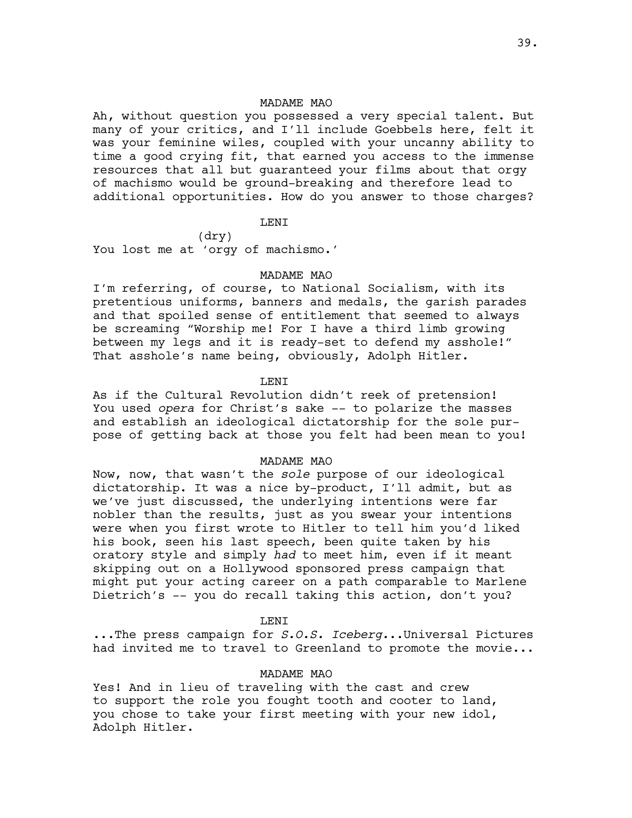Ah, without question you possessed a very special talent. But many of your critics, and I'll include Goebbels here, felt it was your feminine wiles, coupled with your uncanny ability to time a good crying fit, that earned you access to the immense resources that all but guaranteed your films about that orgy of machismo would be ground-breaking and therefore lead to additional opportunities. How do you answer to those charges?

## LENI

(dry) You lost me at 'orgy of machismo.'

#### MADAME MAO

I'm referring, of course, to National Socialism, with its pretentious uniforms, banners and medals, the garish parades and that spoiled sense of entitlement that seemed to always be screaming "Worship me! For I have a third limb growing between my legs and it is ready-set to defend my asshole!" That asshole's name being, obviously, Adolph Hitler.

# LENI

As if the Cultural Revolution didn't reek of pretension! You used *opera* for Christ's sake -- to polarize the masses and establish an ideological dictatorship for the sole purpose of getting back at those you felt had been mean to you!

### MADAME MAO

Now, now, that wasn't the *sole* purpose of our ideological dictatorship. It was a nice by-product, I'll admit, but as we've just discussed, the underlying intentions were far nobler than the results, just as you swear your intentions were when you first wrote to Hitler to tell him you'd liked his book, seen his last speech, been quite taken by his oratory style and simply *had* to meet him, even if it meant skipping out on a Hollywood sponsored press campaign that might put your acting career on a path comparable to Marlene Dietrich's -- you do recall taking this action, don't you?

#### LENI

...The press campaign for *S.O.S. Iceberg.*..Universal Pictures had invited me to travel to Greenland to promote the movie...

# MADAME MAO

Yes! And in lieu of traveling with the cast and crew to support the role you fought tooth and cooter to land, you chose to take your first meeting with your new idol, Adolph Hitler.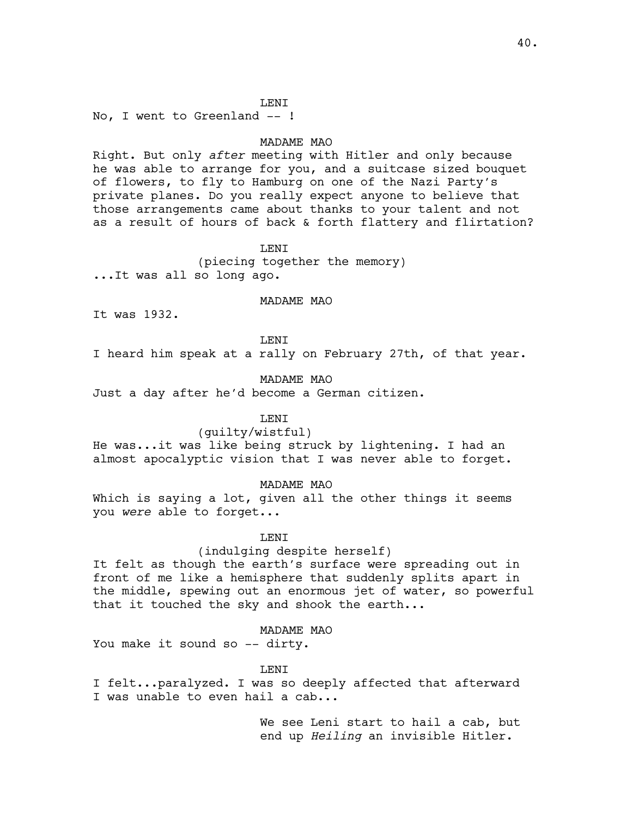## LENI

No, I went to Greenland -- !

## MADAME MAO

Right. But only *after* meeting with Hitler and only because he was able to arrange for you, and a suitcase sized bouquet of flowers, to fly to Hamburg on one of the Nazi Party's private planes. Do you really expect anyone to believe that those arrangements came about thanks to your talent and not as a result of hours of back & forth flattery and flirtation?

## **LENT**

(piecing together the memory) ...It was all so long ago.

### MADAME MAO

It was 1932.

LENI

I heard him speak at a rally on February 27th, of that year.

# MADAME MAO

Just a day after he'd become a German citizen.

# **LENT**

### (guilty/wistful)

He was...it was like being struck by lightening. I had an almost apocalyptic vision that I was never able to forget.

## MADAME MAO

Which is saying a lot, given all the other things it seems you *were* able to forget...

### LENI

## (indulging despite herself)

It felt as though the earth's surface were spreading out in front of me like a hemisphere that suddenly splits apart in the middle, spewing out an enormous jet of water, so powerful that it touched the sky and shook the earth...

# MADAME MAO

You make it sound so -- dirty.

#### LENI

I felt...paralyzed. I was so deeply affected that afterward I was unable to even hail a cab...

> We see Leni start to hail a cab, but end up *Heiling* an invisible Hitler.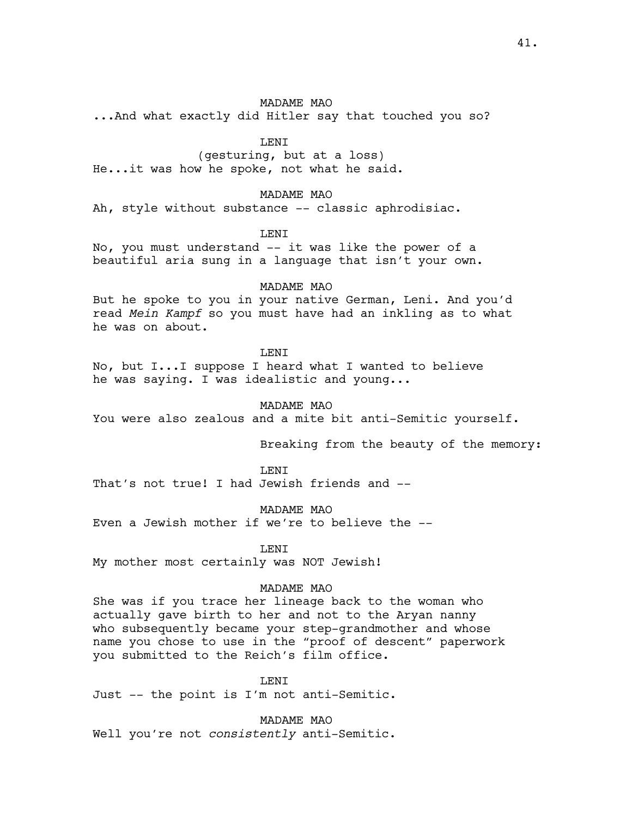...And what exactly did Hitler say that touched you so?

LENI

(gesturing, but at a loss) He...it was how he spoke, not what he said.

MADAME MAO

Ah, style without substance -- classic aphrodisiac.

LENI

No, you must understand -- it was like the power of a beautiful aria sung in a language that isn't your own.

MADAME MAO

But he spoke to you in your native German, Leni. And you'd read *Mein Kampf* so you must have had an inkling as to what he was on about.

**LENT** 

No, but I...I suppose I heard what I wanted to believe he was saying. I was idealistic and young...

MADAME MAO

You were also zealous and a mite bit anti-Semitic yourself.

Breaking from the beauty of the memory:

**LENT** 

That's not true! I had Jewish friends and --

MADAME MAO

Even a Jewish mother if we're to believe the --

**LENT** 

My mother most certainly was NOT Jewish!

# MADAME MAO

She was if you trace her lineage back to the woman who actually gave birth to her and not to the Aryan nanny who subsequently became your step-grandmother and whose name you chose to use in the "proof of descent" paperwork you submitted to the Reich's film office.

LENI

Just -- the point is I'm not anti-Semitic.

MADAME MAO

Well you're not *consistently* anti-Semitic.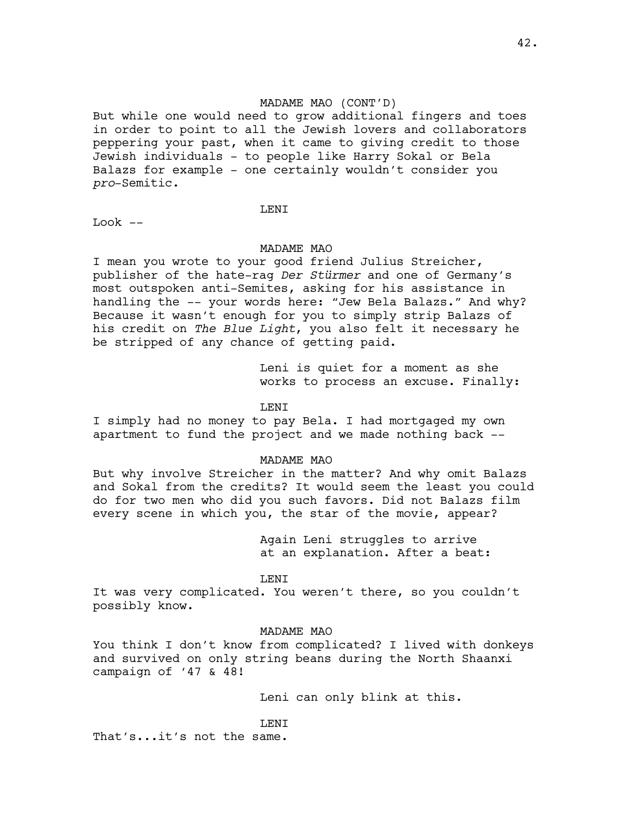# MADAME MAO (CONT'D)

But while one would need to grow additional fingers and toes in order to point to all the Jewish lovers and collaborators peppering your past, when it came to giving credit to those Jewish individuals - to people like Harry Sokal or Bela Balazs for example - one certainly wouldn't consider you *pro*-Semitic.

### LENI

Look --

### MADAME MAO

I mean you wrote to your good friend Julius Streicher, publisher of the hate-rag *Der Stürmer* and one of Germany's most outspoken anti-Semites, asking for his assistance in handling the -- your words here: "Jew Bela Balazs." And why? Because it wasn't enough for you to simply strip Balazs of his credit on *The Blue Light*, you also felt it necessary he be stripped of any chance of getting paid.

> Leni is quiet for a moment as she works to process an excuse. Finally:

## LENI

I simply had no money to pay Bela. I had mortgaged my own apartment to fund the project and we made nothing back --

### MADAME MAO

But why involve Streicher in the matter? And why omit Balazs and Sokal from the credits? It would seem the least you could do for two men who did you such favors. Did not Balazs film every scene in which you, the star of the movie, appear?

> Again Leni struggles to arrive at an explanation. After a beat:

### LENI

It was very complicated. You weren't there, so you couldn't possibly know.

## MADAME MAO

You think I don't know from complicated? I lived with donkeys and survived on only string beans during the North Shaanxi campaign of '47 & 48!

Leni can only blink at this.

# LENI

That's...it's not the same.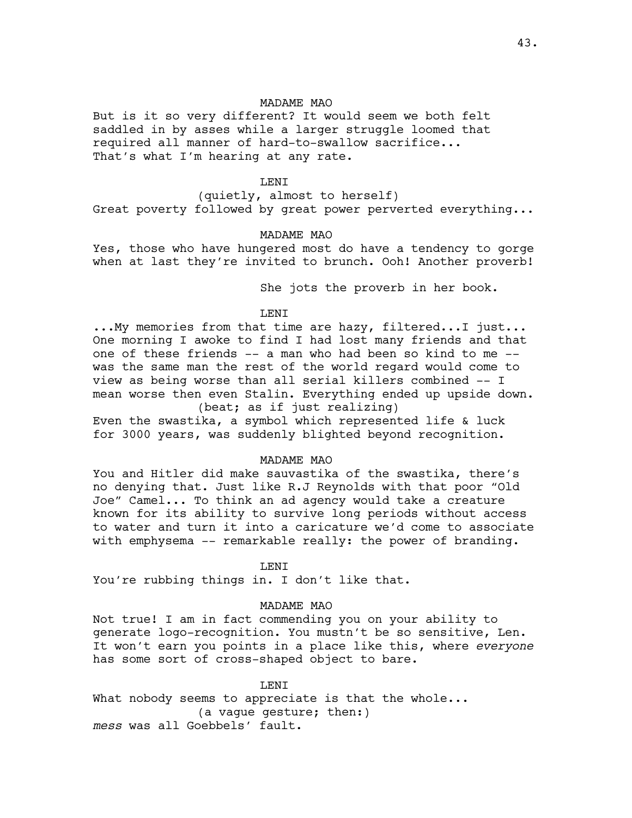But is it so very different? It would seem we both felt saddled in by asses while a larger struggle loomed that required all manner of hard-to-swallow sacrifice... That's what I'm hearing at any rate.

# LENI

(quietly, almost to herself) Great poverty followed by great power perverted everything...

### MADAME MAO

Yes, those who have hungered most do have a tendency to gorge when at last they're invited to brunch. Ooh! Another proverb!

She jots the proverb in her book.

# LENI

...My memories from that time are hazy, filtered...I just... One morning I awoke to find I had lost many friends and that one of these friends -- a man who had been so kind to me - was the same man the rest of the world regard would come to view as being worse than all serial killers combined -- I mean worse then even Stalin. Everything ended up upside down. (beat; as if just realizing)

Even the swastika, a symbol which represented life & luck for 3000 years, was suddenly blighted beyond recognition.

# MADAME MAO

You and Hitler did make sauvastika of the swastika, there's no denying that. Just like R.J Reynolds with that poor "Old Joe" Camel... To think an ad agency would take a creature known for its ability to survive long periods without access to water and turn it into a caricature we'd come to associate with emphysema -- remarkable really: the power of branding.

LENI

You're rubbing things in. I don't like that.

## MADAME MAO

Not true! I am in fact commending you on your ability to generate logo-recognition. You mustn't be so sensitive, Len. It won't earn you points in a place like this, where *everyone*  has some sort of cross-shaped object to bare.

**LENT** What nobody seems to appreciate is that the whole... (a vague gesture; then:) *mess* was all Goebbels' fault.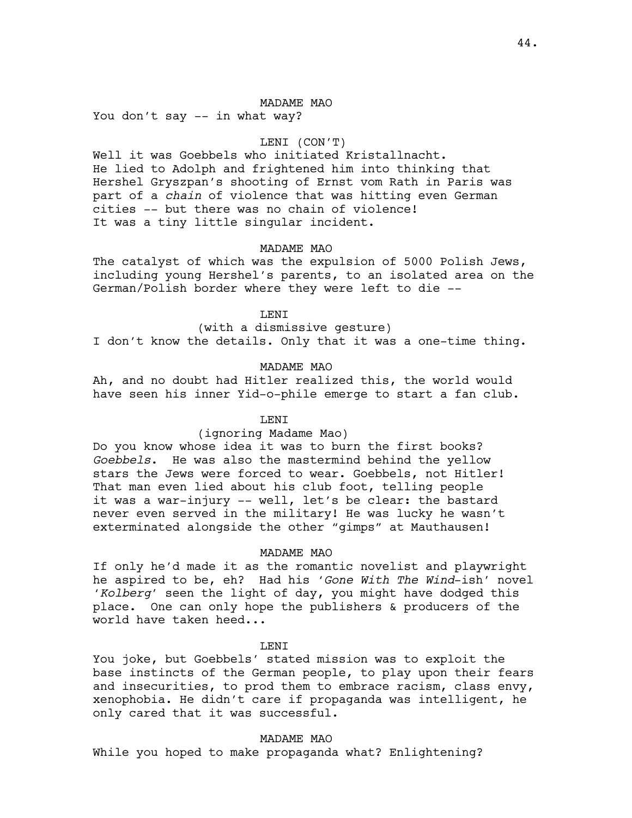You don't say -- in what way?

## LENI (CON'T)

Well it was Goebbels who initiated Kristallnacht. He lied to Adolph and frightened him into thinking that Hershel Gryszpan's shooting of Ernst vom Rath in Paris was part of a *chain* of violence that was hitting even German cities -- but there was no chain of violence! It was a tiny little singular incident.

### MADAME MAO

The catalyst of which was the expulsion of 5000 Polish Jews, including young Hershel's parents, to an isolated area on the German/Polish border where they were left to die --

LENI

(with a dismissive gesture) I don't know the details. Only that it was a one-time thing.

### MADAME MAO

Ah, and no doubt had Hitler realized this, the world would have seen his inner Yid-o-phile emerge to start a fan club.

## LENI

### (ignoring Madame Mao)

Do you know whose idea it was to burn the first books? *Goebbels*. He was also the mastermind behind the yellow stars the Jews were forced to wear. Goebbels, not Hitler! That man even lied about his club foot, telling people it was a war-injury -- well, let's be clear: the bastard never even served in the military! He was lucky he wasn't exterminated alongside the other "gimps" at Mauthausen!

### MADAME MAO

If only he'd made it as the romantic novelist and playwright he aspired to be, eh? Had his '*Gone With The Wind*-ish' novel '*Kolberg'* seen the light of day, you might have dodged this place. One can only hope the publishers & producers of the world have taken heed...

LENI

You joke, but Goebbels' stated mission was to exploit the base instincts of the German people, to play upon their fears and insecurities, to prod them to embrace racism, class envy, xenophobia. He didn't care if propaganda was intelligent, he only cared that it was successful.

### MADAME MAO

While you hoped to make propaganda what? Enlightening?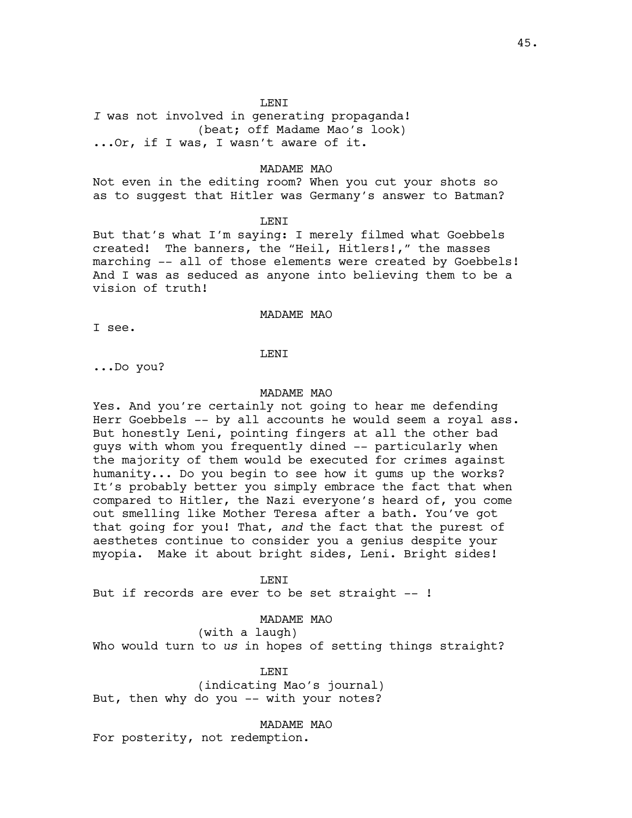*I* was not involved in generating propaganda! (beat; off Madame Mao's look) ...Or, if I was, I wasn't aware of it.

## MADAME MAO

Not even in the editing room? When you cut your shots so as to suggest that Hitler was Germany's answer to Batman?

#### LENI

But that's what I'm saying: I merely filmed what Goebbels created! The banners, the "Heil, Hitlers!," the masses marching -- all of those elements were created by Goebbels! And I was as seduced as anyone into believing them to be a vision of truth!

## MADAME MAO

I see.

LENI

...Do you?

### MADAME MAO

Yes. And you're certainly not going to hear me defending Herr Goebbels -- by all accounts he would seem a royal ass. But honestly Leni, pointing fingers at all the other bad guys with whom you frequently dined -- particularly when the majority of them would be executed for crimes against humanity... Do you begin to see how it gums up the works? It's probably better you simply embrace the fact that when compared to Hitler, the Nazi everyone's heard of, you come out smelling like Mother Teresa after a bath. You've got that going for you! That, *and* the fact that the purest of aesthetes continue to consider you a genius despite your myopia. Make it about bright sides, Leni. Bright sides!

#### LENI

But if records are ever to be set straight --!

## MADAME MAO

(with a laugh)

Who would turn to *us* in hopes of setting things straight?

## LENI

(indicating Mao's journal) But, then why do you -- with your notes?

MADAME MAO

For posterity, not redemption.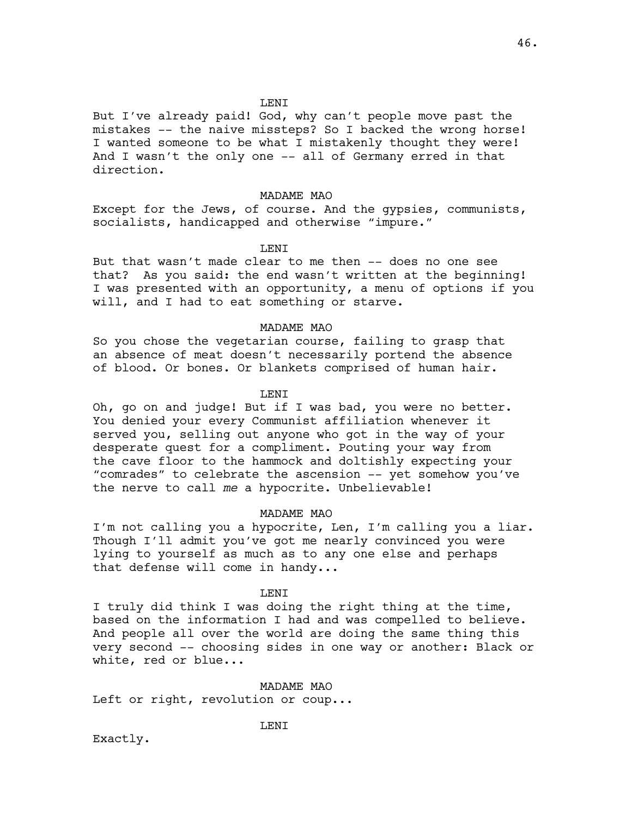## **LENT**

But I've already paid! God, why can't people move past the mistakes -- the naive missteps? So I backed the wrong horse! I wanted someone to be what I mistakenly thought they were! And I wasn't the only one -- all of Germany erred in that direction.

### MADAME MAO

Except for the Jews, of course. And the gypsies, communists, socialists, handicapped and otherwise "impure."

#### **LENT**

But that wasn't made clear to me then -- does no one see that? As you said: the end wasn't written at the beginning! I was presented with an opportunity, a menu of options if you will, and I had to eat something or starve.

## MADAME MAO

So you chose the vegetarian course, failing to grasp that an absence of meat doesn't necessarily portend the absence of blood. Or bones. Or blankets comprised of human hair.

## LENI

Oh, go on and judge! But if I was bad, you were no better. You denied your every Communist affiliation whenever it served you, selling out anyone who got in the way of your desperate quest for a compliment. Pouting your way from the cave floor to the hammock and doltishly expecting your "comrades" to celebrate the ascension -- yet somehow you've the nerve to call *me* a hypocrite. Unbelievable!

### MADAME MAO

I'm not calling you a hypocrite, Len, I'm calling you a liar. Though I'll admit you've got me nearly convinced you were lying to yourself as much as to any one else and perhaps that defense will come in handy...

## LENI

I truly did think I was doing the right thing at the time, based on the information I had and was compelled to believe. And people all over the world are doing the same thing this very second -- choosing sides in one way or another: Black or white, red or blue...

MADAME MAO Left or right, revolution or coup...

LENI

Exactly.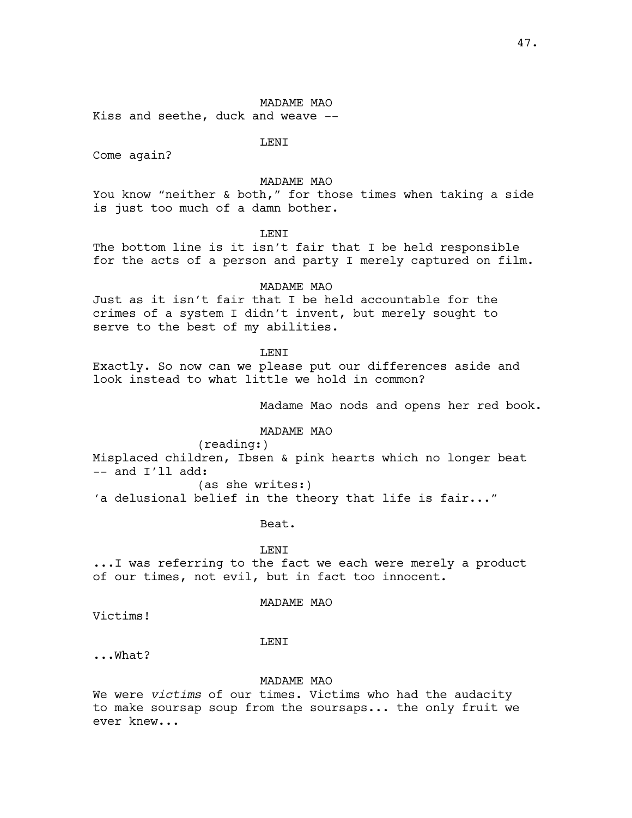Kiss and seethe, duck and weave --

LENI

Come again?

# MADAME MAO

You know "neither & both," for those times when taking a side is just too much of a damn bother.

LENI

The bottom line is it isn't fair that I be held responsible for the acts of a person and party I merely captured on film.

### MADAME MAO

Just as it isn't fair that I be held accountable for the crimes of a system I didn't invent, but merely sought to serve to the best of my abilities.

**LENT** 

Exactly. So now can we please put our differences aside and look instead to what little we hold in common?

Madame Mao nods and opens her red book.

### MADAME MAO

(reading:)

Misplaced children, Ibsen & pink hearts which no longer beat  $--$  and  $I'11$  add:

(as she writes:)

'a delusional belief in the theory that life is fair..."

Beat.

LENI

...I was referring to the fact we each were merely a product of our times, not evil, but in fact too innocent.

# MADAME MAO

Victims!

### LENI

...What?

# MADAME MAO

We were *victims* of our times. Victims who had the audacity to make soursap soup from the soursaps... the only fruit we ever knew...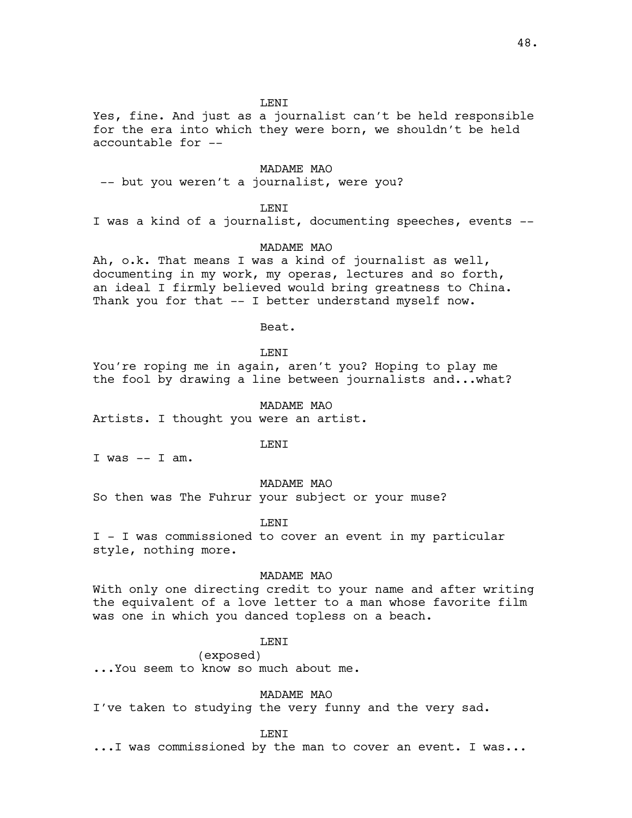# **LENT**

Yes, fine. And just as a journalist can't be held responsible for the era into which they were born, we shouldn't be held accountable for --

## MADAME MAO

-- but you weren't a journalist, were you?

## **LENT**

I was a kind of a journalist, documenting speeches, events --

## MADAME MAO

Ah, o.k. That means I was a kind of journalist as well, documenting in my work, my operas, lectures and so forth, an ideal I firmly believed would bring greatness to China. Thank you for that -- I better understand myself now.

Beat.

**LENT** 

You're roping me in again, aren't you? Hoping to play me the fool by drawing a line between journalists and...what?

#### MADAME MAO

Artists. I thought you were an artist.

LENI

I was  $--$  I am.

# MADAME MAO

So then was The Fuhrur your subject or your muse?

## LENI

I - I was commissioned to cover an event in my particular style, nothing more.

### MADAME MAO

With only one directing credit to your name and after writing the equivalent of a love letter to a man whose favorite film was one in which you danced topless on a beach.

# LENI

(exposed)

...You seem to know so much about me.

MADAME MAO

I've taken to studying the very funny and the very sad.

LENI

...I was commissioned by the man to cover an event. I was...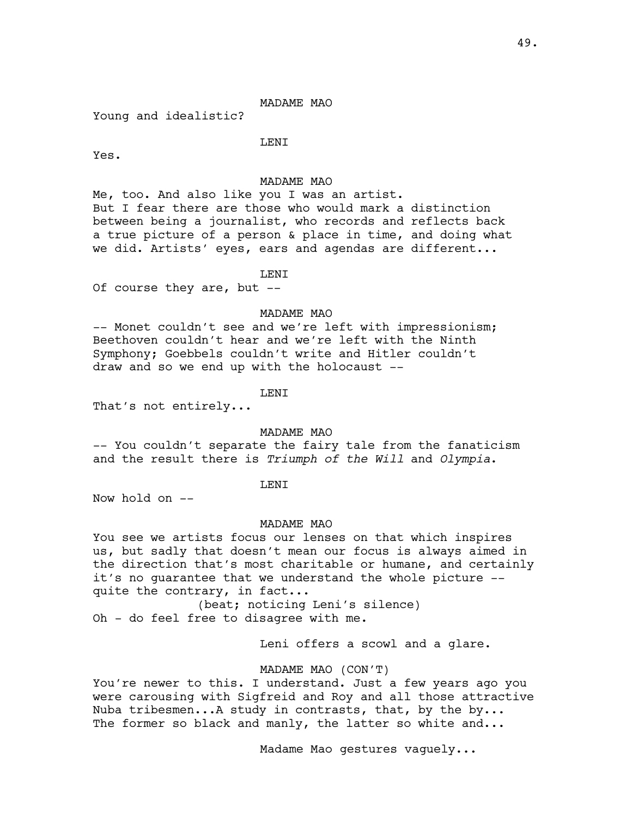Young and idealistic?

LENI

Yes.

# MADAME MAO

Me, too. And also like you I was an artist. But I fear there are those who would mark a distinction between being a journalist, who records and reflects back a true picture of a person & place in time, and doing what we did. Artists' eyes, ears and agendas are different...

LENI

Of course they are, but --

## MADAME MAO

-- Monet couldn't see and we're left with impressionism; Beethoven couldn't hear and we're left with the Ninth Symphony; Goebbels couldn't write and Hitler couldn't draw and so we end up with the holocaust --

LENI

That's not entirely...

### MADAME MAO

-- You couldn't separate the fairy tale from the fanaticism and the result there is *Triumph of the Will* and *Olympia*.

# LENI

Now hold on --

### MADAME MAO

You see we artists focus our lenses on that which inspires us, but sadly that doesn't mean our focus is always aimed in the direction that's most charitable or humane, and certainly it's no guarantee that we understand the whole picture - quite the contrary, in fact...

(beat; noticing Leni's silence) Oh - do feel free to disagree with me.

Leni offers a scowl and a glare.

MADAME MAO (CON'T)

You're newer to this. I understand. Just a few years ago you were carousing with Sigfreid and Roy and all those attractive Nuba tribesmen...A study in contrasts, that, by the by... The former so black and manly, the latter so white and...

Madame Mao gestures vaguely...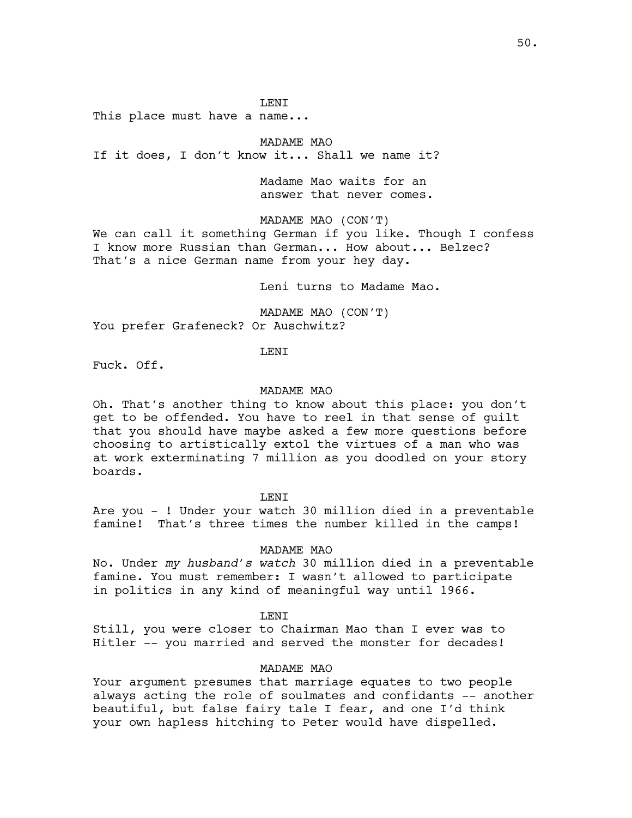LENI

This place must have a name...

MADAME MAO

If it does, I don't know it... Shall we name it?

Madame Mao waits for an answer that never comes.

MADAME MAO (CON'T)

We can call it something German if you like. Though I confess I know more Russian than German... How about... Belzec? That's a nice German name from your hey day.

Leni turns to Madame Mao.

MADAME MAO (CON'T) You prefer Grafeneck? Or Auschwitz?

LENI

Fuck. Off.

## MADAME MAO

Oh. That's another thing to know about this place: you don't get to be offended. You have to reel in that sense of guilt that you should have maybe asked a few more questions before choosing to artistically extol the virtues of a man who was at work exterminating 7 million as you doodled on your story boards.

LENI

Are you - ! Under your watch 30 million died in a preventable famine! That's three times the number killed in the camps!

### MADAME MAO

No. Under *my husband's watch* 30 million died in a preventable famine. You must remember: I wasn't allowed to participate in politics in any kind of meaningful way until 1966.

**LENT** 

Still, you were closer to Chairman Mao than I ever was to Hitler -- you married and served the monster for decades!

### MADAME MAO

Your argument presumes that marriage equates to two people always acting the role of soulmates and confidants -- another beautiful, but false fairy tale I fear, and one I'd think your own hapless hitching to Peter would have dispelled.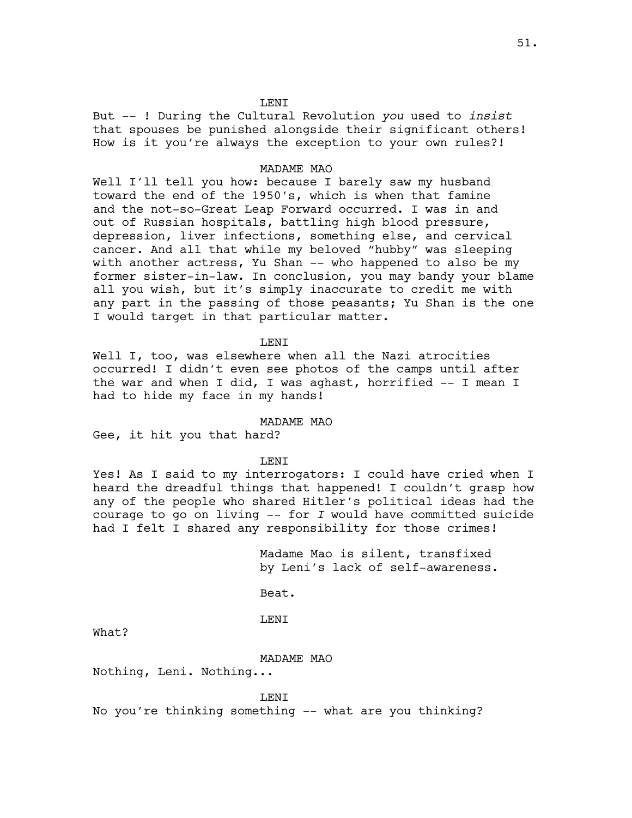# **LENT**

But -- ! During the Cultural Revolution *you* used to *insist* that spouses be punished alongside their significant others! How is it you're always the exception to your own rules?!

## MADAME MAO

Well I'll tell you how: because I barely saw my husband toward the end of the 1950's, which is when that famine and the not-so-Great Leap Forward occurred. I was in and out of Russian hospitals, battling high blood pressure, depression, liver infections, something else, and cervical cancer. And all that while my beloved "hubby" was sleeping with another actress, Yu Shan -- who happened to also be my former sister-in-law. In conclusion, you may bandy your blame all you wish, but it's simply inaccurate to credit me with any part in the passing of those peasants; Yu Shan is the one I would target in that particular matter.

LENI

Well I, too, was elsewhere when all the Nazi atrocities occurred! I didn't even see photos of the camps until after the war and when I did, I was aghast, horrified -- I mean I had to hide my face in my hands!

# MADAME MAO

Gee, it hit you that hard?

LENI

Yes! As I said to my interrogators: I could have cried when I heard the dreadful things that happened! I couldn't grasp how any of the people who shared Hitler's political ideas had the courage to go on living -- for *I* would have committed suicide had I felt I shared any responsibility for those crimes!

> Madame Mao is silent, transfixed by Leni's lack of self-awareness.

Beat.

LENI

What?

### MADAME MAO

Nothing, Leni. Nothing...

LENI

No you're thinking something -- what are you thinking?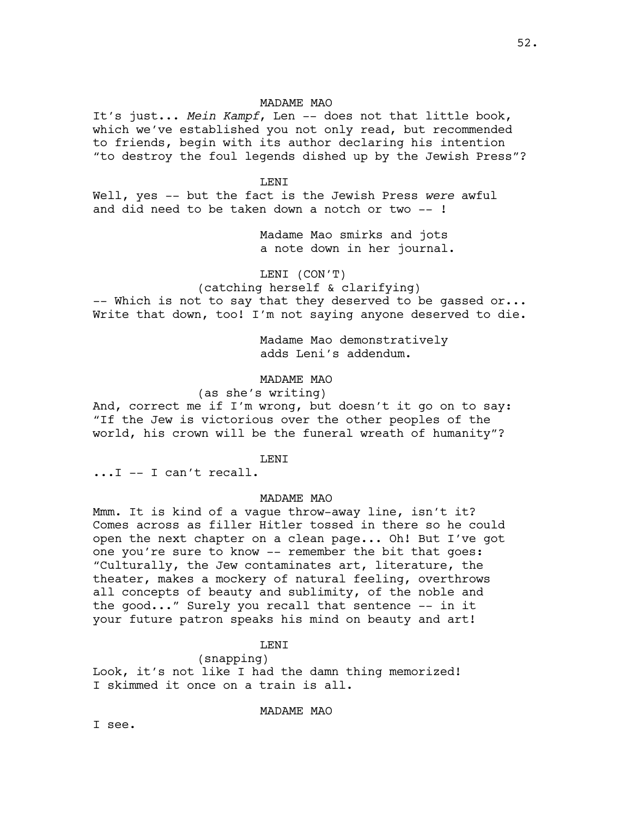52.

# MADAME MAO

It's just... *Mein Kampf*, Len -- does not that little book, which we've established you not only read, but recommended to friends, begin with its author declaring his intention "to destroy the foul legends dished up by the Jewish Press"?

## LENI

Well, yes -- but the fact is the Jewish Press *were* awful and did need to be taken down a notch or two -- !

> Madame Mao smirks and jots a note down in her journal.

# LENI (CON'T)

(catching herself & clarifying) -- Which is not to say that they deserved to be qassed or...

Write that down, too! I'm not saying anyone deserved to die.

Madame Mao demonstratively adds Leni's addendum.

# MADAME MAO

# (as she's writing)

And, correct me if I'm wrong, but doesn't it go on to say: "If the Jew is victorious over the other peoples of the world, his crown will be the funeral wreath of humanity"?

## **LENT**

...I -- I can't recall.

### MADAME MAO

Mmm. It is kind of a vague throw-away line, isn't it? Comes across as filler Hitler tossed in there so he could open the next chapter on a clean page... Oh! But I've got one you're sure to know -- remember the bit that goes: "Culturally, the Jew contaminates art, literature, the theater, makes a mockery of natural feeling, overthrows all concepts of beauty and sublimity, of the noble and the good..." Surely you recall that sentence -- in it your future patron speaks his mind on beauty and art!

# **LENT**

## (snapping)

Look, it's not like I had the damn thing memorized! I skimmed it once on a train is all.

# MADAME MAO

I see.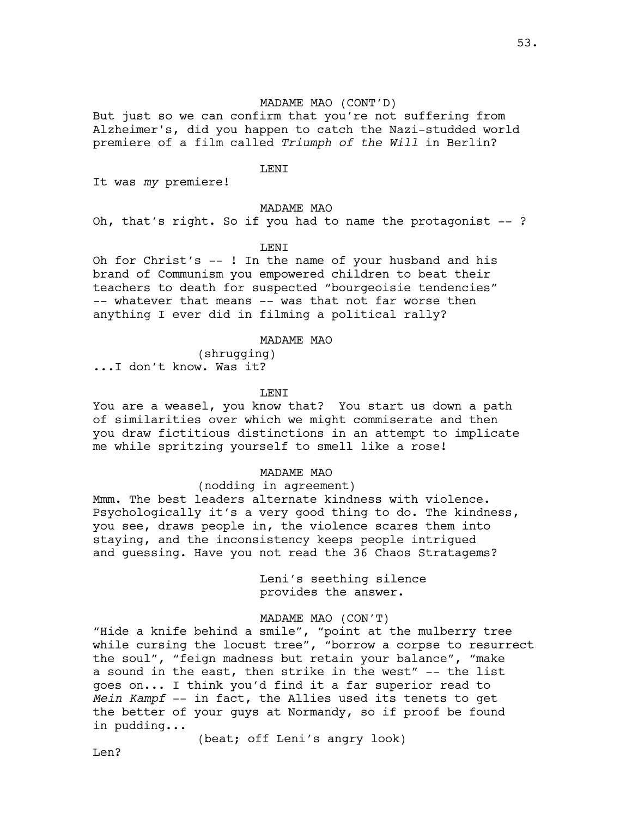# MADAME MAO (CONT'D)

But just so we can confirm that you're not suffering from Alzheimer's, did you happen to catch the Nazi-studded world premiere of a film called *Triumph of the Will* in Berlin?

## LENI

It was *my* premiere!

# MADAME MAO

Oh, that's right. So if you had to name the protagonist -- ?

## **LENT**

Oh for Christ's -- ! In the name of your husband and his brand of Communism you empowered children to beat their teachers to death for suspected "bourgeoisie tendencies" -- whatever that means -- was that not far worse then anything I ever did in filming a political rally?

## MADAME MAO

(shrugging) ...I don't know. Was it?

LENI

You are a weasel, you know that? You start us down a path of similarities over which we might commiserate and then you draw fictitious distinctions in an attempt to implicate me while spritzing yourself to smell like a rose!

## MADAME MAO

## (nodding in agreement)

Mmm. The best leaders alternate kindness with violence. Psychologically it's a very good thing to do. The kindness, you see, draws people in, the violence scares them into staying, and the inconsistency keeps people intrigued and guessing. Have you not read the 36 Chaos Stratagems?

> Leni's seething silence provides the answer.

## MADAME MAO (CON'T)

"Hide a knife behind a smile", "point at the mulberry tree while cursing the locust tree", "borrow a corpse to resurrect the soul", "feign madness but retain your balance", "make a sound in the east, then strike in the west" -- the list goes on... I think you'd find it a far superior read to *Mein Kampf* -- in fact, the Allies used its tenets to get the better of your guys at Normandy, so if proof be found in pudding...

(beat; off Leni's angry look)

T<sub>i</sub>en?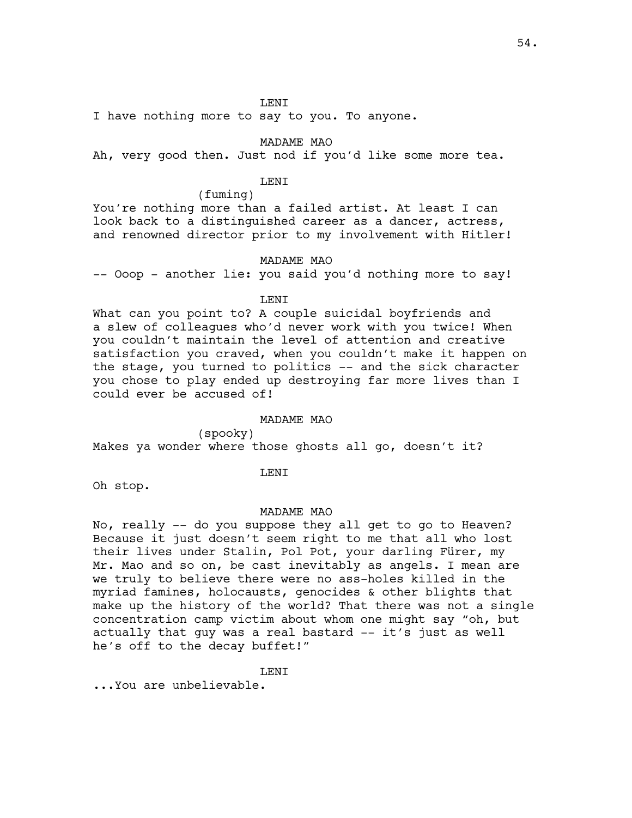I have nothing more to say to you. To anyone.

MADAME MAO

Ah, very good then. Just nod if you'd like some more tea.

# LENI

(fuming)

You're nothing more than a failed artist. At least I can look back to a distinguished career as a dancer, actress, and renowned director prior to my involvement with Hitler!

# MADAME MAO

-- Ooop - another lie: you said you'd nothing more to say!

LENI

What can you point to? A couple suicidal boyfriends and a slew of colleagues who'd never work with you twice! When you couldn't maintain the level of attention and creative satisfaction you craved, when you couldn't make it happen on the stage, you turned to politics -- and the sick character you chose to play ended up destroying far more lives than I could ever be accused of!

## MADAME MAO

(spooky)

Makes ya wonder where those ghosts all go, doesn't it?

### LENI

Oh stop.

## MADAME MAO

No, really -- do you suppose they all get to go to Heaven? Because it just doesn't seem right to me that all who lost their lives under Stalin, Pol Pot, your darling Fürer, my Mr. Mao and so on, be cast inevitably as angels. I mean are we truly to believe there were no ass-holes killed in the myriad famines, holocausts, genocides & other blights that make up the history of the world? That there was not a single concentration camp victim about whom one might say "oh, but actually that guy was a real bastard -- it's just as well he's off to the decay buffet!"

T.F.NT

...You are unbelievable.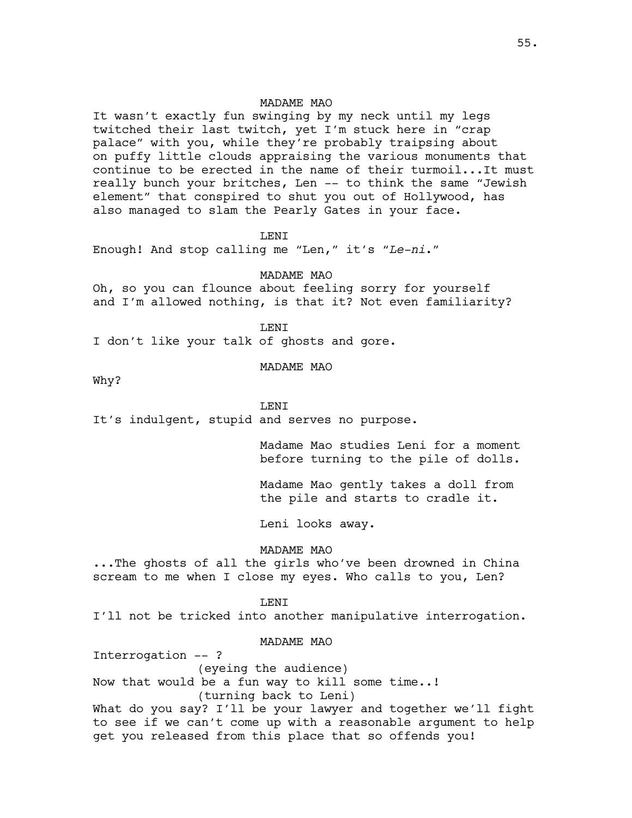It wasn't exactly fun swinging by my neck until my legs twitched their last twitch, yet I'm stuck here in "crap palace" with you, while they're probably traipsing about on puffy little clouds appraising the various monuments that continue to be erected in the name of their turmoil...It must really bunch your britches, Len -- to think the same "Jewish element" that conspired to shut you out of Hollywood, has also managed to slam the Pearly Gates in your face.

LENI

Enough! And stop calling me "Len," it's "*Le-ni*."

### MADAME MAO

Oh, so you can flounce about feeling sorry for yourself and I'm allowed nothing, is that it? Not even familiarity?

T.F.NT

I don't like your talk of ghosts and gore.

#### MADAME MAO

Why?

## **LENT**

It's indulgent, stupid and serves no purpose.

Madame Mao studies Leni for a moment before turning to the pile of dolls.

Madame Mao gently takes a doll from the pile and starts to cradle it.

Leni looks away.

## MADAME MAO

...The ghosts of all the girls who've been drowned in China scream to me when I close my eyes. Who calls to you, Len?

### LENI

I'll not be tricked into another manipulative interrogation.

# MADAME MAO

Interrogation -- ?

(eyeing the audience)

Now that would be a fun way to kill some time..!

(turning back to Leni)

What do you say? I'll be your lawyer and together we'll fight to see if we can't come up with a reasonable argument to help get you released from this place that so offends you!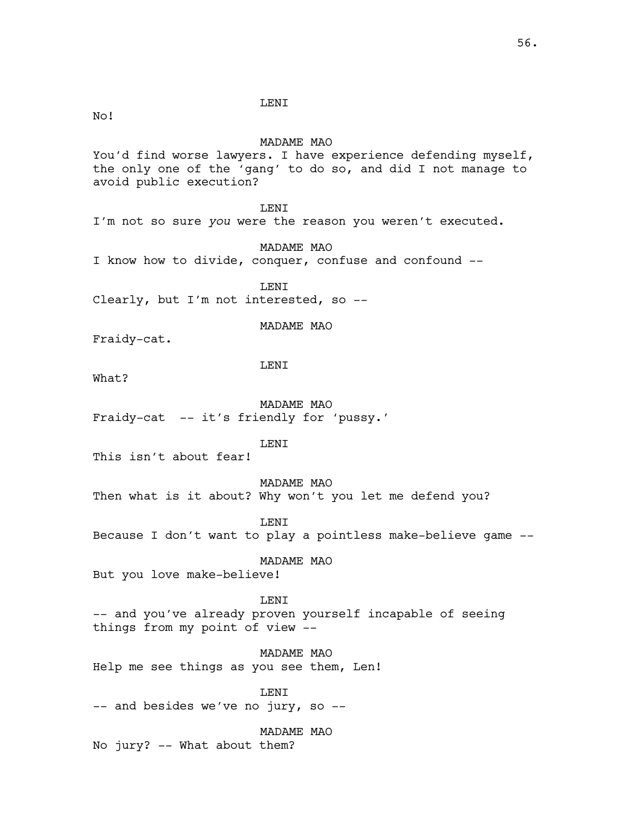LENI

No!

# MADAME MAO

You'd find worse lawyers. I have experience defending myself, the only one of the 'gang' to do so, and did I not manage to avoid public execution?

**LENT** 

I'm not so sure *you* were the reason you weren't executed.

MADAME MAO

I know how to divide, conquer, confuse and confound --

LENI Clearly, but I'm not interested, so --

MADAME MAO

Fraidy-cat.

LENI

What?

MADAME MAO Fraidy-cat -- it's friendly for 'pussy.'

LENI

This isn't about fear!

MADAME MAO Then what is it about? Why won't you let me defend you?

LENI

Because I don't want to play a pointless make-believe game --

MADAME MAO

But you love make-believe!

**LENT** -- and you've already proven yourself incapable of seeing things from my point of view --

MADAME MAO Help me see things as you see them, Len!

LENI -- and besides we've no jury, so --

MADAME MAO No jury? -- What about them?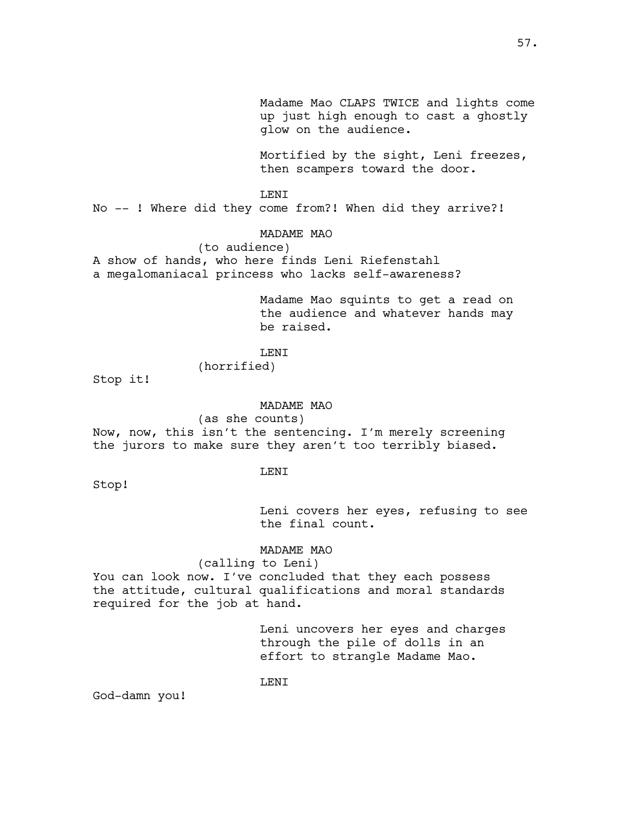Madame Mao CLAPS TWICE and lights come up just high enough to cast a ghostly glow on the audience.

Mortified by the sight, Leni freezes, then scampers toward the door.

LENI

No -- ! Where did they come from?! When did they arrive?!

### MADAME MAO

### (to audience)

A show of hands, who here finds Leni Riefenstahl a megalomaniacal princess who lacks self-awareness?

> Madame Mao squints to get a read on the audience and whatever hands may be raised.

# **LENT**

(horrified)

Stop it!

### MADAME MAO

(as she counts)

Now, now, this isn't the sentencing. I'm merely screening the jurors to make sure they aren't too terribly biased.

#### LENI

Stop!

Leni covers her eyes, refusing to see the final count.

## MADAME MAO

(calling to Leni) You can look now. I've concluded that they each possess the attitude, cultural qualifications and moral standards required for the job at hand.

> Leni uncovers her eyes and charges through the pile of dolls in an effort to strangle Madame Mao.

### LENI

God-damn you!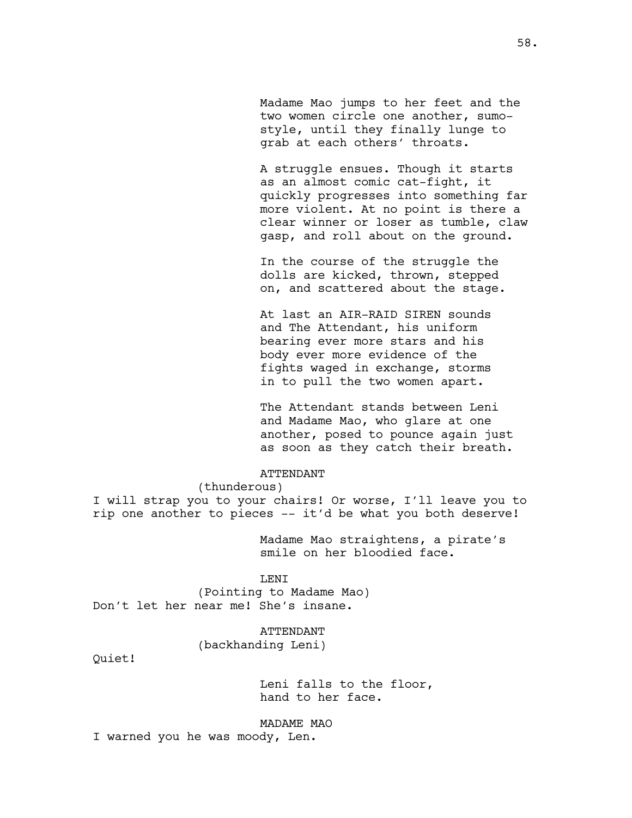Madame Mao jumps to her feet and the two women circle one another, sumostyle, until they finally lunge to grab at each others' throats.

A struggle ensues. Though it starts as an almost comic cat-fight, it quickly progresses into something far more violent. At no point is there a clear winner or loser as tumble, claw gasp, and roll about on the ground.

In the course of the struggle the dolls are kicked, thrown, stepped on, and scattered about the stage.

At last an AIR-RAID SIREN sounds and The Attendant, his uniform bearing ever more stars and his body ever more evidence of the fights waged in exchange, storms in to pull the two women apart.

The Attendant stands between Leni and Madame Mao, who glare at one another, posed to pounce again just as soon as they catch their breath.

### ATTENDANT

(thunderous)

I will strap you to your chairs! Or worse, I'll leave you to rip one another to pieces -- it'd be what you both deserve!

> Madame Mao straightens, a pirate's smile on her bloodied face.

## **LENT**

(Pointing to Madame Mao) Don't let her near me! She's insane.

ATTENDANT

(backhanding Leni)

Quiet!

Leni falls to the floor, hand to her face.

MADAME MAO

I warned you he was moody, Len.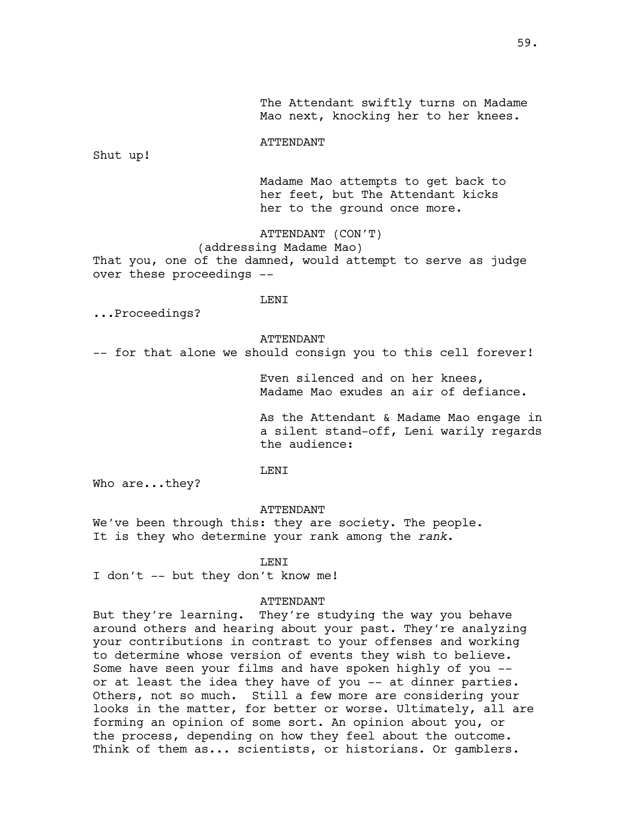The Attendant swiftly turns on Madame Mao next, knocking her to her knees.

ATTENDANT

Shut up!

Madame Mao attempts to get back to her feet, but The Attendant kicks her to the ground once more.

ATTENDANT (CON'T)

(addressing Madame Mao)

That you, one of the damned, would attempt to serve as judge over these proceedings --

LENI

...Proceedings?

ATTENDANT

-- for that alone we should consign you to this cell forever!

Even silenced and on her knees, Madame Mao exudes an air of defiance.

As the Attendant & Madame Mao engage in a silent stand-off, Leni warily regards the audience:

# LENI

Who are...they?

### ATTENDANT

We've been through this: they are society. The people. It is they who determine your rank among the *rank*.

LENI

I don't -- but they don't know me!

### ATTENDANT

But they're learning. They're studying the way you behave around others and hearing about your past. They're analyzing your contributions in contrast to your offenses and working to determine whose version of events they wish to believe. Some have seen your films and have spoken highly of you - or at least the idea they have of you -- at dinner parties. Others, not so much. Still a few more are considering your looks in the matter, for better or worse. Ultimately, all are forming an opinion of some sort. An opinion about you, or the process, depending on how they feel about the outcome. Think of them as... scientists, or historians. Or gamblers.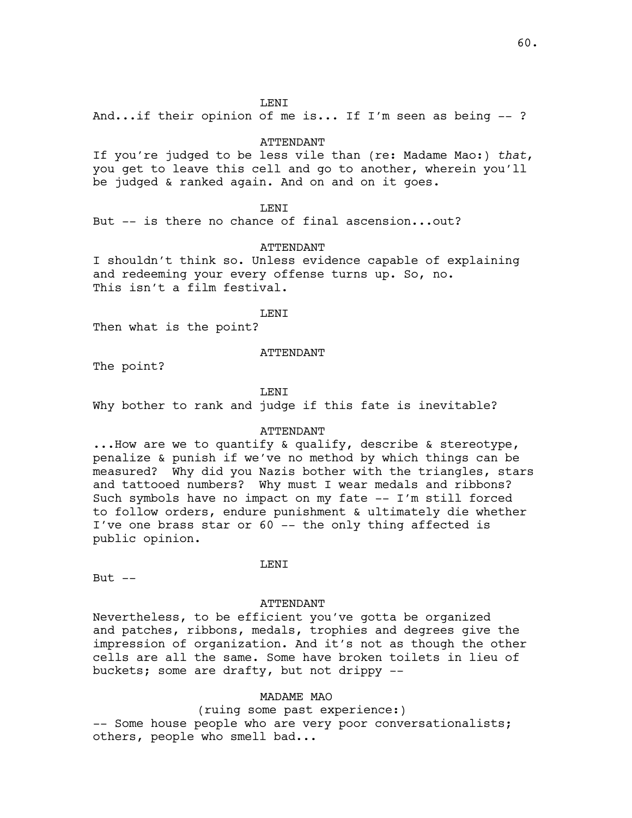### LENI

And...if their opinion of me is... If I'm seen as being -- ?

## ATTENDANT

If you're judged to be less vile than (re: Madame Mao:) *that*, you get to leave this cell and go to another, wherein you'll be judged & ranked again. And on and on it goes.

## **LENT**

But -- is there no chance of final ascension...out?

## ATTENDANT

I shouldn't think so. Unless evidence capable of explaining and redeeming your every offense turns up. So, no. This isn't a film festival.

LENI

Then what is the point?

## ATTENDANT

The point?

LENI

Why bother to rank and judge if this fate is inevitable?

### ATTENDANT

...How are we to quantify & qualify, describe & stereotype, penalize & punish if we've no method by which things can be measured? Why did you Nazis bother with the triangles, stars and tattooed numbers? Why must I wear medals and ribbons? Such symbols have no impact on my fate -- I'm still forced to follow orders, endure punishment & ultimately die whether I've one brass star or 60 -- the only thing affected is public opinion.

#### LENI

But  $--$ 

#### ATTENDANT

Nevertheless, to be efficient you've gotta be organized and patches, ribbons, medals, trophies and degrees give the impression of organization. And it's not as though the other cells are all the same. Some have broken toilets in lieu of buckets; some are drafty, but not drippy --

## MADAME MAO

(ruing some past experience:)

-- Some house people who are very poor conversationalists; others, people who smell bad...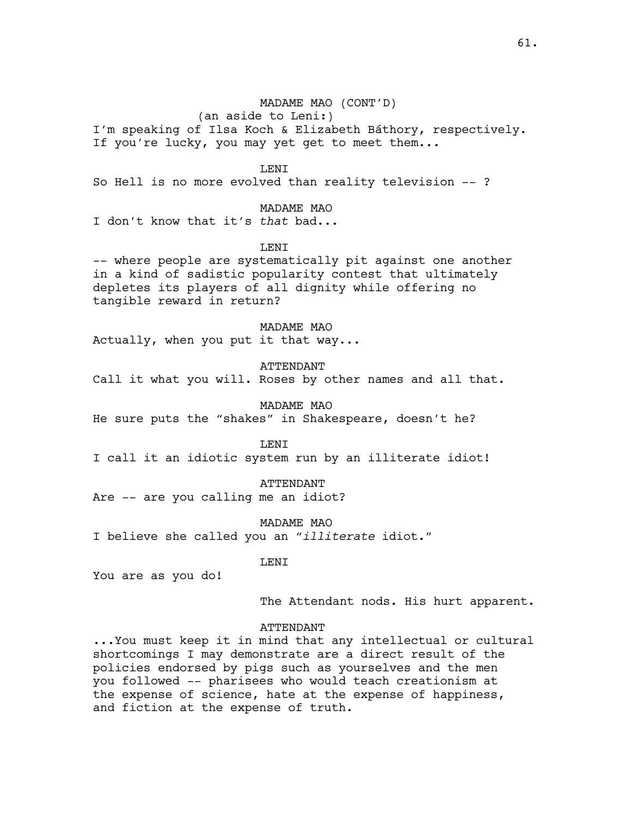## MADAME MAO (CONT'D)

(an aside to Leni:)

I'm speaking of Ilsa Koch & Elizabeth Báthory, respectively. If you're lucky, you may yet get to meet them...

LENI

So Hell is no more evolved than reality television -- ?

## MADAME MAO

I don't know that it's *that* bad...

**LENT** 

-- where people are systematically pit against one another in a kind of sadistic popularity contest that ultimately depletes its players of all dignity while offering no tangible reward in return?

MADAME MAO

Actually, when you put it that way...

ATTENDANT

Call it what you will. Roses by other names and all that.

MADAME MAO He sure puts the "shakes" in Shakespeare, doesn't he?

LENI

I call it an idiotic system run by an illiterate idiot!

ATTENDANT

Are -- are you calling me an idiot?

MADAME MAO

I believe she called you an "*illiterate* idiot."

LENI

You are as you do!

The Attendant nods. His hurt apparent.

# ATTENDANT

...You must keep it in mind that any intellectual or cultural shortcomings I may demonstrate are a direct result of the policies endorsed by pigs such as yourselves and the men you followed -- pharisees who would teach creationism at the expense of science, hate at the expense of happiness, and fiction at the expense of truth.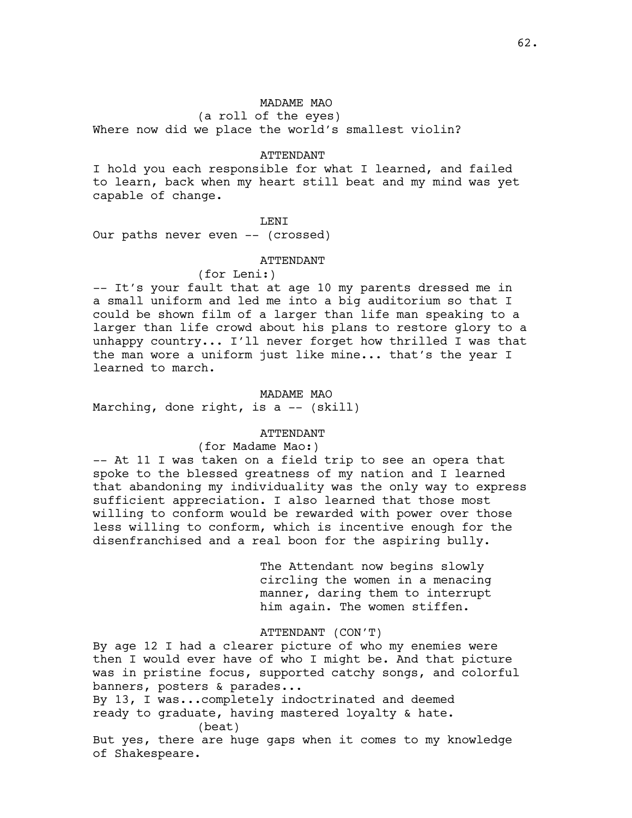(a roll of the eyes) Where now did we place the world's smallest violin?

## ATTENDANT

I hold you each responsible for what I learned, and failed to learn, back when my heart still beat and my mind was yet capable of change.

## LENI

Our paths never even -- (crossed)

## ATTENDANT

## (for Leni:)

-- It's your fault that at age 10 my parents dressed me in a small uniform and led me into a big auditorium so that I could be shown film of a larger than life man speaking to a larger than life crowd about his plans to restore glory to a unhappy country... I'll never forget how thrilled I was that the man wore a uniform just like mine... that's the year I learned to march.

### MADAME MAO

Marching, done right, is a -- (skill)

# ATTENDANT

# (for Madame Mao:)

-- At 11 I was taken on a field trip to see an opera that spoke to the blessed greatness of my nation and I learned that abandoning my individuality was the only way to express sufficient appreciation. I also learned that those most willing to conform would be rewarded with power over those less willing to conform, which is incentive enough for the disenfranchised and a real boon for the aspiring bully.

> The Attendant now begins slowly circling the women in a menacing manner, daring them to interrupt him again. The women stiffen.

### ATTENDANT (CON'T)

By age 12 I had a clearer picture of who my enemies were then I would ever have of who I might be. And that picture was in pristine focus, supported catchy songs, and colorful banners, posters & parades... By 13, I was...completely indoctrinated and deemed ready to graduate, having mastered loyalty & hate. (beat) But yes, there are huge gaps when it comes to my knowledge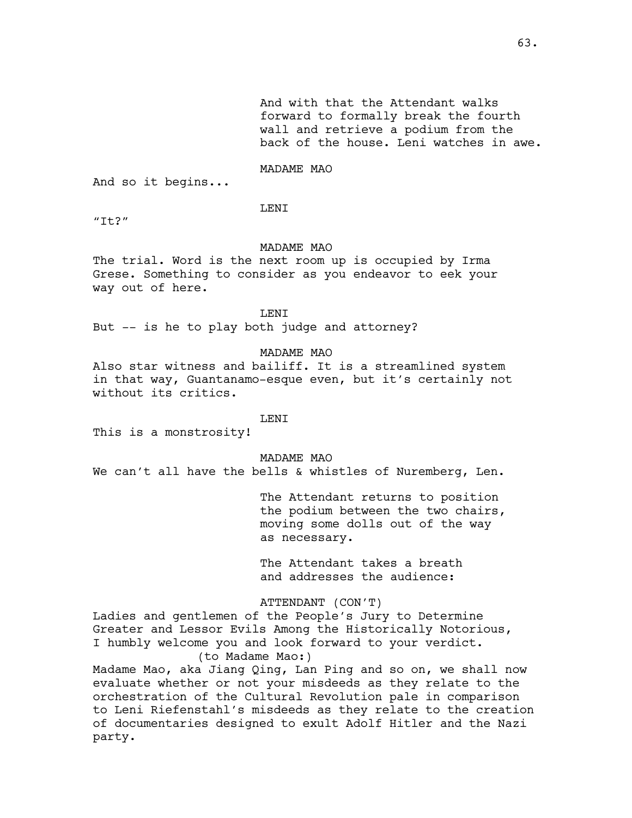And with that the Attendant walks forward to formally break the fourth wall and retrieve a podium from the back of the house. Leni watches in awe.

# MADAME MAO

And so it begins...

**LENT** 

 $"It?"$ 

### MADAME MAO

The trial. Word is the next room up is occupied by Irma Grese. Something to consider as you endeavor to eek your way out of here.

LENI

But -- is he to play both judge and attorney?

MADAME MAO

Also star witness and bailiff. It is a streamlined system in that way, Guantanamo-esque even, but it's certainly not without its critics.

## **LENT**

This is a monstrosity!

MADAME MAO

We can't all have the bells & whistles of Nuremberg, Len.

The Attendant returns to position the podium between the two chairs, moving some dolls out of the way as necessary.

The Attendant takes a breath and addresses the audience:

ATTENDANT (CON'T)

Ladies and gentlemen of the People's Jury to Determine Greater and Lessor Evils Among the Historically Notorious, I humbly welcome you and look forward to your verdict. (to Madame Mao:)

Madame Mao, aka Jiang Qing, Lan Ping and so on, we shall now evaluate whether or not your misdeeds as they relate to the orchestration of the Cultural Revolution pale in comparison to Leni Riefenstahl's misdeeds as they relate to the creation of documentaries designed to exult Adolf Hitler and the Nazi party.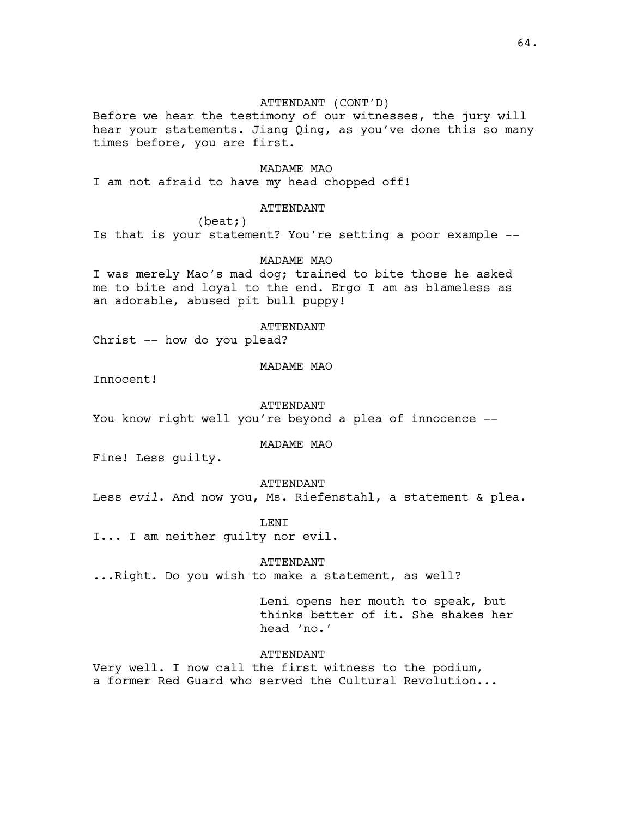# ATTENDANT (CONT'D)

Before we hear the testimony of our witnesses, the jury will hear your statements. Jiang Qing, as you've done this so many times before, you are first.

# MADAME MAO

I am not afraid to have my head chopped off!

# ATTENDANT

(beat;)

Is that is your statement? You're setting a poor example --

## MADAME MAO

I was merely Mao's mad dog; trained to bite those he asked me to bite and loyal to the end. Ergo I am as blameless as an adorable, abused pit bull puppy!

### ATTENDANT

Christ -- how do you plead?

## MADAME MAO

Innocent!

#### ATTENDANT

You know right well you're beyond a plea of innocence --

## MADAME MAO

Fine! Less guilty.

## ATTENDANT

Less *evil*. And now you, Ms. Riefenstahl, a statement & plea.

### LENI

I... I am neither guilty nor evil.

#### ATTENDANT

...Right. Do you wish to make a statement, as well?

Leni opens her mouth to speak, but thinks better of it. She shakes her head 'no.'

## ATTENDANT

Very well. I now call the first witness to the podium, a former Red Guard who served the Cultural Revolution...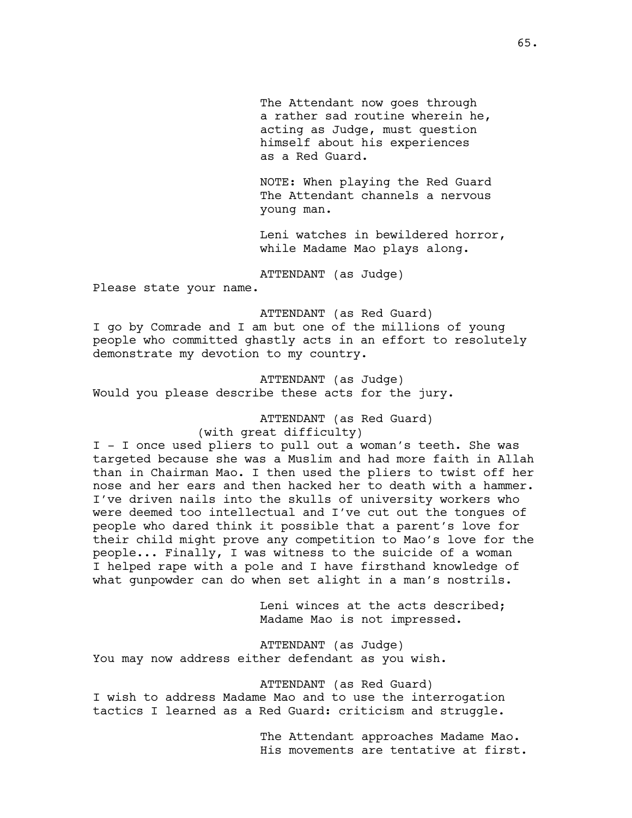The Attendant now goes through a rather sad routine wherein he, acting as Judge, must question himself about his experiences as a Red Guard.

NOTE: When playing the Red Guard The Attendant channels a nervous young man.

Leni watches in bewildered horror, while Madame Mao plays along.

ATTENDANT (as Judge)

Please state your name.

ATTENDANT (as Red Guard) I go by Comrade and I am but one of the millions of young people who committed ghastly acts in an effort to resolutely demonstrate my devotion to my country.

ATTENDANT (as Judge) Would you please describe these acts for the jury.

ATTENDANT (as Red Guard)

(with great difficulty)

I - I once used pliers to pull out a woman's teeth. She was targeted because she was a Muslim and had more faith in Allah than in Chairman Mao. I then used the pliers to twist off her nose and her ears and then hacked her to death with a hammer. I've driven nails into the skulls of university workers who were deemed too intellectual and I've cut out the tongues of people who dared think it possible that a parent's love for their child might prove any competition to Mao's love for the people... Finally, I was witness to the suicide of a woman I helped rape with a pole and I have firsthand knowledge of what gunpowder can do when set alight in a man's nostrils.

> Leni winces at the acts described; Madame Mao is not impressed.

ATTENDANT (as Judge) You may now address either defendant as you wish.

ATTENDANT (as Red Guard) I wish to address Madame Mao and to use the interrogation tactics I learned as a Red Guard: criticism and struggle.

> The Attendant approaches Madame Mao. His movements are tentative at first.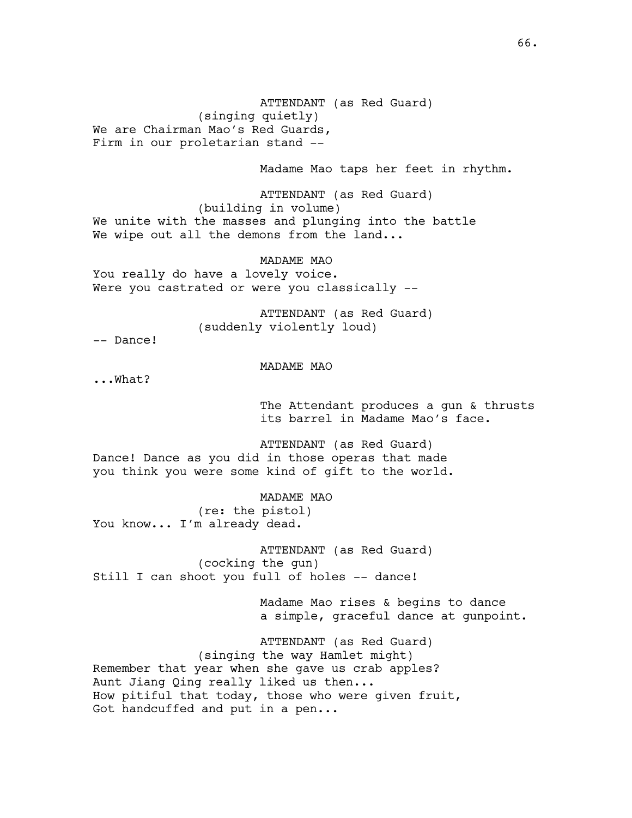ATTENDANT (as Red Guard) (singing quietly) We are Chairman Mao's Red Guards, Firm in our proletarian stand --

Madame Mao taps her feet in rhythm.

ATTENDANT (as Red Guard) (building in volume) We unite with the masses and plunging into the battle We wipe out all the demons from the land...

MADAME MAO You really do have a lovely voice. Were you castrated or were you classically --

> ATTENDANT (as Red Guard) (suddenly violently loud)

-- Dance!

MADAME MAO

...What?

The Attendant produces a gun & thrusts its barrel in Madame Mao's face.

ATTENDANT (as Red Guard) Dance! Dance as you did in those operas that made you think you were some kind of gift to the world.

MADAME MAO (re: the pistol) You know... I'm already dead.

ATTENDANT (as Red Guard) (cocking the gun) Still I can shoot you full of holes -- dance!

> Madame Mao rises & begins to dance a simple, graceful dance at gunpoint.

ATTENDANT (as Red Guard) (singing the way Hamlet might) Remember that year when she gave us crab apples? Aunt Jiang Qing really liked us then... How pitiful that today, those who were given fruit, Got handcuffed and put in a pen...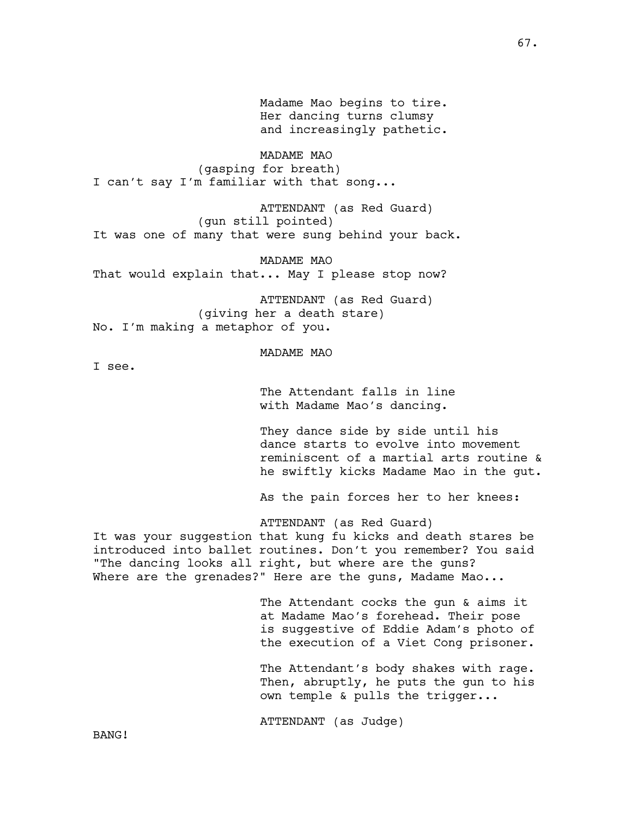Madame Mao begins to tire. Her dancing turns clumsy and increasingly pathetic. MADAME MAO

(gasping for breath) I can't say I'm familiar with that song...

ATTENDANT (as Red Guard) (gun still pointed) It was one of many that were sung behind your back.

MADAME MAO That would explain that... May I please stop now?

ATTENDANT (as Red Guard) (giving her a death stare) No. I'm making a metaphor of you.

MADAME MAO

I see.

The Attendant falls in line with Madame Mao's dancing.

They dance side by side until his dance starts to evolve into movement reminiscent of a martial arts routine & he swiftly kicks Madame Mao in the gut.

As the pain forces her to her knees:

ATTENDANT (as Red Guard)

It was your suggestion that kung fu kicks and death stares be introduced into ballet routines. Don't you remember? You said "The dancing looks all right, but where are the guns? Where are the grenades?" Here are the guns, Madame Mao...

> The Attendant cocks the gun & aims it at Madame Mao's forehead. Their pose is suggestive of Eddie Adam's photo of the execution of a Viet Cong prisoner.

> The Attendant's body shakes with rage. Then, abruptly, he puts the gun to his own temple & pulls the trigger...

ATTENDANT (as Judge)

BANG!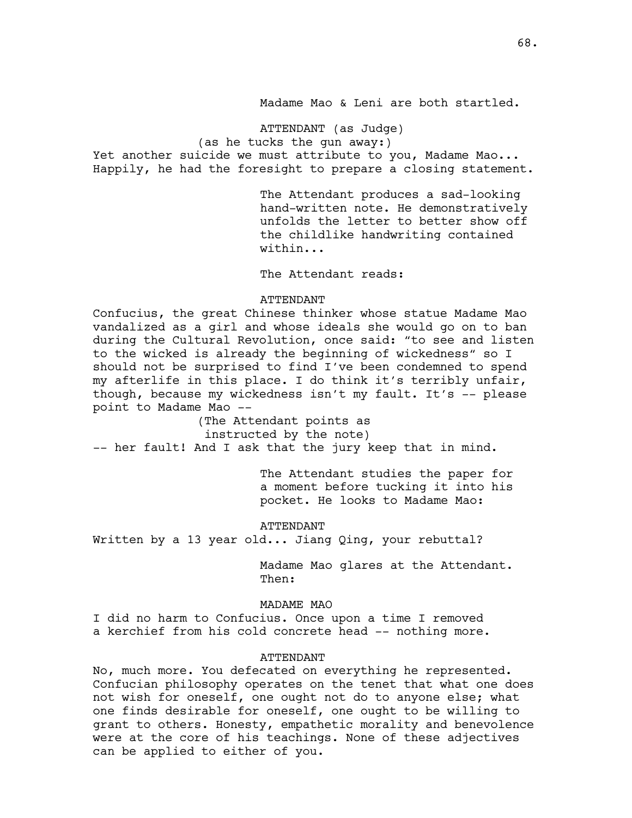Madame Mao & Leni are both startled.

ATTENDANT (as Judge)

(as he tucks the gun away:)

Yet another suicide we must attribute to you, Madame Mao... Happily, he had the foresight to prepare a closing statement.

> The Attendant produces a sad-looking hand-written note. He demonstratively unfolds the letter to better show off the childlike handwriting contained within...

The Attendant reads:

### ATTENDANT

Confucius, the great Chinese thinker whose statue Madame Mao vandalized as a girl and whose ideals she would go on to ban during the Cultural Revolution, once said: "to see and listen to the wicked is already the beginning of wickedness" so I should not be surprised to find I've been condemned to spend my afterlife in this place. I do think it's terribly unfair, though, because my wickedness isn't my fault. It's -- please point to Madame Mao --

(The Attendant points as instructed by the note) -- her fault! And I ask that the jury keep that in mind.

> The Attendant studies the paper for a moment before tucking it into his pocket. He looks to Madame Mao:

ATTENDANT Written by a 13 year old... Jiang Qing, your rebuttal?

> Madame Mao glares at the Attendant. Then:

## MADAME MAO

I did no harm to Confucius. Once upon a time I removed a kerchief from his cold concrete head -- nothing more.

### ATTENDANT

No, much more. You defecated on everything he represented. Confucian philosophy operates on the tenet that what one does not wish for oneself, one ought not do to anyone else; what one finds desirable for oneself, one ought to be willing to grant to others. Honesty, empathetic morality and benevolence were at the core of his teachings. None of these adjectives can be applied to either of you.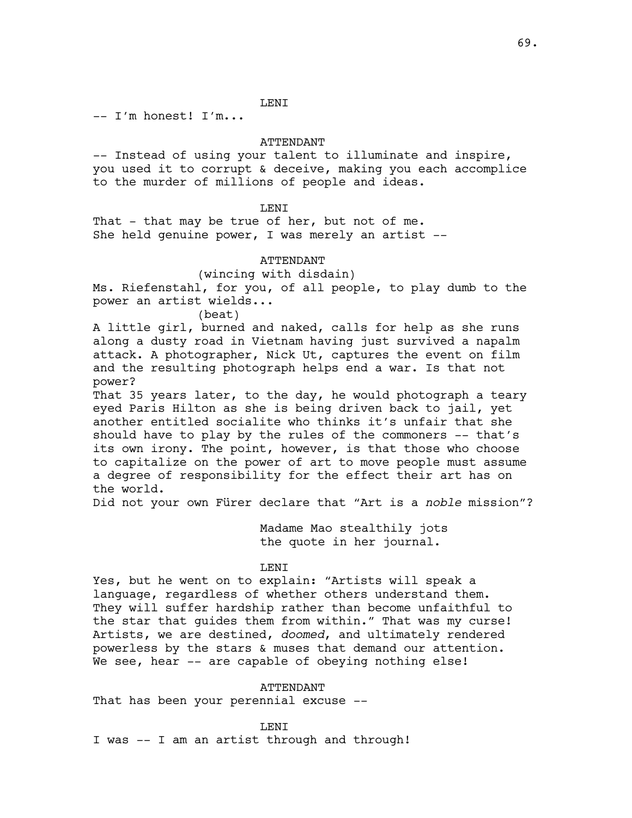LENI

-- I'm honest! I'm...

# ATTENDANT

-- Instead of using your talent to illuminate and inspire, you used it to corrupt & deceive, making you each accomplice to the murder of millions of people and ideas.

# **LENT**

That - that may be true of her, but not of me. She held genuine power, I was merely an artist  $--$ 

# ATTENDANT

## (wincing with disdain)

Ms. Riefenstahl, for you, of all people, to play dumb to the power an artist wields...

(beat)

A little girl, burned and naked, calls for help as she runs along a dusty road in Vietnam having just survived a napalm attack. A photographer, Nick Ut, captures the event on film and the resulting photograph helps end a war. Is that not power?

That 35 years later, to the day, he would photograph a teary eyed Paris Hilton as she is being driven back to jail, yet another entitled socialite who thinks it's unfair that she should have to play by the rules of the commoners -- that's its own irony. The point, however, is that those who choose to capitalize on the power of art to move people must assume a degree of responsibility for the effect their art has on the world.

Did not your own Fürer declare that "Art is a *noble* mission"?

Madame Mao stealthily jots the quote in her journal.

## LENI

Yes, but he went on to explain: "Artists will speak a language, regardless of whether others understand them. They will suffer hardship rather than become unfaithful to the star that guides them from within." That was my curse! Artists, we are destined, *doomed*, and ultimately rendered powerless by the stars & muses that demand our attention. We see, hear -- are capable of obeying nothing else!

# ATTENDANT

That has been your perennial excuse --

LENI

I was -- I am an artist through and through!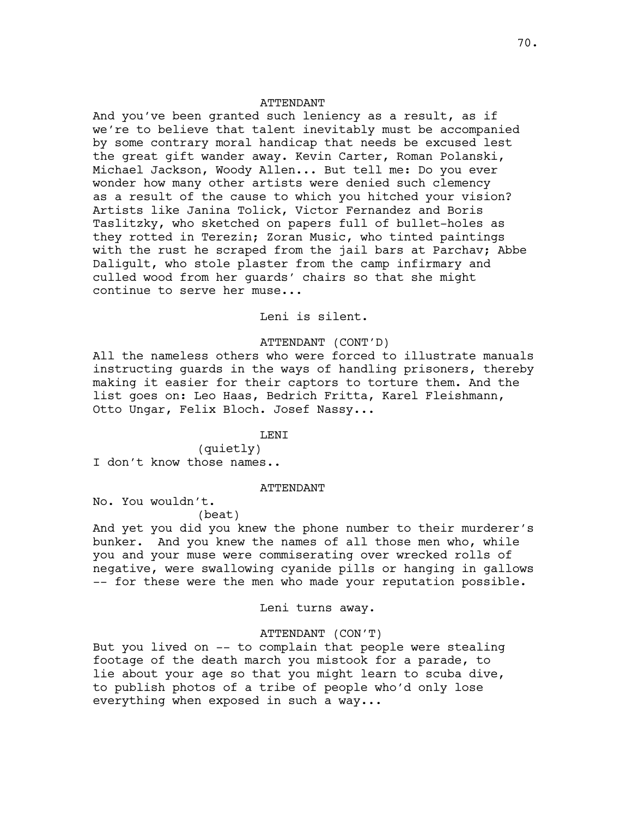## ATTENDANT

And you've been granted such leniency as a result, as if we're to believe that talent inevitably must be accompanied by some contrary moral handicap that needs be excused lest the great gift wander away. Kevin Carter, Roman Polanski, Michael Jackson, Woody Allen... But tell me: Do you ever wonder how many other artists were denied such clemency as a result of the cause to which you hitched your vision? Artists like Janina Tolick, Victor Fernandez and Boris Taslitzky, who sketched on papers full of bullet-holes as they rotted in Terezin; Zoran Music, who tinted paintings with the rust he scraped from the jail bars at Parchav; Abbe Daligult, who stole plaster from the camp infirmary and culled wood from her guards' chairs so that she might continue to serve her muse...

# Leni is silent.

### ATTENDANT (CONT'D)

All the nameless others who were forced to illustrate manuals instructing guards in the ways of handling prisoners, thereby making it easier for their captors to torture them. And the list goes on: Leo Haas, Bedrich Fritta, Karel Fleishmann, Otto Ungar, Felix Bloch. Josef Nassy...

### LENI

(quietly) I don't know those names..

### ATTENDANT

No. You wouldn't.

## (beat)

And yet you did you knew the phone number to their murderer's bunker. And you knew the names of all those men who, while you and your muse were commiserating over wrecked rolls of negative, were swallowing cyanide pills or hanging in gallows -- for these were the men who made your reputation possible.

Leni turns away.

# ATTENDANT (CON'T)

But you lived on -- to complain that people were stealing footage of the death march you mistook for a parade, to lie about your age so that you might learn to scuba dive, to publish photos of a tribe of people who'd only lose everything when exposed in such a way...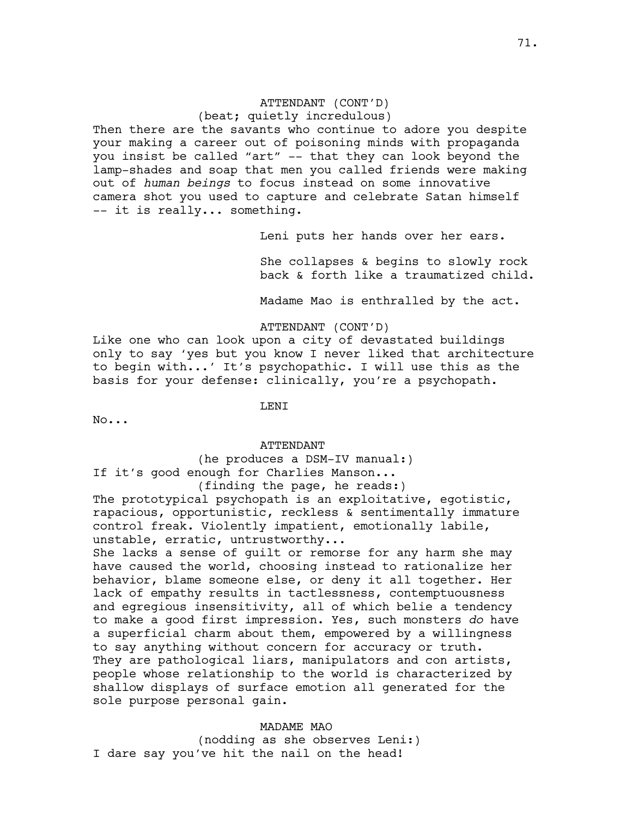# ATTENDANT (CONT'D)

(beat; quietly incredulous)

Then there are the savants who continue to adore you despite your making a career out of poisoning minds with propaganda you insist be called "art" -- that they can look beyond the lamp-shades and soap that men you called friends were making out of *human beings* to focus instead on some innovative camera shot you used to capture and celebrate Satan himself -- it is really... something.

Leni puts her hands over her ears.

She collapses & begins to slowly rock back & forth like a traumatized child.

Madame Mao is enthralled by the act.

ATTENDANT (CONT'D)

Like one who can look upon a city of devastated buildings only to say 'yes but you know I never liked that architecture to begin with...' It's psychopathic. I will use this as the basis for your defense: clinically, you're a psychopath.

**LENT** 

No...

# ATTENDANT

(he produces a DSM-IV manual:) If it's good enough for Charlies Manson... (finding the page, he reads:)

The prototypical psychopath is an exploitative, eqotistic, rapacious, opportunistic, reckless & sentimentally immature control freak. Violently impatient, emotionally labile, unstable, erratic, untrustworthy...

She lacks a sense of guilt or remorse for any harm she may have caused the world, choosing instead to rationalize her behavior, blame someone else, or deny it all together. Her lack of empathy results in tactlessness, contemptuousness and egregious insensitivity, all of which belie a tendency to make a good first impression. Yes, such monsters *do* have a superficial charm about them, empowered by a willingness to say anything without concern for accuracy or truth. They are pathological liars, manipulators and con artists, people whose relationship to the world is characterized by shallow displays of surface emotion all generated for the sole purpose personal gain.

MADAME MAO

(nodding as she observes Leni:) I dare say you've hit the nail on the head!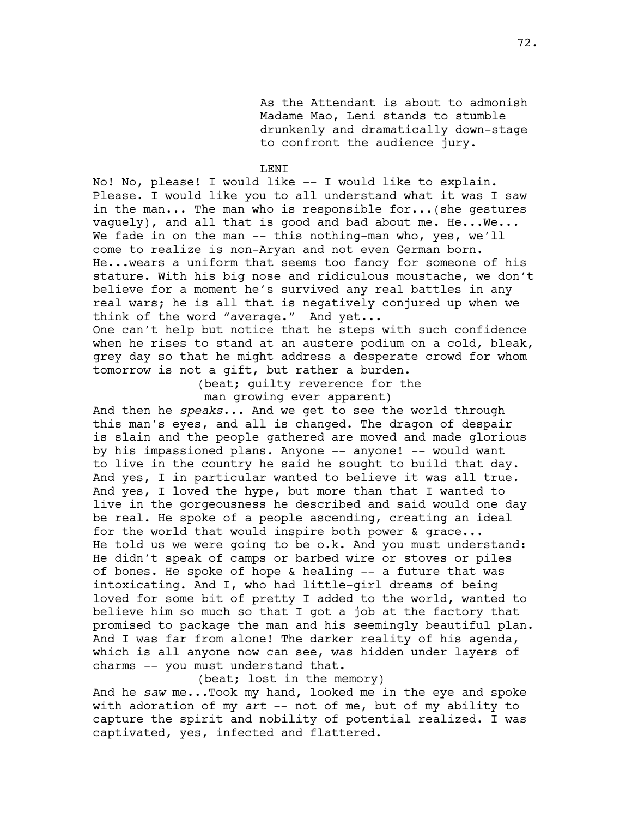As the Attendant is about to admonish Madame Mao, Leni stands to stumble drunkenly and dramatically down-stage to confront the audience jury.

## LENI

No! No, please! I would like -- I would like to explain. Please. I would like you to all understand what it was I saw in the man... The man who is responsible for...(she gestures vaguely), and all that is good and bad about me. He...We... We fade in on the man -- this nothing-man who, yes, we'll come to realize is non-Aryan and not even German born. He...wears a uniform that seems too fancy for someone of his stature. With his big nose and ridiculous moustache, we don't believe for a moment he's survived any real battles in any real wars; he is all that is negatively conjured up when we think of the word "average." And yet...

One can't help but notice that he steps with such confidence when he rises to stand at an austere podium on a cold, bleak, grey day so that he might address a desperate crowd for whom tomorrow is not a gift, but rather a burden.

> (beat; guilty reverence for the man growing ever apparent)

And then he *speaks*... And we get to see the world through this man's eyes, and all is changed. The dragon of despair is slain and the people gathered are moved and made glorious by his impassioned plans. Anyone -- anyone! -- would want to live in the country he said he sought to build that day. And yes, I in particular wanted to believe it was all true. And yes, I loved the hype, but more than that I wanted to live in the gorgeousness he described and said would one day be real. He spoke of a people ascending, creating an ideal for the world that would inspire both power & grace... He told us we were going to be o.k. And you must understand: He didn't speak of camps or barbed wire or stoves or piles of bones. He spoke of hope & healing -- a future that was intoxicating. And I, who had little-girl dreams of being loved for some bit of pretty I added to the world, wanted to believe him so much so that I got a job at the factory that promised to package the man and his seemingly beautiful plan. And I was far from alone! The darker reality of his agenda, which is all anyone now can see, was hidden under layers of charms -- you must understand that.

(beat; lost in the memory)

And he *saw* me...Took my hand, looked me in the eye and spoke with adoration of my *art* -- not of me, but of my ability to capture the spirit and nobility of potential realized. I was captivated, yes, infected and flattered.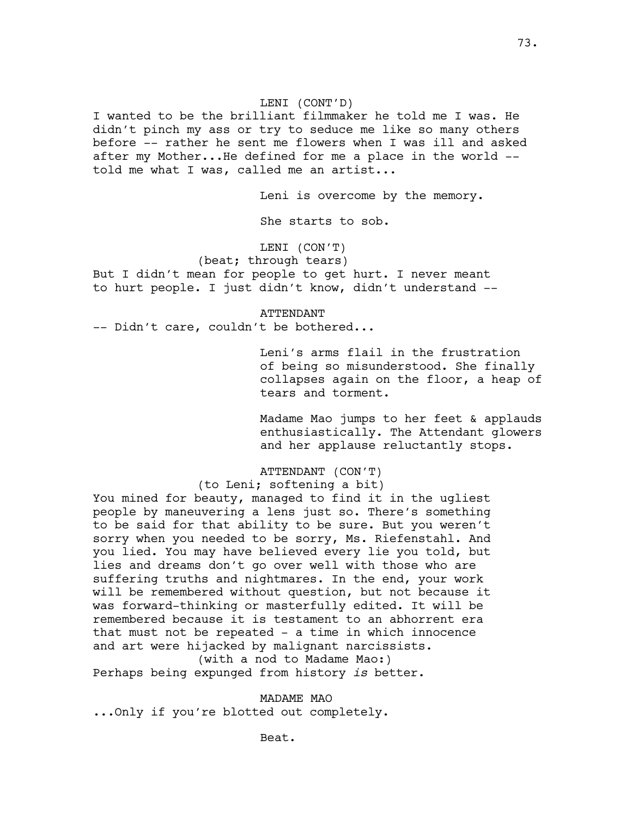## LENI (CONT'D)

I wanted to be the brilliant filmmaker he told me I was. He didn't pinch my ass or try to seduce me like so many others before -- rather he sent me flowers when I was ill and asked after my Mother...He defined for me a place in the world - told me what I was, called me an artist...

Leni is overcome by the memory.

She starts to sob.

## LENI (CON'T)

(beat; through tears) But I didn't mean for people to get hurt. I never meant to hurt people. I just didn't know, didn't understand --

#### ATTENDANT

-- Didn't care, couldn't be bothered...

Leni's arms flail in the frustration of being so misunderstood. She finally collapses again on the floor, a heap of tears and torment.

Madame Mao jumps to her feet & applauds enthusiastically. The Attendant glowers and her applause reluctantly stops.

## ATTENDANT (CON'T)

(to Leni; softening a bit)

You mined for beauty, managed to find it in the ugliest people by maneuvering a lens just so. There's something to be said for that ability to be sure. But you weren't sorry when you needed to be sorry, Ms. Riefenstahl. And you lied. You may have believed every lie you told, but lies and dreams don't go over well with those who are suffering truths and nightmares. In the end, your work will be remembered without question, but not because it was forward-thinking or masterfully edited. It will be remembered because it is testament to an abhorrent era that must not be repeated - a time in which innocence and art were hijacked by malignant narcissists. (with a nod to Madame Mao:)

Perhaps being expunged from history *is* better.

#### MADAME MAO

...Only if you're blotted out completely.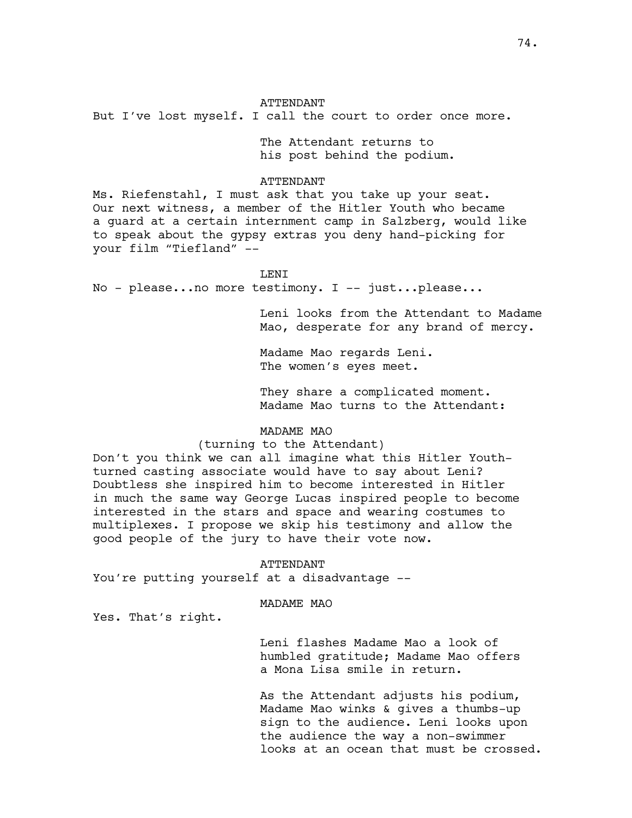### ATTENDANT

But I've lost myself. I call the court to order once more.

The Attendant returns to his post behind the podium.

## ATTENDANT

Ms. Riefenstahl, I must ask that you take up your seat. Our next witness, a member of the Hitler Youth who became a guard at a certain internment camp in Salzberg, would like to speak about the gypsy extras you deny hand-picking for your film "Tiefland" --

## LENI

No - please...no more testimony. I -- just...please...

Leni looks from the Attendant to Madame Mao, desperate for any brand of mercy.

Madame Mao regards Leni. The women's eyes meet.

They share a complicated moment. Madame Mao turns to the Attendant:

## MADAME MAO

## (turning to the Attendant)

Don't you think we can all imagine what this Hitler Youthturned casting associate would have to say about Leni? Doubtless she inspired him to become interested in Hitler in much the same way George Lucas inspired people to become interested in the stars and space and wearing costumes to multiplexes. I propose we skip his testimony and allow the good people of the jury to have their vote now.

#### ATTENDANT

You're putting yourself at a disadvantage --

### MADAME MAO

Yes. That's right.

Leni flashes Madame Mao a look of humbled gratitude; Madame Mao offers a Mona Lisa smile in return.

As the Attendant adjusts his podium, Madame Mao winks & gives a thumbs-up sign to the audience. Leni looks upon the audience the way a non-swimmer looks at an ocean that must be crossed.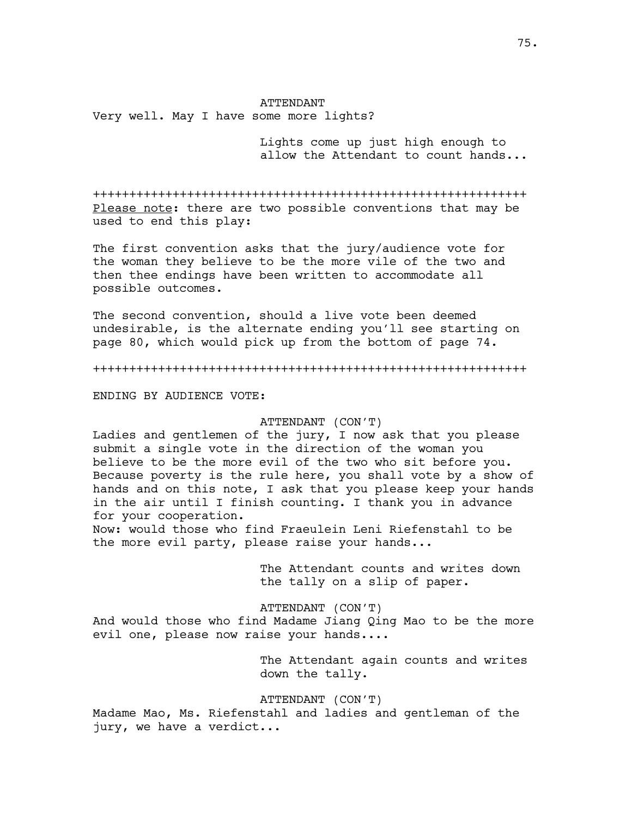### ATTENDANT

Very well. May I have some more lights?

Lights come up just high enough to allow the Attendant to count hands...

++++++++++++++++++++++++++++++++++++++++++++++++++++++++++++ Please note: there are two possible conventions that may be used to end this play:

The first convention asks that the jury/audience vote for the woman they believe to be the more vile of the two and then thee endings have been written to accommodate all possible outcomes.

The second convention, should a live vote been deemed undesirable, is the alternate ending you'll see starting on page 80, which would pick up from the bottom of page 74.

++++++++++++++++++++++++++++++++++++++++++++++++++++++++++++

ENDING BY AUDIENCE VOTE:

#### ATTENDANT (CON'T)

Ladies and gentlemen of the jury, I now ask that you please submit a single vote in the direction of the woman you believe to be the more evil of the two who sit before you. Because poverty is the rule here, you shall vote by a show of hands and on this note, I ask that you please keep your hands in the air until I finish counting. I thank you in advance for your cooperation.

Now: would those who find Fraeulein Leni Riefenstahl to be the more evil party, please raise your hands...

> The Attendant counts and writes down the tally on a slip of paper.

ATTENDANT (CON'T)

And would those who find Madame Jiang Qing Mao to be the more evil one, please now raise your hands....

> The Attendant again counts and writes down the tally.

ATTENDANT (CON'T)

Madame Mao, Ms. Riefenstahl and ladies and gentleman of the jury, we have a verdict...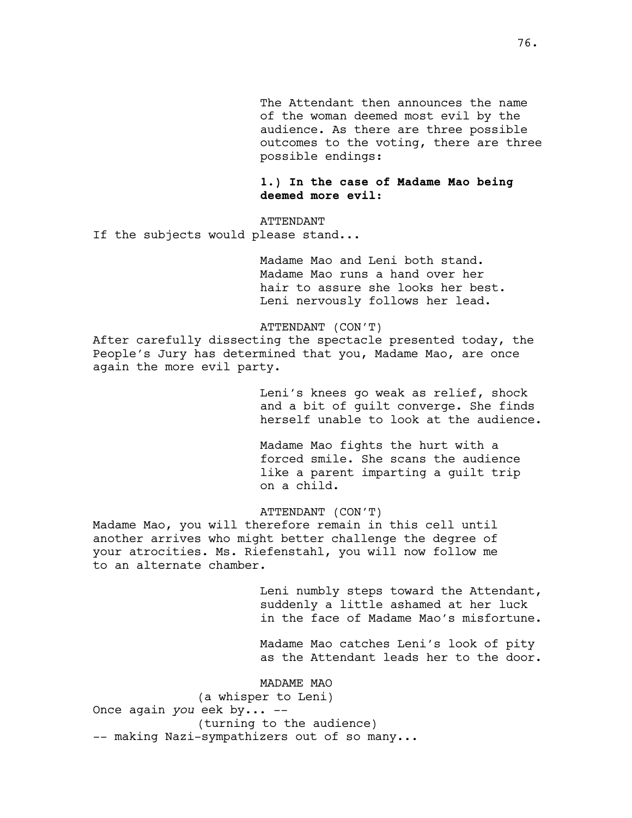The Attendant then announces the name of the woman deemed most evil by the audience. As there are three possible outcomes to the voting, there are three possible endings:

**1.) In the case of Madame Mao being deemed more evil**:

ATTENDANT If the subjects would please stand...

> Madame Mao and Leni both stand. Madame Mao runs a hand over her hair to assure she looks her best. Leni nervously follows her lead.

ATTENDANT (CON'T)

After carefully dissecting the spectacle presented today, the People's Jury has determined that you, Madame Mao, are once again the more evil party.

> Leni's knees go weak as relief, shock and a bit of guilt converge. She finds herself unable to look at the audience.

Madame Mao fights the hurt with a forced smile. She scans the audience like a parent imparting a guilt trip on a child.

# ATTENDANT (CON'T)

Madame Mao, you will therefore remain in this cell until another arrives who might better challenge the degree of your atrocities. Ms. Riefenstahl, you will now follow me to an alternate chamber.

> Leni numbly steps toward the Attendant, suddenly a little ashamed at her luck in the face of Madame Mao's misfortune.

> Madame Mao catches Leni's look of pity as the Attendant leads her to the door.

MADAME MAO

(a whisper to Leni)

Once again *you* eek by... --

(turning to the audience) -- making Nazi-sympathizers out of so many...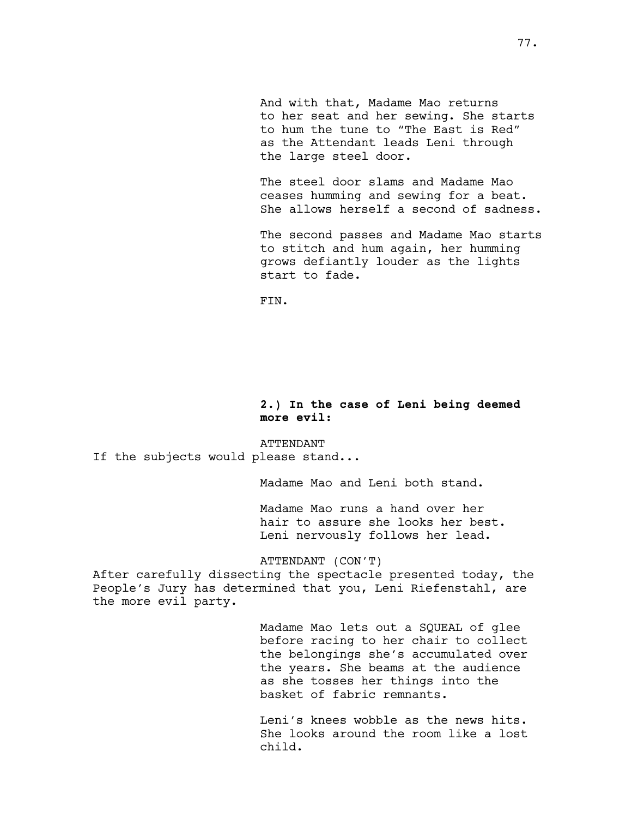And with that, Madame Mao returns to her seat and her sewing. She starts to hum the tune to "The East is Red" as the Attendant leads Leni through the large steel door.

The steel door slams and Madame Mao ceases humming and sewing for a beat. She allows herself a second of sadness.

The second passes and Madame Mao starts to stitch and hum again, her humming grows defiantly louder as the lights start to fade.

FIN.

## **2.) In the case of Leni being deemed more evil:**

## ATTENDANT

If the subjects would please stand...

Madame Mao and Leni both stand.

Madame Mao runs a hand over her hair to assure she looks her best. Leni nervously follows her lead.

ATTENDANT (CON'T)

After carefully dissecting the spectacle presented today, the People's Jury has determined that you, Leni Riefenstahl, are the more evil party.

> Madame Mao lets out a SQUEAL of glee before racing to her chair to collect the belongings she's accumulated over the years. She beams at the audience as she tosses her things into the basket of fabric remnants.

> Leni's knees wobble as the news hits. She looks around the room like a lost child.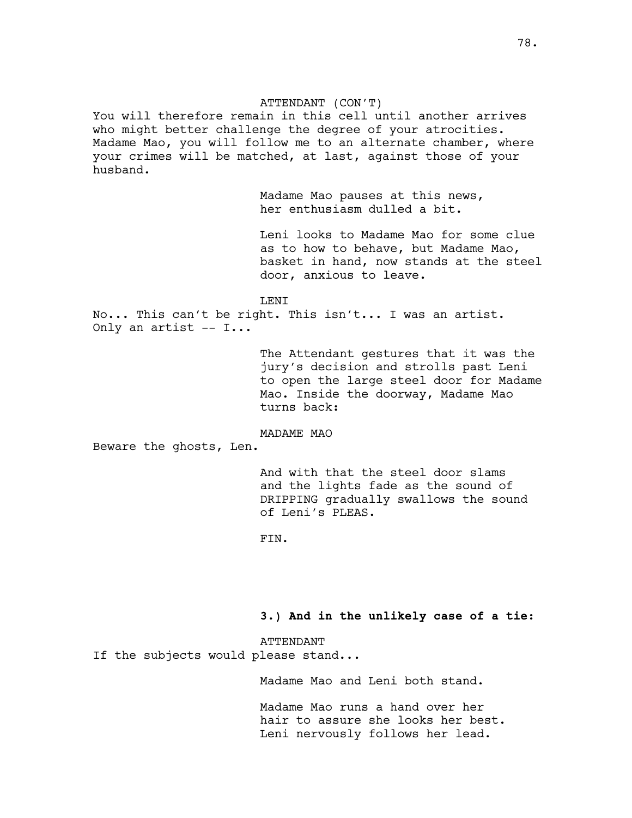## ATTENDANT (CON'T)

You will therefore remain in this cell until another arrives who might better challenge the degree of your atrocities. Madame Mao, you will follow me to an alternate chamber, where your crimes will be matched, at last, against those of your husband.

> Madame Mao pauses at this news, her enthusiasm dulled a bit.

Leni looks to Madame Mao for some clue as to how to behave, but Madame Mao, basket in hand, now stands at the steel door, anxious to leave.

LENI

No... This can't be right. This isn't... I was an artist. Only an artist -- I...

> The Attendant gestures that it was the jury's decision and strolls past Leni to open the large steel door for Madame Mao. Inside the doorway, Madame Mao turns back:

MADAME MAO

Beware the ghosts, Len.

And with that the steel door slams and the lights fade as the sound of DRIPPING gradually swallows the sound of Leni's PLEAS.

FIN.

**3.) And in the unlikely case of a tie:** 

ATTENDANT If the subjects would please stand...

Madame Mao and Leni both stand.

Madame Mao runs a hand over her hair to assure she looks her best. Leni nervously follows her lead.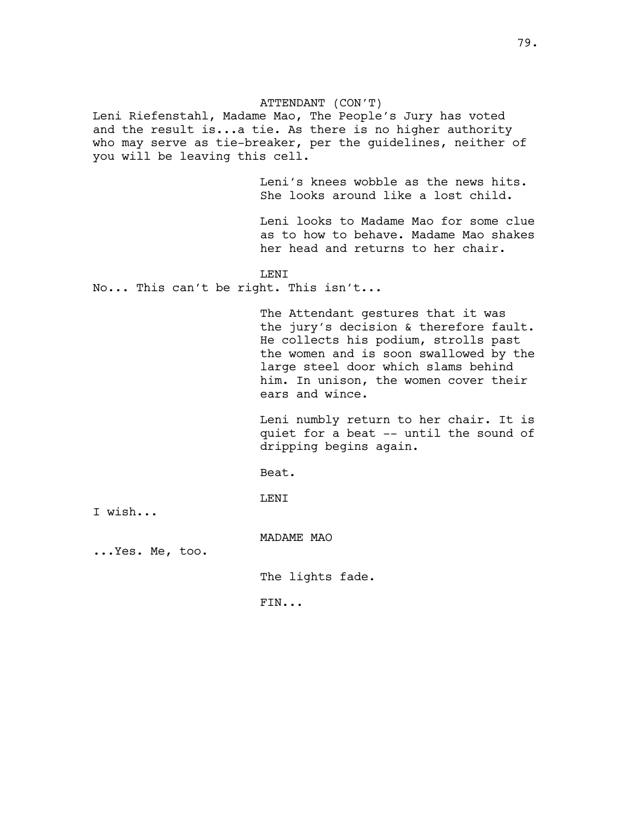## ATTENDANT (CON'T)

Leni Riefenstahl, Madame Mao, The People's Jury has voted and the result is...a tie. As there is no higher authority who may serve as tie-breaker, per the guidelines, neither of you will be leaving this cell.

> Leni's knees wobble as the news hits. She looks around like a lost child.

Leni looks to Madame Mao for some clue as to how to behave. Madame Mao shakes her head and returns to her chair.

LENI

No... This can't be right. This isn't...

The Attendant gestures that it was the jury's decision & therefore fault. He collects his podium, strolls past the women and is soon swallowed by the large steel door which slams behind him. In unison, the women cover their ears and wince.

Leni numbly return to her chair. It is quiet for a beat -- until the sound of dripping begins again.

Beat.

LENI

I wish...

MADAME MAO

...Yes. Me, too.

The lights fade.

FIN...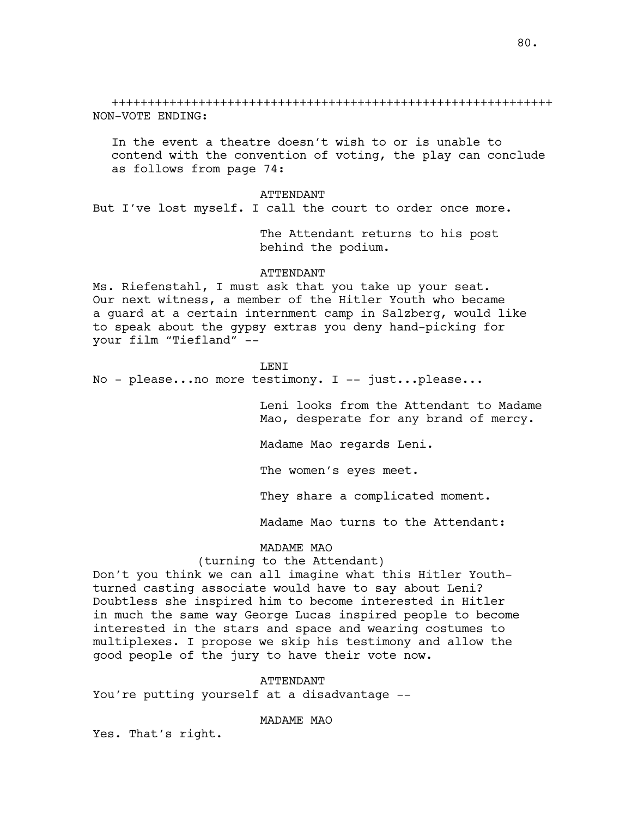+++++++++++++++++++++++++++++++++++++++++++++++++++++++++++++ NON-VOTE ENDING:

In the event a theatre doesn't wish to or is unable to contend with the convention of voting, the play can conclude as follows from page 74:

#### ATTENDANT

But I've lost myself. I call the court to order once more.

The Attendant returns to his post behind the podium.

### ATTENDANT

Ms. Riefenstahl, I must ask that you take up your seat. Our next witness, a member of the Hitler Youth who became a guard at a certain internment camp in Salzberg, would like to speak about the gypsy extras you deny hand-picking for your film "Tiefland" --

#### LENI

No - please...no more testimony. I -- just...please...

Leni looks from the Attendant to Madame Mao, desperate for any brand of mercy.

Madame Mao regards Leni.

The women's eyes meet.

They share a complicated moment.

Madame Mao turns to the Attendant:

## MADAME MAO

### (turning to the Attendant)

Don't you think we can all imagine what this Hitler Youthturned casting associate would have to say about Leni? Doubtless she inspired him to become interested in Hitler in much the same way George Lucas inspired people to become interested in the stars and space and wearing costumes to multiplexes. I propose we skip his testimony and allow the good people of the jury to have their vote now.

#### ATTENDANT

You're putting yourself at a disadvantage --

MADAME MAO

Yes. That's right.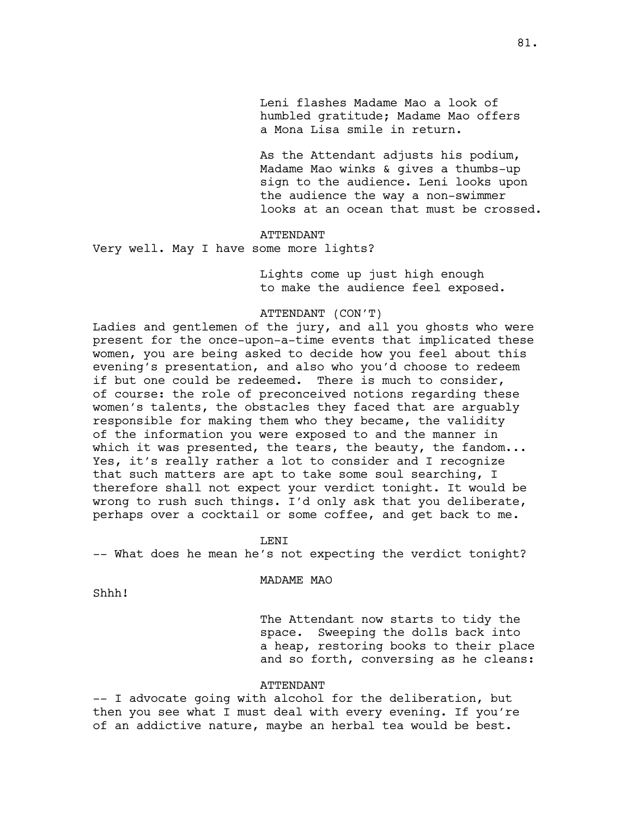Leni flashes Madame Mao a look of humbled gratitude; Madame Mao offers a Mona Lisa smile in return.

As the Attendant adjusts his podium, Madame Mao winks & gives a thumbs-up sign to the audience. Leni looks upon the audience the way a non-swimmer looks at an ocean that must be crossed.

#### ATTENDANT

Very well. May I have some more lights?

Lights come up just high enough to make the audience feel exposed.

## ATTENDANT (CON'T)

Ladies and gentlemen of the jury, and all you ghosts who were present for the once-upon-a-time events that implicated these women, you are being asked to decide how you feel about this evening's presentation, and also who you'd choose to redeem if but one could be redeemed. There is much to consider, of course: the role of preconceived notions regarding these women's talents, the obstacles they faced that are arguably responsible for making them who they became, the validity of the information you were exposed to and the manner in which it was presented, the tears, the beauty, the fandom... Yes, it's really rather a lot to consider and I recognize that such matters are apt to take some soul searching, I therefore shall not expect your verdict tonight. It would be wrong to rush such things. I'd only ask that you deliberate, perhaps over a cocktail or some coffee, and get back to me.

LENI

-- What does he mean he's not expecting the verdict tonight?

MADAME MAO

Shhh!

The Attendant now starts to tidy the space. Sweeping the dolls back into a heap, restoring books to their place and so forth, conversing as he cleans:

#### ATTENDANT

-- I advocate going with alcohol for the deliberation, but then you see what I must deal with every evening. If you're of an addictive nature, maybe an herbal tea would be best.